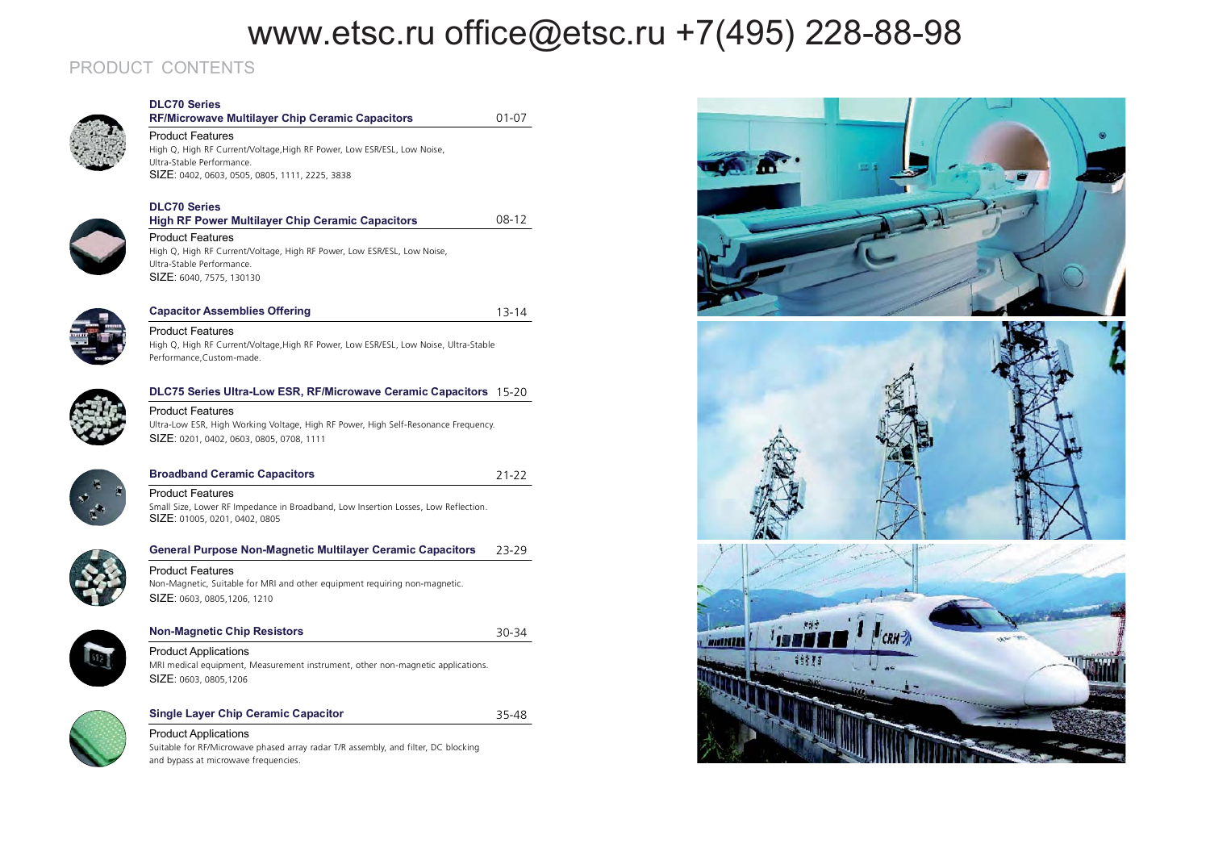01-07

08-12

13-14

21-22

30-34

### PRODUCT CONTENTS



### **DLC70 Series RF/Microwave Multilayer Chip Ceramic Capacitors**

Product Features High Q, High RF Current/Voltage,High RF Power, Low ESR/ESL, Low Noise, Ultra-Stable Performance. **SIZE**: 0402, 0603, 0505, 0805, 1111, 2225, 3838

### **DLC70 Series**



#### Product Features High Q, High RF Current/Voltage, High RF Power, Low ESR/ESL, Low Noise, Ultra-Stable Performance. SIZE: 6040, 7575, 130130

**X** High RF Power Multilayer Chip Ceramic Capacitors



### Capacitor Assemblies Offering Product Features

High Q, High RF Current/Voltage,High RF Power, Low ESR/ESL, Low Noise, Ultra-Stable Performance,Custom-made.



#### **DLC75 Series Ultra-Low ESR, RF/Microwave Ceramic Capacitors 15-20** Product Features

Product Features

**Broadband Ceramic Capacitors** 

SIZE: 01005, 0201, 0402, 0805

SIZE: 0603, 0805,1206

Ultra-Low ESR, High Working Voltage, High RF Power, High Self-Resonance Frequency. SIZE: 0201, 0402, 0603, 0805, 0708, 1111

Small Size, Lower RF Impedance in Broadband, Low Insertion Losses, Low Reflection.

#### 23-29**General Purpose Non-Magnetic Multilayer Ceramic Capacitors**

Product Features Non-Magnetic, Suitable for MRI and other equipment requiring non-magnetic. SIZE: 0603, 0805,1206, 1210



### **Non-Magnetic Chip Resistors Product Applications** MRI medical equipment, Measurement instrument, other non-magnetic applications.



#### **Single Layer Chip Ceramic Capacitor r** 35-48 **Product Applications**

Suitable for RF/Microwave phased array radar T/R assembly, and filter, DC blocking and bypass at microwave frequencies.

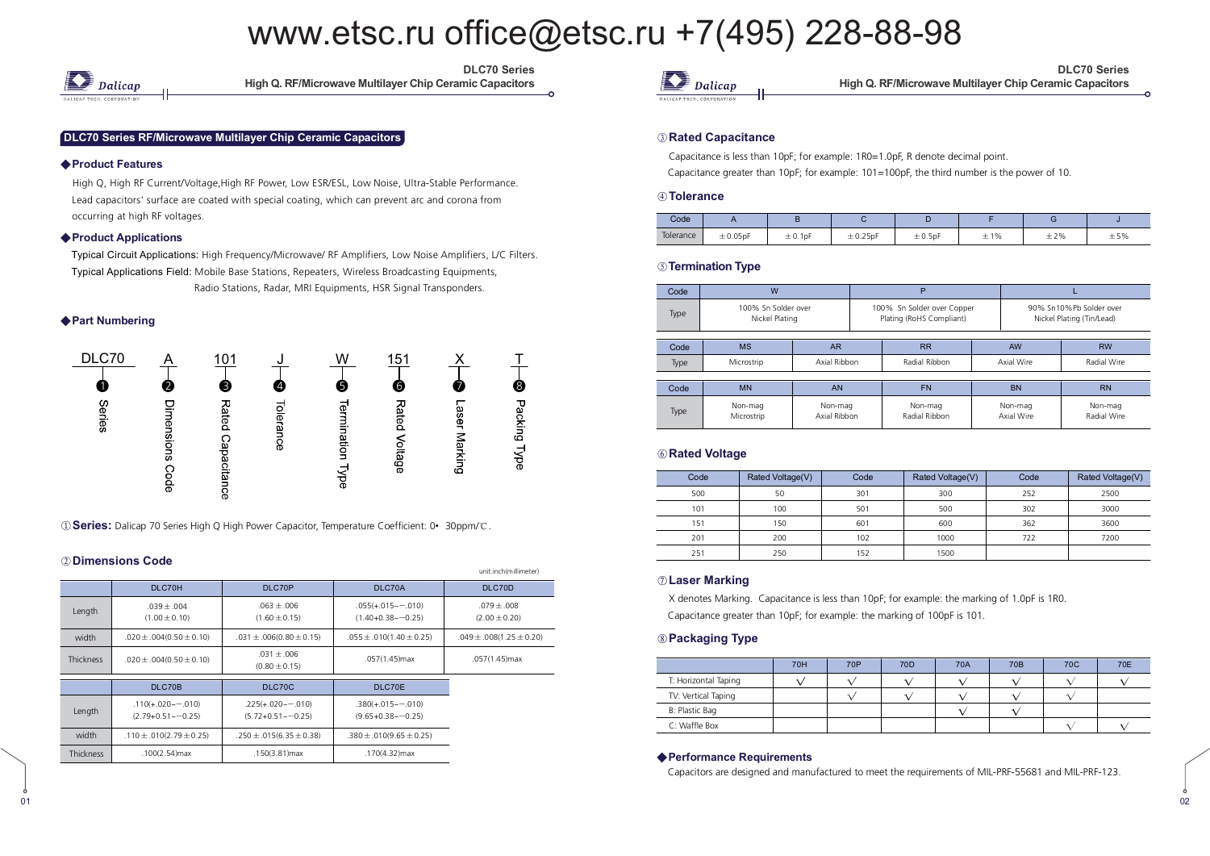

DLC70 Series **High Q. RF/Microwave Multilayer Chip Ceramic Capacitors** 

#### DLC70 Series RF/Microwave Multilayer Chip Ceramic Capacitors

#### ◆ Product Features

High Q, High RF Current/Voltage,High RF Power, Low ESR/ESL, Low Noise, Ultra-Stable Performance. Lead capacitors' surface are coated with special coating, which can prevent arc and corona from occurring at high RF voltages.

#### ◆ Product Applications

Typical Circuit Applications: High Frequency/Microwave/ RF Amplifiers, Low Noise Amplifiers, L/C Filters. Typical Applications Field: Mobile Base Stations, Repeaters, Wireless Broadcasting Equipments, Radio Stations, Radar, MRI Equipments, HSR Signal Transponders.

#### ◆ Part Numbering



**1 <b>Series:** Dalicap 70 Series High Q High Power Capacitor, Temperature Coefficient: 0• 30ppm/°C.

#### 2 Dimensions Code

01

|                  |                                                    |                                                 |                                              | unit:inch(millimeter)              |
|------------------|----------------------------------------------------|-------------------------------------------------|----------------------------------------------|------------------------------------|
|                  | DLC70H                                             | DLC70P                                          | DLC70A                                       | DLC70D                             |
| Length           | $.039 + .004$<br>$(1.00 \pm 0.10)$                 | $.063 + .006$<br>$(1.60 \pm 0.15)$              | $.055(+.015\sim-.010)$<br>$(1.40+0.38-0.25)$ | $.079 + .008$<br>$(2.00 \pm 0.20)$ |
| width            | $.020 \pm .004(0.50 \pm 0.10)$                     | $.031 \pm .006(0.80 \pm 0.15)$                  | $.055 \pm .010(1.40 \pm 0.25)$               | $.049 \pm .008(1.25 \pm 0.20)$     |
| <b>Thickness</b> | $.020 \pm .004(0.50 \pm 0.10)$                     | $.031 + .006$<br>$(0.80 \pm 0.15)$              | .057(1.45)max                                | .057(1.45)max                      |
|                  | DLC70B                                             | DLC70C                                          | DLC70E                                       |                                    |
|                  |                                                    |                                                 |                                              |                                    |
| Length           | $.110(+.020\sim-.010)$<br>$(2.79+0.51 \sim -0.25)$ | $.225(+.020--.010)$<br>$(5.72+0.51 \sim -0.25)$ | $.380(+.015--.010)$<br>$(9.65+0.38-0.25)$    |                                    |
| width            | $.110 \pm .010(2.79 \pm 0.25)$                     | $.250 \pm .015(6.35 \pm 0.38)$                  | $.380 \pm .010(9.65 \pm 0.25)$               |                                    |
| <b>Thickness</b> | $.100(2.54)$ max                                   | .150(3.81) max                                  | .170(4.32)max                                |                                    |



DLC70 Series **High Q. RF/Microwave Multilayer Chip Ceramic Capacitors** 

#### 

Capacitance is less than 10pF; for example: 1R0=1.0pF, R denote decimal point. Capacitance greater than 10pF; for example: 101=100pF, the third number is the power of 10.

#### **.**

| Code      |               |         |              |        |     |     |     |
|-----------|---------------|---------|--------------|--------|-----|-----|-----|
| Tolerance | $\pm 0.05$ pF | ± 0.1pF | $\pm$ 0.25pF | ±0.5pF | ±1% | ±2% | ±5% |

#### *S* **Termination Type**

| Code | W                                     |                         |               | P                                                      |  |                                                      |                        |  |  |
|------|---------------------------------------|-------------------------|---------------|--------------------------------------------------------|--|------------------------------------------------------|------------------------|--|--|
| Type | 100% Sn Solder over<br>Nickel Plating |                         |               | 100% Sn Solder over Copper<br>Plating (RoHS Compliant) |  | 90% Sn10%Pb Solder over<br>Nickel Plating (Tin/Lead) |                        |  |  |
|      |                                       |                         |               |                                                        |  |                                                      |                        |  |  |
| Code | MS                                    | <b>AR</b>               |               | <b>RR</b>                                              |  | <b>AW</b>                                            | <b>RW</b>              |  |  |
| Type | Microstrip                            | Axial Ribbon            | Radial Ribbon |                                                        |  | Axial Wire                                           | Radial Wire            |  |  |
|      |                                       |                         |               |                                                        |  |                                                      |                        |  |  |
| Code | <b>MN</b>                             | <b>AN</b>               |               | <b>FN</b>                                              |  | <b>BN</b>                                            | <b>RN</b>              |  |  |
| Type | Non-mag<br>Microstrip                 | Non-mag<br>Axial Ribbon |               | Non-mag<br>Radial Ribbon                               |  | Non-mag<br>Axial Wire                                | Non-mag<br>Radial Wire |  |  |

#### 

| Code | Rated Voltage(V) | Code | Rated Voltage(V) | Code | Rated Voltage(V) |
|------|------------------|------|------------------|------|------------------|
| 500  | 50               | 301  | 300              | 252  | 2500             |
| 101  | 100              | 501  | 500              | 302  | 3000             |
| 151  | 150              | 601  | 600              | 362  | 3600             |
| 201  | 200              | 102  | 1000             | 722  | 7200             |
| 251  | 250              | 152  | 1500             |      |                  |

#### $\oslash$  Laser Marking

X denotes Marking. Capacitance is less than 10pF; for example: the marking of 1.0pF is 1R0. Capacitance greater than 10pF; for example: the marking of 100pF is 101.

#### **8** Packaging Type

 $\frac{1}{1}$ 

|                      | <b>70H</b> | 70P | 70 <sub>D</sub> | 70A | 70 <sub>B</sub> | 70C | 70E |
|----------------------|------------|-----|-----------------|-----|-----------------|-----|-----|
| T: Horizontal Taping |            |     |                 |     |                 |     |     |
| TV: Vertical Taping  |            |     |                 |     |                 |     |     |
| B: Plastic Bag       |            |     |                 |     |                 |     |     |
| C: Waffle Box        |            |     |                 |     |                 |     |     |

#### ◆ Performance Requirements

Capacitors are designed and manufactured to meet the requirements of MIL-PRF-55681 and MIL-PRF-123.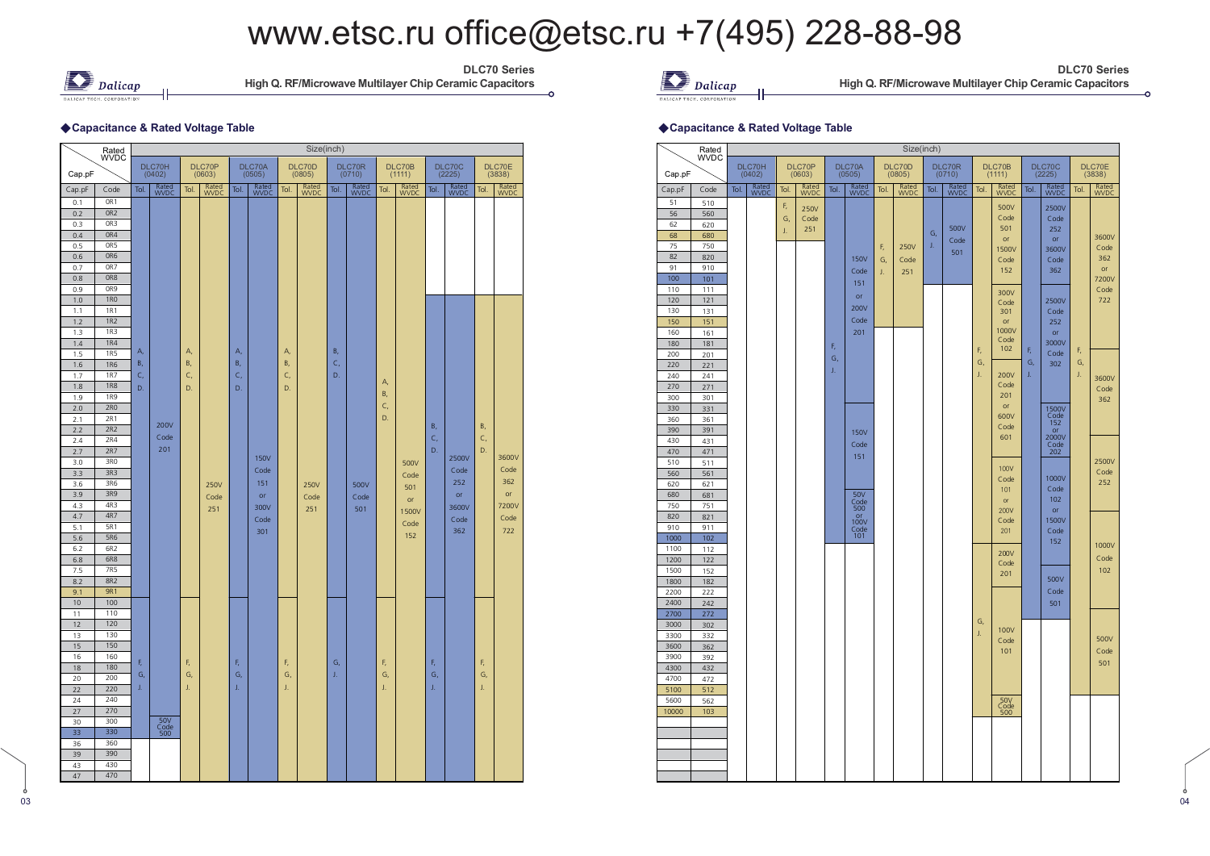

DLC70 Series **High Q. RF/Microwave Multilayer Chip Ceramic Capacitors** 

#### ◆ Capacitance & Rated Voltage Table

|            | Rated                    |            |                 |      |                      |            |               |      | Size(inch)           |      |              |           |               |            |               |      |               |
|------------|--------------------------|------------|-----------------|------|----------------------|------------|---------------|------|----------------------|------|--------------|-----------|---------------|------------|---------------|------|---------------|
|            | <b>WVDC</b>              |            | DLC70H          |      | DLC70P               |            | DLC70A        |      | DLC70D               |      | DLC70R       |           | DLC70B        |            | DLC70C        |      | DLC70E        |
| Cap.pF     |                          |            | (0402)          |      | (0603)               |            | (0505)        |      | (0805)               |      | (0710)       |           | (1111)        |            | (2225)        |      | (3838)        |
| Cap.pF     | Code                     | Tol.       | Rated<br>WVDC   | Tol. | Rated<br><b>WVDC</b> | Tol.       | Rated<br>WVDC | Tol. | Rated<br><b>WVDC</b> | Tol. | Rated<br>WDC | Tol.      | Rated<br>WVDC | Tol.       | Rated<br>WVDC | Tol. | Rated<br>WVDC |
| 0.1        | OR1                      |            |                 |      |                      |            |               |      |                      |      |              |           |               |            |               |      |               |
| 0.2        | OR <sub>2</sub>          |            |                 |      |                      |            |               |      |                      |      |              |           |               |            |               |      |               |
| 0.3<br>0.4 | OR3<br>OR4               |            |                 |      |                      |            |               |      |                      |      |              |           |               |            |               |      |               |
| 0.5        | OR5                      |            |                 |      |                      |            |               |      |                      |      |              |           |               |            |               |      |               |
| 0.6        | OR6                      |            |                 |      |                      |            |               |      |                      |      |              |           |               |            |               |      |               |
| 0.7        | OR7                      |            |                 |      |                      |            |               |      |                      |      |              |           |               |            |               |      |               |
| 0.8        | OR <sub>8</sub>          |            |                 |      |                      |            |               |      |                      |      |              |           |               |            |               |      |               |
| 0.9        | OR <sub>9</sub>          |            |                 |      |                      |            |               |      |                      |      |              |           |               |            |               |      |               |
| 1.0        | <b>1RO</b>               |            |                 |      |                      |            |               |      |                      |      |              |           |               |            |               |      |               |
| 1.1        | <b>1R1</b>               |            |                 |      |                      |            |               |      |                      |      |              |           |               |            |               |      |               |
| 1.2        | <b>1R2</b>               |            |                 |      |                      |            |               |      |                      |      |              |           |               |            |               |      |               |
| 1.3        | <b>1R3</b>               |            |                 |      |                      |            |               |      |                      |      |              |           |               |            |               |      |               |
| 1.4        | <b>1R4</b><br><b>1R5</b> | А,         |                 | A,   |                      | А,         |               | A,   |                      | B,   |              |           |               |            |               |      |               |
| 1.5        | <b>1R6</b>               | <b>B</b> , |                 | В,   |                      | <b>B</b> , |               | B,   |                      | C,   |              |           |               |            |               |      |               |
| 1.6<br>1.7 | <b>1R7</b>               | C,         |                 | C,   |                      | c,         |               | C,   |                      | D.   |              |           |               |            |               |      |               |
| 1.8        | <b>1R8</b>               | D.         |                 | D.   |                      | D.         |               | D.   |                      |      |              | A,        |               |            |               |      |               |
| 1.9        | <b>1R9</b>               |            |                 |      |                      |            |               |      |                      |      |              | <b>B.</b> |               |            |               |      |               |
| 2.0        | 2R0                      |            |                 |      |                      |            |               |      |                      |      |              | C,        |               |            |               |      |               |
| 2.1        | 2R1                      |            |                 |      |                      |            |               |      |                      |      |              | D.        |               |            |               |      |               |
| 2.2        | 2R2                      |            | 200V            |      |                      |            |               |      |                      |      |              |           |               | <b>B</b> , |               | B,   |               |
| 2.4        | 2R4                      |            | Code            |      |                      |            |               |      |                      |      |              |           |               | C,         |               | C,   |               |
| 2.7        | 2R7                      |            | 201             |      |                      |            |               |      |                      |      |              |           |               | D.         |               | D.   | 3600V         |
| 3.0        | 3RO                      |            |                 |      |                      |            | <b>150V</b>   |      |                      |      |              |           | 500V          |            | 2500V         |      |               |
| 3.3        | 3R3                      |            |                 |      |                      |            | Code          |      |                      |      |              |           | Code          |            | Code          |      | Code          |
| 3.6        | 3R6                      |            |                 |      | 250V                 |            | 151           |      | 250V                 |      | 500V         |           | 501           |            | 252           |      | 362           |
| 3.9        | 3R9                      |            |                 |      | Code                 |            | or            |      | Code                 |      | Code         |           | or            |            | or            |      | or            |
| 4.3        | 4R3                      |            |                 |      | 251                  |            | 300V          |      | 251                  |      | 501          |           | 1500V         |            | 3600V         |      | 7200V         |
| 4.7<br>5.1 | 4R7<br>5R1               |            |                 |      |                      |            | Code          |      |                      |      |              |           | Code          |            | Code          |      | Code          |
| 5.6        | <b>5R6</b>               |            |                 |      |                      |            | 301           |      |                      |      |              |           | 152           |            | 362           |      | 722           |
| 6.2        | 6R2                      |            |                 |      |                      |            |               |      |                      |      |              |           |               |            |               |      |               |
| 6.8        | 6R8                      |            |                 |      |                      |            |               |      |                      |      |              |           |               |            |               |      |               |
| 7.5        | 7R5                      |            |                 |      |                      |            |               |      |                      |      |              |           |               |            |               |      |               |
| 8.2        | 8R2                      |            |                 |      |                      |            |               |      |                      |      |              |           |               |            |               |      |               |
| 9.1        | <b>9R1</b>               |            |                 |      |                      |            |               |      |                      |      |              |           |               |            |               |      |               |
| 10         | 100                      |            |                 |      |                      |            |               |      |                      |      |              |           |               |            |               |      |               |
| 11         | 110                      |            |                 |      |                      |            |               |      |                      |      |              |           |               |            |               |      |               |
| 12         | 120                      |            |                 |      |                      |            |               |      |                      |      |              |           |               |            |               |      |               |
| 13         | 130                      |            |                 |      |                      |            |               |      |                      |      |              |           |               |            |               |      |               |
| 15         | 150<br>160               |            |                 |      |                      |            |               |      |                      |      |              |           |               |            |               |      |               |
| 16<br>18   | 180                      | F,         |                 | F,   |                      | F,         |               | F,   |                      | G,   |              | F,        |               | F,         |               | F,   |               |
| 20         | 200                      | G,         |                 | G,   |                      | G,         |               | G,   |                      | J.   |              | G,        |               | G,         |               | G,   |               |
| 22         | 220                      | J.         |                 | J.   |                      | J.         |               | J.   |                      |      |              | J.        |               | J.         |               | J.   |               |
| 24         | 240                      |            |                 |      |                      |            |               |      |                      |      |              |           |               |            |               |      |               |
| 27         | 270                      |            |                 |      |                      |            |               |      |                      |      |              |           |               |            |               |      |               |
| 30         | 300                      |            | 50 <sub>y</sub> |      |                      |            |               |      |                      |      |              |           |               |            |               |      |               |
| 33         | 330                      |            | $Code$<br>500   |      |                      |            |               |      |                      |      |              |           |               |            |               |      |               |
| 36         | 360                      |            |                 |      |                      |            |               |      |                      |      |              |           |               |            |               |      |               |
| 39         | 390                      |            |                 |      |                      |            |               |      |                      |      |              |           |               |            |               |      |               |
| 43         | 430                      |            |                 |      |                      |            |               |      |                      |      |              |           |               |            |               |      |               |
| 47         | 470                      |            |                 |      |                      |            |               |      |                      |      |              |           |               |            |               |      |               |

 $\sum$  Dalicap

DLC70 Series **High Q. RF/Microwave Multilayer Chip Ceramic Capacitors** 

#### $\bullet$  -  $\bullet$  -  $\bullet$  -  $\bullet$  -  $\bullet$  -  $\bullet$  -  $\bullet$  -  $\bullet$  -  $\bullet$  -  $\bullet$  -  $\bullet$  -  $\bullet$  -  $\bullet$  -  $\bullet$  -  $\bullet$  -  $\bullet$  -  $\bullet$  -  $\bullet$  -  $\bullet$  -  $\bullet$  -  $\bullet$  -  $\bullet$  -  $\bullet$  -  $\bullet$  -  $\bullet$  -  $\bullet$  -  $\bullet$  -  $\bullet$  -  $\bullet$  -  $\bullet$  -  $\bullet$  -  $\bullet$ **Capacitance & Rated Voltage Table**

|            | Rated       |      |               |      |               |      |                    |      | Size(inch)       |      |                  |      |                    |      |               |      |               |
|------------|-------------|------|---------------|------|---------------|------|--------------------|------|------------------|------|------------------|------|--------------------|------|---------------|------|---------------|
| Cap.pF     | <b>WVDC</b> |      | DLC70H        |      | DLC70P        |      | DLC70A<br>(0505)   |      | DLC70D<br>(0805) |      | DLC70R<br>(0710) |      | DLC70B             |      | DLC70C        |      | DLC70E        |
|            |             |      | (0402)        |      | (0603)        |      |                    |      |                  |      |                  |      | (1111)             |      | (2225)        |      | (3838)        |
| Cap.pF     | Code        | Tol. | Rated<br>WVDC | Tol. | Rated<br>WVDC | Tol. | Rated<br>WVDC      | Tol. | Rated<br>WVDC    | Tol. | Rated<br>WVDC    | Tol. | Rated<br>WVDC      | Tol. | Rated<br>WVDC | Tol. | Rated<br>WVDC |
| 51         | 510         |      |               | F,   | 250V          |      |                    |      |                  |      |                  |      | 500V               |      | 2500V         |      |               |
| 56         | 560         |      |               | G,   | Code          |      |                    |      |                  |      |                  |      | Code               |      | Code          |      |               |
| 62<br>68   | 620         |      |               | J.   | 251           |      |                    |      |                  | G,   | 500V             |      | 501                |      | 252           |      |               |
| 75         | 680<br>750  |      |               |      |               |      |                    |      |                  | J.   | Code             |      | or                 |      | or            |      | 3600V         |
| 82         | 820         |      |               |      |               |      |                    | F,   | <b>250V</b>      |      | 501              |      | 1500V              |      | 3600V         |      | Code          |
| 91         | 910         |      |               |      |               |      | <b>150V</b>        | G,   | Code             |      |                  |      | Code               |      | Code          |      | 362<br>or     |
| 100        | 101         |      |               |      |               |      | Code               | J.   | 251              |      |                  |      | 152                |      | 362           |      | 7200V         |
| 110        | 111         |      |               |      |               |      | 151                |      |                  |      |                  |      |                    |      |               |      | Code          |
| 120        | 121         |      |               |      |               |      | or                 |      |                  |      |                  |      | 300V<br>Code       |      | 2500V         |      | 722           |
| 130        | 131         |      |               |      |               |      | 200V               |      |                  |      |                  |      | 301                |      | Code          |      |               |
| 150        | 151         |      |               |      |               |      | Code               |      |                  |      |                  |      | or                 |      | 252           |      |               |
| 160        | 161         |      |               |      |               |      | 201                |      |                  |      |                  |      | 1000V              |      | or            |      |               |
| 180        | 181         |      |               |      |               | F,   |                    |      |                  |      |                  |      | Code               |      | 3000V         |      |               |
| 200        | 201         |      |               |      |               | G,   |                    |      |                  |      |                  | F,   | 102                | F,   | Code          | F,   |               |
| 220        | 221         |      |               |      |               | J,   |                    |      |                  |      |                  | G,   |                    | G,   | 302           | G,   |               |
| 240        | 241         |      |               |      |               |      |                    |      |                  |      |                  | J.   | 200V               | J.   |               | J.   | 3600V         |
| 270        | 271         |      |               |      |               |      |                    |      |                  |      |                  |      | Code               |      |               |      | Code          |
| 300        | 301         |      |               |      |               |      |                    |      |                  |      |                  |      | 201                |      |               |      | 362           |
| 330        | 331         |      |               |      |               |      |                    |      |                  |      |                  |      | or                 |      | 1500V         |      |               |
| 360        | 361         |      |               |      |               |      |                    |      |                  |      |                  |      | 600V<br>Code       |      | Code<br>152   |      |               |
| 390        | 391         |      |               |      |               |      | <b>150V</b>        |      |                  |      |                  |      | 601                |      | or<br>2000V   |      |               |
| 430        | 431         |      |               |      |               |      | Code               |      |                  |      |                  |      |                    |      | Code          |      |               |
| 470        | 471         |      |               |      |               |      | 151                |      |                  |      |                  |      |                    |      | 202           |      |               |
| 510        | 511         |      |               |      |               |      |                    |      |                  |      |                  |      | 100V               |      |               |      | 2500V<br>Code |
| 560        | 561         |      |               |      |               |      |                    |      |                  |      |                  |      | Code               |      | 1000V         |      | 252           |
| 620<br>680 | 621<br>681  |      |               |      |               |      | 50V                |      |                  |      |                  |      | 101                |      | Code          |      |               |
| 750        | 751         |      |               |      |               |      | $\frac{Code}{500}$ |      |                  |      |                  |      | or                 |      | 102           |      |               |
| 820        | 821         |      |               |      |               |      | or                 |      |                  |      |                  |      | 200V               |      | or            |      |               |
| 910        | 911         |      |               |      |               |      | 100V               |      |                  |      |                  |      | Code               |      | 1500V         |      |               |
| 1000       | 102         |      |               |      |               |      | Code<br>101        |      |                  |      |                  |      | 201                |      | Code          |      |               |
| 1100       | 112         |      |               |      |               |      |                    |      |                  |      |                  |      |                    |      | 152           |      | 1000V         |
| 1200       | 122         |      |               |      |               |      |                    |      |                  |      |                  |      | 200V               |      |               |      | Code          |
| 1500       | 152         |      |               |      |               |      |                    |      |                  |      |                  |      | Code<br>201        |      |               |      | 102           |
| 1800       | 182         |      |               |      |               |      |                    |      |                  |      |                  |      |                    |      | 500V          |      |               |
| 2200       | 222         |      |               |      |               |      |                    |      |                  |      |                  |      |                    |      | Code          |      |               |
| 2400       | 242         |      |               |      |               |      |                    |      |                  |      |                  |      |                    |      | 501           |      |               |
| 2700       | 272         |      |               |      |               |      |                    |      |                  |      |                  |      |                    |      |               |      |               |
| 3000       | 302         |      |               |      |               |      |                    |      |                  |      |                  | G,   | 100V               |      |               |      |               |
| 3300       | 332         |      |               |      |               |      |                    |      |                  |      |                  | J.   | Code               |      |               |      | 500V          |
| 3600       | 362         |      |               |      |               |      |                    |      |                  |      |                  |      | 101                |      |               |      | Code          |
| 3900       | 392         |      |               |      |               |      |                    |      |                  |      |                  |      |                    |      |               |      | 501           |
| 4300       | 432         |      |               |      |               |      |                    |      |                  |      |                  |      |                    |      |               |      |               |
| 4700       | 472         |      |               |      |               |      |                    |      |                  |      |                  |      |                    |      |               |      |               |
| 5100       | 512         |      |               |      |               |      |                    |      |                  |      |                  |      |                    |      |               |      |               |
| 5600       | 562         |      |               |      |               |      |                    |      |                  |      |                  |      | 50V<br>Code<br>500 |      |               |      |               |
| 10000      | 103         |      |               |      |               |      |                    |      |                  |      |                  |      |                    |      |               |      |               |
|            |             |      |               |      |               |      |                    |      |                  |      |                  |      |                    |      |               |      |               |
|            |             |      |               |      |               |      |                    |      |                  |      |                  |      |                    |      |               |      |               |
|            |             |      |               |      |               |      |                    |      |                  |      |                  |      |                    |      |               |      |               |
|            |             |      |               |      |               |      |                    |      |                  |      |                  |      |                    |      |               |      |               |
|            |             |      |               |      |               |      |                    |      |                  |      |                  |      |                    |      |               |      |               |
|            |             |      |               |      |               |      |                    |      |                  |      |                  |      |                    |      |               |      |               |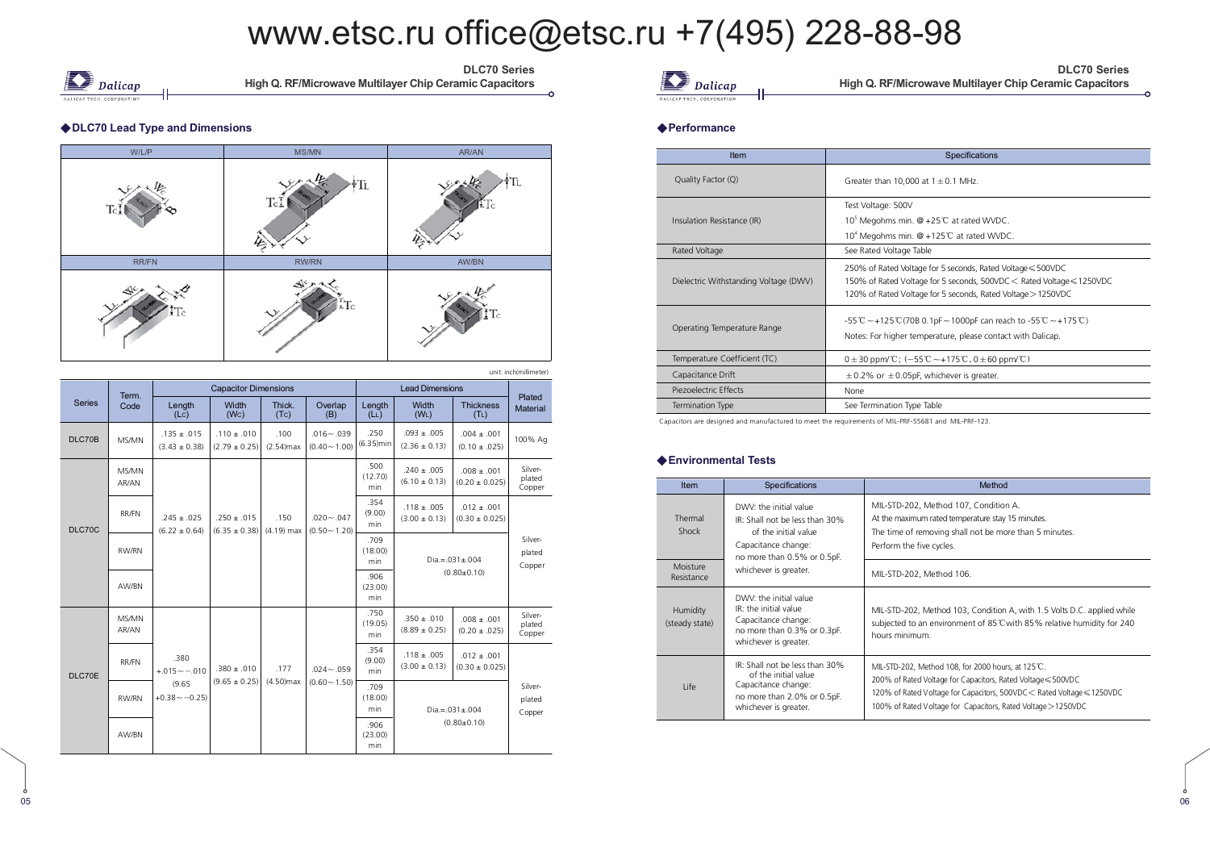

DLC70 Series **High Q. RF/Microwave Multilayer Chip Ceramic Capacitors** 

#### ◆ DLC70 Lead Type and Dimensions



|               | Term.          |                                      | <b>Capacitor Dimensions</b>          |                      |                                  |                             | <b>Lead Dimensions</b>               |                                       |                             |
|---------------|----------------|--------------------------------------|--------------------------------------|----------------------|----------------------------------|-----------------------------|--------------------------------------|---------------------------------------|-----------------------------|
| <b>Series</b> | Code           | Length<br>$($ Lc $)$                 | Width<br>(Wc)                        | Thick.<br>(Tc)       | Overlap<br>(B)                   | Length<br>(L <sub>L</sub> ) | Width<br>(W <sub>L</sub> )           | <b>Thickness</b><br>(T <sub>L</sub> ) | Plated<br>Material          |
| DLC70B        | MS/MN          | $.135 \pm .015$<br>$(3.43 \pm 0.38)$ | $.110 \pm .010$<br>$(2.79 \pm 0.25)$ | .100<br>$(2.54)$ max | $.016 - .039$<br>$(0.40 - 1.00)$ | .250<br>$(6.35)$ min        | $.093 \pm .005$<br>$(2.36 \pm 0.13)$ | $.004 \pm .001$<br>$(0.10 \pm .025)$  | 100% Ag                     |
|               | MS/MN<br>AR/AN |                                      |                                      |                      |                                  | .500<br>(12.70)<br>min      | $.240 + .005$<br>$(6.10 \pm 0.13)$   | $.008 \pm .001$<br>$(0.20 \pm 0.025)$ | Silver-<br>plated<br>Copper |
| DLC70C        | RR/FN          | $.245 \pm .025$<br>$(6.22 \pm 0.64)$ | $.250 \pm .015$<br>$(6.35 \pm 0.38)$ | .150<br>$(4.19)$ max | $.020 - .047$<br>$(0.50 - 1.20)$ | .354<br>(9.00)<br>min       | $.118 \pm .005$<br>$(3.00 \pm 0.13)$ | $.012 \pm .001$<br>$(0.30 \pm 0.025)$ |                             |
|               | RW/RN          |                                      |                                      |                      |                                  | .709<br>(18.00)<br>min      |                                      | $Dia = 031 + 004$                     | Silver-<br>plated<br>Copper |
|               | AW/BN          |                                      |                                      |                      |                                  | .906<br>(23.00)<br>min      |                                      | $(0.80 \pm 0.10)$                     |                             |
|               | MS/MN<br>AR/AN |                                      |                                      |                      |                                  | .750<br>(19.05)<br>min      | $.350 \pm .010$<br>$(8.89 \pm 0.25)$ | $.008 \pm .001$<br>$(0.20 \pm .025)$  | Silver-<br>plated<br>Copper |
| DLC70E        | RR/FN          | .380<br>$+.015 - -.010$              | $.380 \pm .010$                      | .177                 | $.024 - .059$                    | .354<br>(9.00)<br>min       | $.118 \pm .005$<br>$(3.00 \pm 0.13)$ | $.012 \pm .001$<br>$(0.30 \pm 0.025)$ |                             |
|               | RW/RN          | (9.65)<br>$+0.38 - -0.25$            | $(9.65 \pm 0.25)$                    | $(4.50)$ max         | $(0.60 - 1.50)$                  | .709<br>(18.00)<br>min      |                                      | $Dia = .031 \pm .004$                 | Silver-<br>plated<br>Copper |
|               | AW/RN          |                                      |                                      |                      |                                  | .906<br>(23.00)<br>min      | $(0.80 \pm 0.10)$                    |                                       |                             |

 $\sum$  Dalicap

DLC70 Series **High Q. RF/Microwave Multilayer Chip Ceramic Capacitors** 

#### $\sim$  -  $\sim$  -  $\sim$  -  $\sim$  -  $\sim$  -  $\sim$  -  $\sim$  -  $\sim$  -  $\sim$  -  $\sim$  -  $\sim$  -  $\sim$  -  $\sim$  -  $\sim$  -  $\sim$  -  $\sim$  -  $\sim$  -  $\sim$  -  $\sim$  -  $\sim$  -  $\sim$  -  $\sim$  -  $\sim$  -  $\sim$  -  $\sim$  -  $\sim$  -  $\sim$  -  $\sim$  -  $\sim$  -  $\sim$  -  $\sim$  -  $\sim$ **Performance**

| Item                                  | Specifications                                                                                                                                                                                       |
|---------------------------------------|------------------------------------------------------------------------------------------------------------------------------------------------------------------------------------------------------|
| Quality Factor (Q)                    | Greater than 10,000 at $1 \pm 0.1$ MHz.                                                                                                                                                              |
| Insulation Resistance (IR)            | Test Voltage: 500V<br>10 <sup>5</sup> Megohms min. @ +25 <sup>°</sup> C at rated WVDC.<br>10 <sup>4</sup> Megohms min. @ +125°C at rated WVDC.                                                       |
| Rated Voltage                         | See Rated Voltage Table                                                                                                                                                                              |
| Dielectric Withstanding Voltage (DWV) | 250% of Rated Voltage for 5 seconds, Rated Voltage ≤ 500VDC<br>150% of Rated Voltage for 5 seconds, 500VDC < Rated Voltage ≤ 1250VDC<br>120% of Rated Voltage for 5 seconds, Rated Voltage > 1250VDC |
| Operating Temperature Range           | -55 ℃ $\sim$ +125 ℃ (70B 0.1pF $\sim$ 1000pF can reach to -55 ℃ $\sim$ +175 ℃)<br>Notes: For higher temperature, please contact with Dalicap.                                                        |
| Temperature Coefficient (TC)          | $0 \pm 30$ ppm/°C; $(-55^{\circ}\text{C} \sim +175^{\circ}\text{C}$ , $0 \pm 60$ ppm/°C)                                                                                                             |
| Capacitance Drift                     | $\pm$ 0.2% or $\pm$ 0.05pF, whichever is greater.                                                                                                                                                    |
| Piezoelectric Effects                 | None                                                                                                                                                                                                 |
| Termination Type                      | See Termination Type Table                                                                                                                                                                           |

Capacitors are designed and manufactured to meet the requirements of MIL-PRF-55681 and MIL-PRF-123.

#### $\triangle$  Environmental Tests

| <b>Item</b>                | Specifications                                                                                                                         | Method                                                                                                                                                                                                                                                        |
|----------------------------|----------------------------------------------------------------------------------------------------------------------------------------|---------------------------------------------------------------------------------------------------------------------------------------------------------------------------------------------------------------------------------------------------------------|
| Thermal<br>Shock           | DWV: the initial value<br>IR: Shall not be less than 30%<br>of the initial value<br>Capacitance change:<br>no more than 0.5% or 0.5pF. | MIL-STD-202, Method 107, Condition A.<br>At the maximum rated temperature stay 15 minutes.<br>The time of removing shall not be more than 5 minutes.<br>Perform the five cycles.                                                                              |
| Moisture<br>Resistance     | whichever is greater.                                                                                                                  | MIL-STD-202, Method 106.                                                                                                                                                                                                                                      |
| Humidity<br>(steady state) | DWV: the initial value<br>IR: the initial value<br>Capacitance change:<br>no more than 0.3% or 0.3pF.<br>whichever is greater.         | MIL-STD-202, Method 103, Condition A, with 1.5 Volts D.C. applied while<br>subjected to an environment of 85°C with 85% relative humidity for 240<br>hours minimum.                                                                                           |
| <b>Life</b>                | IR: Shall not be less than 30%<br>of the initial value<br>Capacitance change:<br>no more than 2.0% or 0.5pF.<br>whichever is greater.  | MIL-STD-202, Method 108, for 2000 hours, at 125 °C.<br>200% of Rated Voltage for Capacitors, Rated Voltage ≤500VDC<br>120% of Rated Voltage for Capacitors, 500VDC < Rated Voltage ≤ 1250VDC<br>100% of Rated Voltage for Capacitors, Rated Voltage > 1250VDC |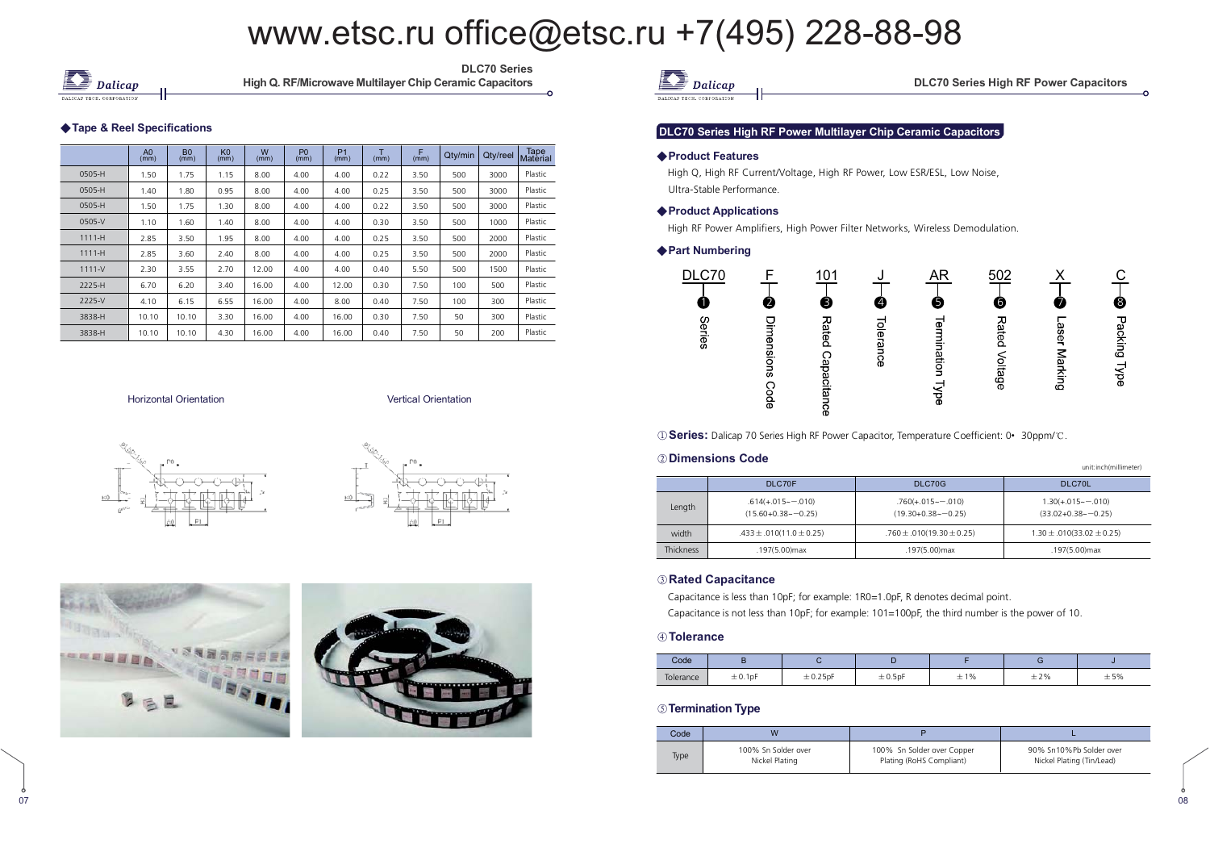

DLC70 Series High Q. RF/Microwave Multilayer Chip Ce

#### ◆ Tape & Reel Specifications

|            | A <sub>0</sub><br>(mm) | <b>B0</b><br>(mm) | $K0$<br>(mm) | W<br>(mm) | P <sub>0</sub><br>(mm) | P <sub>1</sub><br>(mm) | Ŧ<br>(mm) | F<br>(mm) | Qty/min | Qty/reel | Tape<br>Material |
|------------|------------------------|-------------------|--------------|-----------|------------------------|------------------------|-----------|-----------|---------|----------|------------------|
| 0505-H     | 1.50                   | 1.75              | 1.15         | 8.00      | 4.00                   | 4.00                   | 0.22      | 3.50      | 500     | 3000     | Plastic          |
| 0505-H     | 1.40                   | 1.80              | 0.95         | 8.00      | 4.00                   | 4.00                   | 0.25      | 3.50      | 500     | 3000     | Plastic          |
| 0505-H     | 1.50                   | 1.75              | 1.30         | 8.00      | 4.00                   | 4.00                   | 0.22      | 3.50      | 500     | 3000     | Plastic          |
| 0505-V     | 1.10                   | 1.60              | 1.40         | 8.00      | 4.00                   | 4.00                   | 0.30      | 3.50      | 500     | 1000     | Plastic          |
| $1111 - H$ | 2.85                   | 3.50              | 1.95         | 8.00      | 4.00                   | 4.00                   | 0.25      | 3.50      | 500     | 2000     | Plastic          |
| $1111 - H$ | 2.85                   | 3.60              | 2.40         | 8.00      | 4.00                   | 4.00                   | 0.25      | 3.50      | 500     | 2000     | Plastic          |
| $1111 - V$ | 2.30                   | 3.55              | 2.70         | 12.00     | 4.00                   | 4.00                   | 0.40      | 5.50      | 500     | 1500     | Plastic          |
| 2225-H     | 6.70                   | 6.20              | 3.40         | 16.00     | 4.00                   | 12.00                  | 0.30      | 7.50      | 100     | 500      | Plastic          |
| 2225-V     | 4.10                   | 6.15              | 6.55         | 16.00     | 4.00                   | 8.00                   | 0.40      | 7.50      | 100     | 300      | Plastic          |
| 3838-H     | 10.10                  | 10.10             | 3.30         | 16.00     | 4.00                   | 16.00                  | 0.30      | 7.50      | 50      | 300      | Plastic          |
| 3838-H     | 10.10                  | 10.10             | 4.30         | 16.00     | 4.00                   | 16.00                  | 0.40      | 7.50      | 50      | 200      | Plastic          |

**Horizontal Orientation** 

n **Contract Contract Contract Contract Contract Contract Contract Contract Contract Contract Contract Contract Contract Contract Contract Contract Contract Contract Contract Contract Contract Contract Contract Contract Con** 







07





unit:inch(millimeter)

#### DLC70 Series High RF Power Multilayer Chip Ceramic Capacitors

#### ◆ Product Features

 High Q, High RF Current/Voltage, High RF Power, Low ESR/ESL, Low Noise, Ultra-Stable Performance.

#### ◆ Product Applications

High RF Power Amplifiers, High Power Filter Networks, Wireless Demodulation.

#### ◆ Part Numbering



**1 Series:** Dalicap 70 Series High RF Power Capacitor, Temperature Coefficient: 0• 30ppm/<sup>.</sup>C.

#### ② Dimensions Code

|                  |                                                   |                                                    | ------------------------------                    |  |  |
|------------------|---------------------------------------------------|----------------------------------------------------|---------------------------------------------------|--|--|
|                  | DLC70F                                            | DLC70G                                             | DLC70L                                            |  |  |
| Length           | $.614(+.015\sim-.010)$<br>$(15.60 + 0.38 - 0.25)$ | $.760(+.015\sim-.010)$<br>$(19.30+0.38\sim -0.25)$ | $1.30(+.015\sim-.010)$<br>$(33.02 + 0.38 - 0.25)$ |  |  |
| width            | $.433 \pm .010(11.0 \pm 0.25)$                    | $.760 \pm .010(19.30 \pm 0.25)$                    | $1.30 \pm .010(33.02 \pm 0.25)$                   |  |  |
| <b>Thickness</b> | .197(5.00) max                                    | .197(5.00) max                                     | .197(5.00)max                                     |  |  |

#### 

Capacitance is less than 10pF; for example: 1R0=1.0pF, R denotes decimal point.

Capacitance is not less than 10pF; for example: 101=100pF, the third number is the power of 10.

#### **.**

 $\frac{1}{2}$ 

| Code      |         |               |              |                      |     |     |  |
|-----------|---------|---------------|--------------|----------------------|-----|-----|--|
| Tolerance | ± 0.1pF | $\pm 0.25$ pF | $\pm 0.5$ pF | 1%<br><b>__</b><br>ᆂ | ±2% | ±5% |  |

#### **<b>S** Termination Type

| Code | W                                     |                                                        |                                                      |  |  |
|------|---------------------------------------|--------------------------------------------------------|------------------------------------------------------|--|--|
| Type | 100% Sn Solder over<br>Nickel Plating | 100% Sn Solder over Copper<br>Plating (RoHS Compliant) | 90% Sn10%Pb Solder over<br>Nickel Plating (Tin/Lead) |  |  |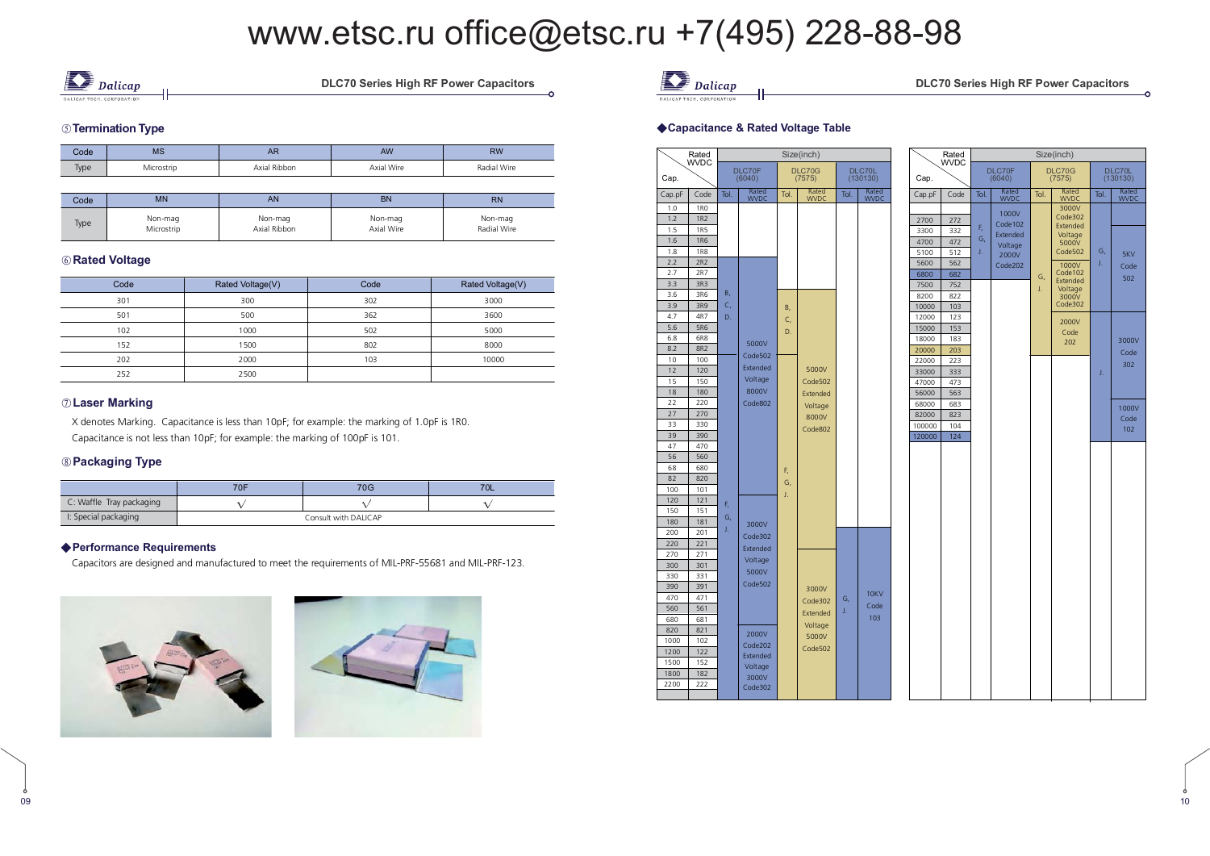

**DLC70 Series High RF Powe** 

#### $\circledcirc$  Termination Type

| Code | <b>MS</b> | <b>AR</b>    | AW         | RW          |  |
|------|-----------|--------------|------------|-------------|--|
| Type | icrostrin | Axial Ribbon | Axial Wire | Radial Wire |  |

| Code | <b>MN</b>  | AN           | <b>BN</b>  | <b>RN</b>   |
|------|------------|--------------|------------|-------------|
| Type | Non-mag    | Non-mag      | Non-mag    | Non-mag     |
|      | Microstrip | Axial Ribbon | Axial Wire | Radial Wire |

#### **6** Rated Voltage

| Code | Rated Voltage(V) | Code | Rated Voltage(V) |
|------|------------------|------|------------------|
| 301  | 300              | 302  | 3000             |
| 501  | 500              | 362  | 3600             |
| 102  | 1000             | 502  | 5000             |
| 152  | 1500             | 802  | 8000             |
| 202  | 2000             | 103  | 10000            |
| 252  | 2500             |      |                  |

#### $\oslash$  Laser Marking

 X denotes Marking. Capacitance is less than 10pF; for example: the marking of 1.0pF is 1R0. Capacitance is not less than 10pF; for example: the marking of 100pF is 101.

#### **-**

|                          | 70F                  | 70G |  |  |  |  |
|--------------------------|----------------------|-----|--|--|--|--|
| C: Waffle Tray packaging |                      |     |  |  |  |  |
| I: Special packaging     | Consult with DALICAP |     |  |  |  |  |

#### ◆ Performance Requirements

Capacitors are designed and manufactured to meet the requirements of MIL-PRF-55681 and MIL-PRF-123.







#### ries High RF Power Capacitors

DLC70L<br>(130130)

Tol. Rated

5KV Code 502

3000V Code 302

1000V Code----<br>102

#### ◆Capacitance & Rated Voltage Table

|        | Rated<br>WVDC |      |                     |      | Size(inch)       |      |                      |        | Rated<br><b>WVDC</b> |      |                  |      | Size(inch)          |  |
|--------|---------------|------|---------------------|------|------------------|------|----------------------|--------|----------------------|------|------------------|------|---------------------|--|
| Cap.   |               |      | DLC70F<br>(6040)    |      | DLC70G<br>(7575) |      | DLC70L<br>(130130)   | Cap.   |                      |      | DLC70F<br>(6040) |      | DLC70G<br>(7575)    |  |
| Cap.pF | Code          | Tol. | Rated<br>WVDC       | Tol. | Rated<br>WVDC    | Tol. | Rated<br><b>WVDC</b> | Cap.pF | Code                 | Tol. | Rated<br>WVDC    | Tol. | Rated<br>WVDC       |  |
| 1.0    | <b>1RO</b>    |      |                     |      |                  |      |                      |        |                      |      | 1000V            |      | 3000V               |  |
| 1.2    | <b>1R2</b>    |      |                     |      |                  |      |                      | 2700   | 272                  |      | Code102          |      | Code302             |  |
| 1.5    | <b>1R5</b>    |      |                     |      |                  |      |                      | 3300   | 332                  | F,   | Extended         |      | Extended<br>Voltage |  |
| 1.6    | <b>1R6</b>    |      |                     |      |                  |      |                      | 4700   | 472                  | G,   | Voltage          |      | 5000V               |  |
| 1.8    | <b>1R8</b>    |      |                     |      |                  |      |                      | 5100   | 512                  | J.   | 2000V            |      | Code502             |  |
| 2.2    | 2R2           |      |                     |      |                  |      |                      | 5600   | 562                  |      | Code202          |      | 1000V               |  |
| 2.7    | 2R7           |      |                     |      |                  |      |                      | 6800   | 682                  |      |                  | G,   | Code102             |  |
| 3.3    | 3R3           |      |                     |      |                  |      |                      | 7500   | 752                  |      |                  | J.   | Extended<br>Voltage |  |
| 3.6    | 3R6           | В,   |                     |      |                  |      |                      | 8200   | 822                  |      |                  |      | 3000V               |  |
| 3.9    | 3R9           | C,   |                     | B,   |                  |      |                      | 10000  | 103                  |      |                  |      | Code302             |  |
| 4.7    | 4R7           | D.   |                     | C,   |                  |      |                      | 12000  | 123                  |      |                  |      |                     |  |
| 5.6    | 5R6           |      |                     | D.   |                  |      |                      | 15000  | 153                  |      |                  |      | 2000V               |  |
| 6.8    | 6R8           |      |                     |      |                  |      |                      | 18000  | 183                  |      |                  |      | Code<br>202         |  |
| 8.2    | <b>8R2</b>    |      | 5000V               |      |                  |      |                      | 20000  | 203                  |      |                  |      |                     |  |
| 10     | 100           |      | Code502             |      |                  |      |                      | 22000  | 223                  |      |                  |      |                     |  |
| 12     | 120           |      | Extended            |      | 5000V            |      |                      | 33000  | 333                  |      |                  |      |                     |  |
| 15     | 150           |      | Voltage             |      | Code502          |      |                      | 47000  | 473                  |      |                  |      |                     |  |
| 18     | 180           |      | 8000V               |      | Extended         |      |                      | 56000  | 563                  |      |                  |      |                     |  |
| 22     | 220           |      | Code802             |      | Voltage          |      |                      | 68000  | 683                  |      |                  |      |                     |  |
| 27     | 270           |      |                     |      | 8000V            |      |                      | 82000  | 823                  |      |                  |      |                     |  |
| 33     | 330           |      |                     |      | Code802          |      |                      | 100000 | 104                  |      |                  |      |                     |  |
| 39     | 390           |      |                     |      |                  |      |                      | 120000 | 124                  |      |                  |      |                     |  |
| 47     | 470           |      |                     |      |                  |      |                      |        |                      |      |                  |      |                     |  |
| 56     | 560           |      |                     |      |                  |      |                      |        |                      |      |                  |      |                     |  |
| 68     | 680           |      |                     | F,   |                  |      |                      |        |                      |      |                  |      |                     |  |
| 82     | 820           |      |                     | G,   |                  |      |                      |        |                      |      |                  |      |                     |  |
| 100    | 101           |      |                     |      |                  |      |                      |        |                      |      |                  |      |                     |  |
| 120    | 121           | F,   |                     | J.   |                  |      |                      |        |                      |      |                  |      |                     |  |
| 150    | 151           |      |                     |      |                  |      |                      |        |                      |      |                  |      |                     |  |
| 180    | 181           | G,   | 3000V               |      |                  |      |                      |        |                      |      |                  |      |                     |  |
| 200    | 201           | J.   | Code302             |      |                  |      |                      |        |                      |      |                  |      |                     |  |
| 220    | 221           |      | Extended            |      |                  |      |                      |        |                      |      |                  |      |                     |  |
| 270    | 271           |      |                     |      |                  |      |                      |        |                      |      |                  |      |                     |  |
| 300    | 301           |      | Voltage             |      |                  |      |                      |        |                      |      |                  |      |                     |  |
| 330    | 331           |      | 5000V               |      |                  |      |                      |        |                      |      |                  |      |                     |  |
| 390    | 391           |      | Code502             |      | 3000V            |      |                      |        |                      |      |                  |      |                     |  |
| 470    | 471           |      |                     |      | Code302          | G,   | 10KV                 |        |                      |      |                  |      |                     |  |
| 560    | 561           |      |                     |      |                  | J.   | Code                 |        |                      |      |                  |      |                     |  |
| 680    | 681           |      |                     |      | Extended         |      | 103                  |        |                      |      |                  |      |                     |  |
| 820    | 821           |      |                     |      | Voltage          |      |                      |        |                      |      |                  |      |                     |  |
| 1000   | 102           |      | 2000V               |      | 5000V            |      |                      |        |                      |      |                  |      |                     |  |
| 1200   | 122           |      | Code202<br>Extended |      | Code502          |      |                      |        |                      |      |                  |      |                     |  |
| 1500   | 152           |      |                     |      |                  |      |                      |        |                      |      |                  |      |                     |  |
| 1800   | 182           |      | Voltage<br>3000V    |      |                  |      |                      |        |                      |      |                  |      |                     |  |
| 2200   | 222           |      | Code302             |      |                  |      |                      |        |                      |      |                  |      |                     |  |
|        |               |      |                     |      |                  |      |                      |        |                      |      |                  |      |                     |  |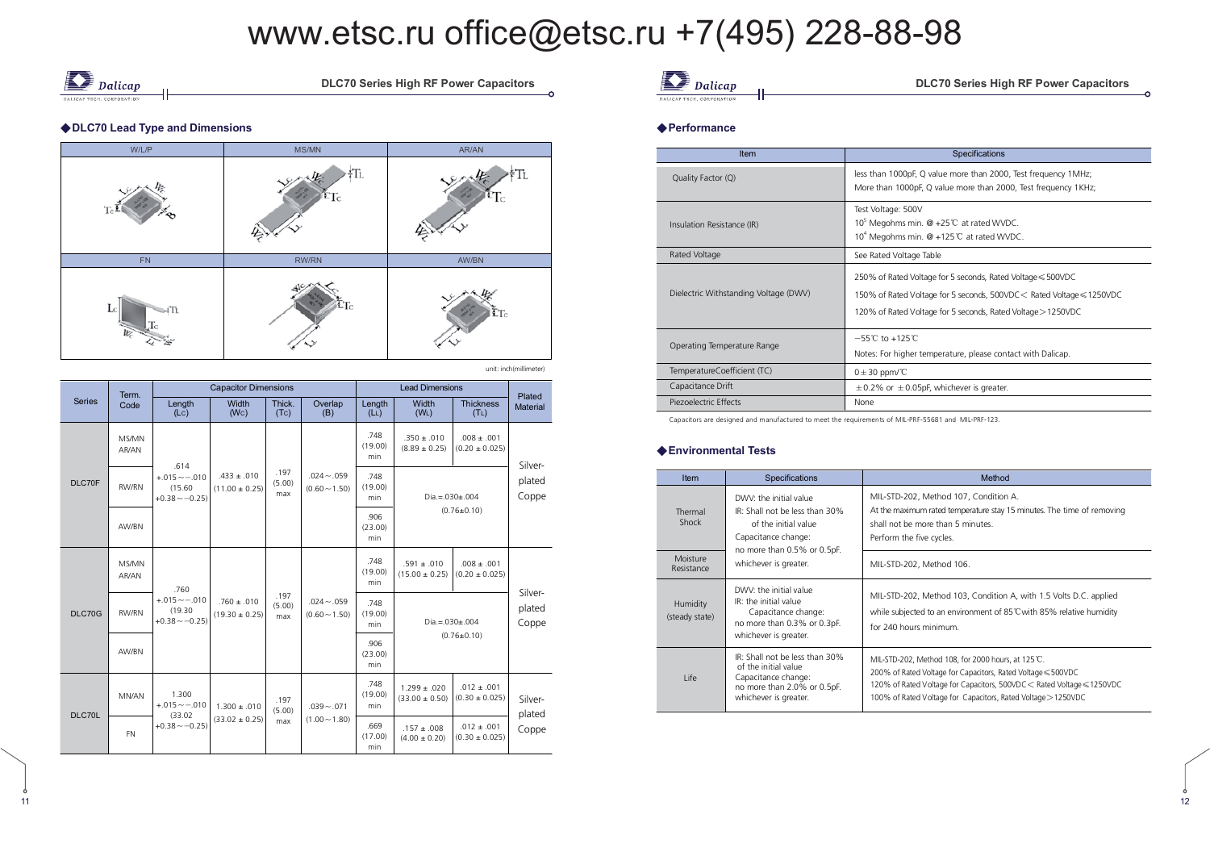$\frac{1}{2}$ 



))

**DLC70 Series High RF Powe** 

#### ◆ DLC70 Lead Type and Dimensions



unit: inch(millimeter)

|               | Term.          |                                               | <b>Capacitor Dimensions</b>           |                       |                                  |                                  | <b>Lead Dimensions</b>                        |                                       |                           |  |
|---------------|----------------|-----------------------------------------------|---------------------------------------|-----------------------|----------------------------------|----------------------------------|-----------------------------------------------|---------------------------------------|---------------------------|--|
| <b>Series</b> | Code           | Length<br>(Lc)                                | Width<br>(Wc)                         | Thick.<br>(Tc)        | Overlap<br>(B)                   | Length<br>(L <sub>L</sub> )      | Width<br>(W <sub>L</sub> )                    | <b>Thickness</b><br>(T <sub>L</sub> ) | Plated<br><b>Material</b> |  |
|               | MS/MN<br>AR/AN | .614                                          |                                       |                       |                                  | .748<br>(19.00)<br>min.          | $.350 \pm .010$<br>$(8.89 \pm 0.25)$          | $.008 \pm .001$<br>$(0.20 \pm 0.025)$ | Silver-                   |  |
| DLC70F        | RW/RN          | $+.015 - -.010$<br>(15.60)<br>$+0.38 - -0.25$ | $.433 \pm .010$<br>$(11.00 \pm 0.25)$ | .197<br>(5.00)<br>max |                                  | $.024 - .059$<br>$(0.60 - 1.50)$ | .748<br>(19.00)<br>$Dia = 030 \pm 004$<br>min |                                       | plated<br>Coppe           |  |
|               | AW/BN          |                                               |                                       |                       |                                  | .906<br>(23.00)<br>min           |                                               | $(0.76 \pm 0.10)$                     |                           |  |
|               | MS/MN<br>AR/AN | .760                                          |                                       | .197<br>(5.00)<br>max |                                  | .748<br>(19.00)<br>min           | $.591 \pm .010$<br>$(15.00 \pm 0.25)$         | $.008 \pm .001$<br>$(0.20 \pm 0.025)$ |                           |  |
| DLC70G        | RW/RN          | $+.015 - .010$<br>(19.30)<br>$+0.38 - -0.25$  | $.760 \pm .010$<br>$(19.30 \pm 0.25)$ |                       | $.024 - .059$<br>$(0.60 - 1.50)$ | .748<br>(19.00)<br>min           | $Dia = 0.030 \pm 0.004$                       | Silver-<br>plated<br>Coppe            |                           |  |
|               | AW/BN          |                                               |                                       |                       |                                  | .906<br>(23.00)<br>min           |                                               | $(0.76 \pm 0.10)$                     |                           |  |
| DLC70L        | MN/AN          | 1.300<br>$+.015 - .010$<br>(33.02)            | $1.300 \pm .010$                      | .197<br>(5.00)        | $.039 - .071$                    | .748<br>(19.00)<br>min           | $1.299 \pm .020$<br>$(33.00 \pm 0.50)$        | $.012 \pm .001$<br>$(0.30 \pm 0.025)$ | Silver-<br>plated         |  |
|               | <b>FN</b>      | $+0.38 - -0.25$                               | $(33.02 \pm 0.25)$                    | max                   | $(1.00 - 1.80)$                  | .669<br>(17.00)<br>min           | $.157 \pm .008$<br>$(4.00 \pm 0.20)$          | $.012 \pm .001$<br>$(0.30 \pm 0.025)$ | Coppe                     |  |

*Dalicap* 

#### ries High RF Power Capacitors

ċ

#### ◆ Performance

| <b>Item</b>                           | <b>Specifications</b>                                                                                                                                                                                |
|---------------------------------------|------------------------------------------------------------------------------------------------------------------------------------------------------------------------------------------------------|
| Quality Factor (Q)                    | less than 1000pF, Q value more than 2000, Test frequency 1MHz;<br>More than 1000pF, Q value more than 2000, Test frequency 1KHz;                                                                     |
| Insulation Resistance (IR)            | Test Voltage: 500V<br>10 <sup>5</sup> Megohms min. @ +25°C at rated WVDC.<br>10 <sup>4</sup> Megohms min. @ +125 °C at rated WVDC.                                                                   |
| Rated Voltage                         | See Rated Voltage Table                                                                                                                                                                              |
| Dielectric Withstanding Voltage (DWV) | 250% of Rated Voltage for 5 seconds, Rated Voltage ≤ 500VDC<br>150% of Rated Voltage for 5 seconds, 500VDC < Rated Voltage ≤ 1250VDC<br>120% of Rated Voltage for 5 seconds, Rated Voltage > 1250VDC |
| Operating Temperature Range           | $-55^{\circ}$ C to $+125^{\circ}$ C<br>Notes: For higher temperature, please contact with Dalicap.                                                                                                   |
| TemperatureCoefficient (TC)           | $0 \pm 30$ ppm/°C                                                                                                                                                                                    |
| Capacitance Drift                     | $\pm$ 0.2% or $\pm$ 0.05pF, whichever is greater.                                                                                                                                                    |
| Piezoelectric Effects                 | None                                                                                                                                                                                                 |
|                                       |                                                                                                                                                                                                      |

Capacitors are designed and manufactured to meet the requirements of MIL-PRF-55681 and MIL-PRF-123.

#### $\blacklozenge$  Environmental Tests

| Item                       | Specifications                                                                                                                         | Method                                                                                                                                                                                                                                                         |
|----------------------------|----------------------------------------------------------------------------------------------------------------------------------------|----------------------------------------------------------------------------------------------------------------------------------------------------------------------------------------------------------------------------------------------------------------|
| Thermal<br>Shock           | DWV: the initial value<br>IR: Shall not be less than 30%<br>of the initial value<br>Capacitance change:<br>no more than 0.5% or 0.5pF. | MIL-STD-202, Method 107, Condition A.<br>At the maximum rated temperature stay 15 minutes. The time of removing<br>shall not be more than 5 minutes.<br>Perform the five cycles.                                                                               |
| Moisture<br>Resistance     | whichever is greater.                                                                                                                  | MIL-STD-202, Method 106.                                                                                                                                                                                                                                       |
| Humidity<br>(steady state) | DWV: the initial value<br>IR: the initial value<br>Capacitance change:<br>no more than 0.3% or 0.3pF.<br>whichever is greater.         | MIL-STD-202, Method 103, Condition A, with 1.5 Volts D.C. applied<br>while subjected to an environment of 85 °C with 85% relative humidity<br>for 240 hours minimum.                                                                                           |
| I ife                      | IR: Shall not be less than 30%<br>of the initial value<br>Capacitance change:<br>no more than 2.0% or 0.5pF.<br>whichever is greater.  | MIL-STD-202, Method 108, for 2000 hours, at 125 °C.<br>200% of Rated Voltage for Capacitors, Rated Voltage ≤ 500VDC<br>120% of Rated Voltage for Capacitors, 500VDC < Rated Voltage ≤ 1250VDC<br>100% of Rated Voltage for Capacitors, Rated Voltage > 1250VDC |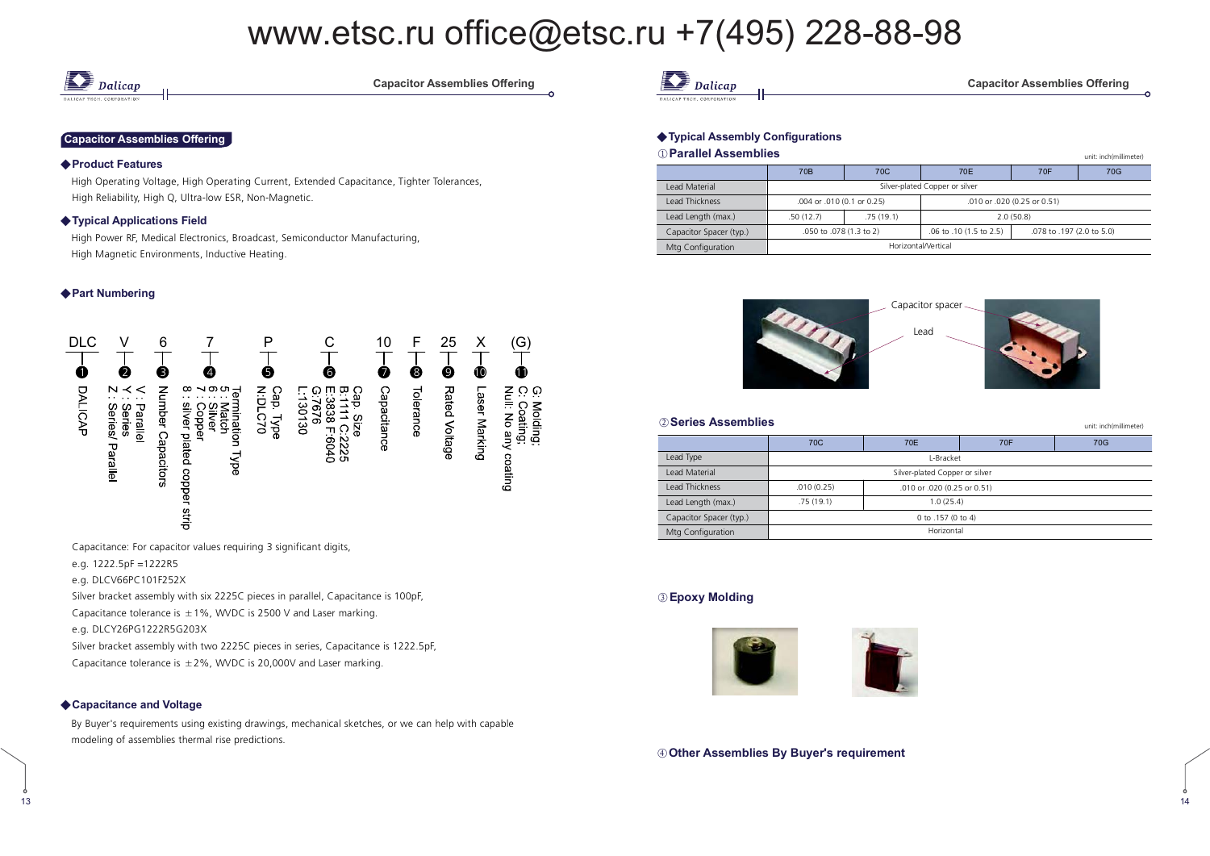

**Capacitor Assemblies Offe** 

#### **Capacitor Assemblies Offering**

#### ◆ Product Features

High Operating Voltage, High Operating Current, Extended Capacitance, Tighter Tolerances, High Reliability, High Q, Ultra-low ESR, Non-Magnetic.

#### Typical Applications Field

 High Power RF, Medical Electronics, Broadcast, Semiconductor Manufacturing, High Magnetic Environments, Inductive Heating.

#### ◆ Part Numbering



Capacitance: For capacitor values requiring 3 significant digits,

e.g. 1222.5pF =1222R5

e.g. DLCV66PC101F252X

Silver bracket assembly with six 2225C pieces in parallel, Capacitance is 100pF,

Capacitance tolerance is  $\pm 1\%$ , WVDC is 2500 V and Laser marking.

e.g. DLCY26PG1222R5G203X

Silver bracket assembly with two 2225C pieces in series, Capacitance is 1222.5pF,

Capacitance tolerance is  $\pm 2\%$ , WVDC is 20,000V and Laser marking.

#### ◆ Capacitance and Voltage

)/

By Buyer's requirements using existing drawings, mechanical sketches, or we can help with capable modeling of assemblies thermal rise predictions.

**12** Dalicap

mblies Offering

unit: inch(millimeter)

#### ◆ Typical Assembly Configurations

#### $\textcircled{\scriptsize{1}}$  Parallel Assemblies

|                         | 70 <sub>B</sub>            | 70 <sub>C</sub>                | 70E                                                  | 70F       | 70G |  |  |  |
|-------------------------|----------------------------|--------------------------------|------------------------------------------------------|-----------|-----|--|--|--|
| I ead Material          |                            | Silver-plated Copper or silver |                                                      |           |     |  |  |  |
| <b>Lead Thickness</b>   | .004 or .010 (0.1 or 0.25) |                                | .010 or .020 (0.25 or 0.51)                          |           |     |  |  |  |
| Lead Length (max.)      | .50(12.7)                  | .75(19.1)                      |                                                      | 2.0(50.8) |     |  |  |  |
| Capacitor Spacer (typ.) | .050 to .078 (1.3 to 2)    |                                | .06 to .10 (1.5 to 2.5)<br>.078 to .197 (2.0 to 5.0) |           |     |  |  |  |
| Mtg Configuration       | Horizontal/Vertical        |                                |                                                      |           |     |  |  |  |



| 2 Series Assemblies<br>unit: inch(millimeter) |                 |                                |     |  |  |  |  |  |  |  |
|-----------------------------------------------|-----------------|--------------------------------|-----|--|--|--|--|--|--|--|
|                                               | 70 <sub>C</sub> | 70F                            | 70G |  |  |  |  |  |  |  |
| Lead Type                                     |                 | L-Bracket                      |     |  |  |  |  |  |  |  |
| l ead Material                                |                 | Silver-plated Copper or silver |     |  |  |  |  |  |  |  |
| <b>Lead Thickness</b>                         | .010(0.25)      | .010 or .020 (0.25 or 0.51)    |     |  |  |  |  |  |  |  |
| Lead Length (max.)                            | .75(19.1)       | 1.0(25.4)                      |     |  |  |  |  |  |  |  |
| Capacitor Spacer (typ.)                       |                 | 0 to .157 (0 to 4)             |     |  |  |  |  |  |  |  |
| Mtg Configuration                             |                 | Horizontal                     |     |  |  |  |  |  |  |  |
|                                               |                 |                                |     |  |  |  |  |  |  |  |

#### **(3) Epoxy Molding**

 $\frac{1}{3}$ 



**)! .
 11 .2. .**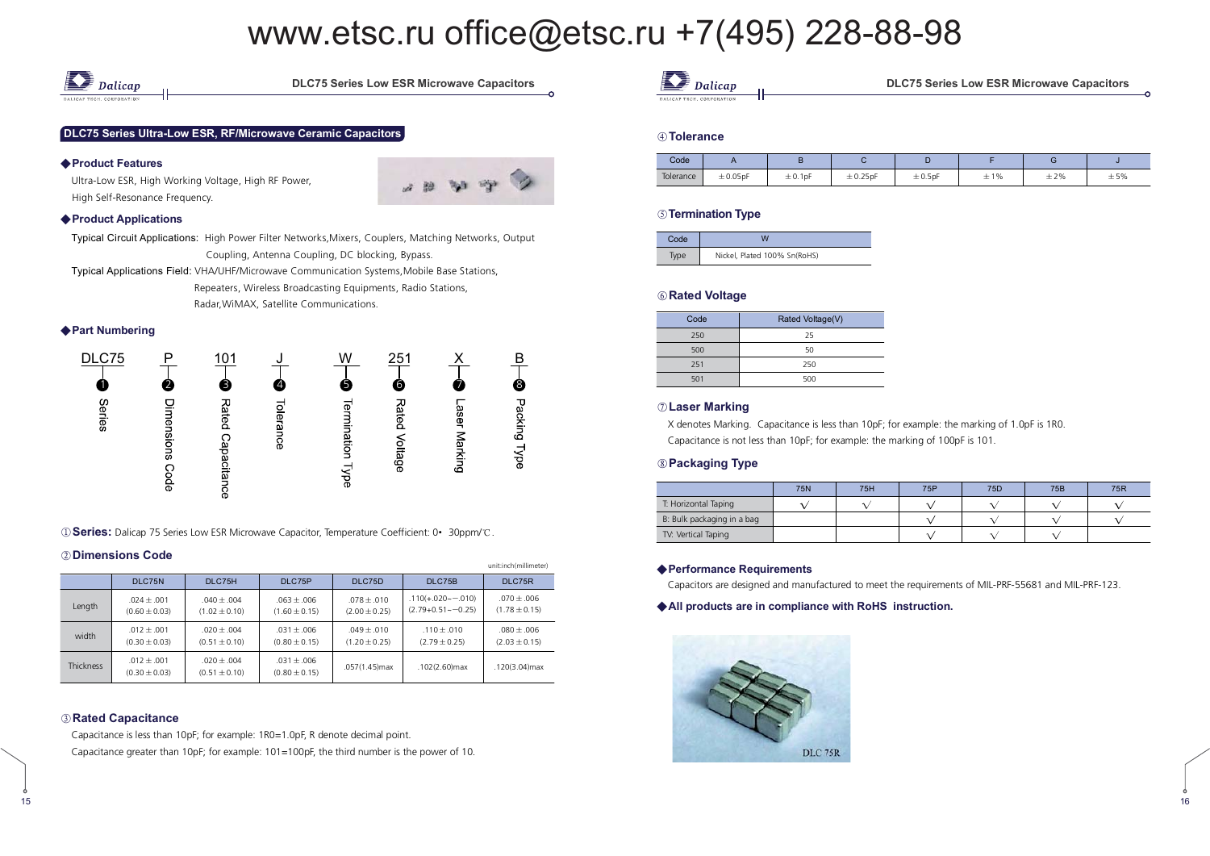

**/4 . /%(.%& . /4** 

#### DLC75 Series Ultra-Low ESR, RF/Microwave Ceramic Capacitors

#### ◆ Product Features

Ultra-Low ESR, High Working Voltage, High RF Power, High Self-Resonance Frequency.



#### ◆ Product Applications

Typical Circuit Applications: High Power Filter Networks,Mixers, Couplers, Matching Networks, Output Coupling, Antenna Coupling, DC blocking, Bypass.

Typical Applications Field: VHA/UHF/Microwave Communication Systems,Mobile Base Stations, Repeaters, Wireless Broadcasting Equipments, Radio Stations, Radar,WiMAX, Satellite Communications.

◆ Part Numbering



**1 Dividence:** Dalicap 75 Series Low ESR Microwave Capacitor, Temperature Coefficient: 0• 30ppm/°C.

#### 2 Dimensions Code

|                  |                                      |                                      |                                      |                                    |                                                    | unit:inch(millimeter)              |
|------------------|--------------------------------------|--------------------------------------|--------------------------------------|------------------------------------|----------------------------------------------------|------------------------------------|
|                  | DLC75N                               | DLC75H                               | DLC75P                               | DLC75D                             | DLC75B                                             | DLC75R                             |
| Length           | $.024 \pm .001$<br>$(0.60 \pm 0.03)$ | $.040 + .004$<br>$(1.02 \pm 0.10)$   | $.063 + .006$<br>$(1.60 \pm 0.15)$   | $.078 + .010$<br>$(2.00 \pm 0.25)$ | $.110(+.020\sim-.010)$<br>$(2.79+0.51 \sim -0.25)$ | $.070 + .006$<br>$(1.78 \pm 0.15)$ |
| width            | $.012 + .001$<br>$(0.30 \pm 0.03)$   | $.020 \pm .004$<br>$(0.51 \pm 0.10)$ | $.031 + .006$<br>$(0.80 \pm 0.15)$   | $.049 + .010$<br>$(1.20 \pm 0.25)$ | $.110 + .010$<br>$(2.79 \pm 0.25)$                 | $.080 + .006$<br>$(2.03 \pm 0.15)$ |
| <b>Thickness</b> | $.012 + .001$<br>$(0.30 \pm 0.03)$   | $.020 + .004$<br>$(0.51 \pm 0.10)$   | $.031 \pm .006$<br>$(0.80 \pm 0.15)$ | $.057(1.45)$ max                   | $.102(2.60)$ max                                   | .120(3.04) max                     |

#### 

Capacitance is less than 10pF; for example: 1R0=1.0pF, R denote decimal point.

Capacitance greater than 10pF; for example: 101=100pF, the third number is the power of 10.

| n<br>,,,,,,,, |
|---------------|
|               |

ries Low ESR Microwave Capacitors

#### **A** Tolerance

| Code      | $\cdots$      |            |              |              |     |     |     |  |
|-----------|---------------|------------|--------------|--------------|-----|-----|-----|--|
| Tolerance | $\pm 0.05$ pF | $± 0.1$ pF | $\pm$ 0.25pF | $\pm 0.5$ pF | ±1% | ±2% | ±5% |  |

#### **5** Termination Type

| Code |                              |
|------|------------------------------|
|      | Nickel, Plated 100% Sn(RoHS) |

#### **6** Rated Voltage

| Code | Rated Voltage(V) |
|------|------------------|
| 250  | 25               |
| 500  | 50               |
| 251  | 250              |
| 501  | 500              |

#### $\oslash$  Laser Marking

 X denotes Marking. Capacitance is less than 10pF; for example: the marking of 1.0pF is 1R0. Capacitance is not less than 10pF; for example: the marking of 100pF is 101.

#### **-**

|                            | 75N | 75H | 75P | 75D | 75B | <b>75R</b> |
|----------------------------|-----|-----|-----|-----|-----|------------|
| T: Horizontal Taping       |     |     |     |     |     |            |
| B: Bulk packaging in a bag |     |     |     |     |     |            |
| TV: Vertical Taping        |     |     |     |     |     |            |

#### ◆ Performance Requirements

Capacitors are designed and manufactured to meet the requirements of MIL-PRF-55681 and MIL-PRF-123.

#### All products are in compliance with RoHS instruction.

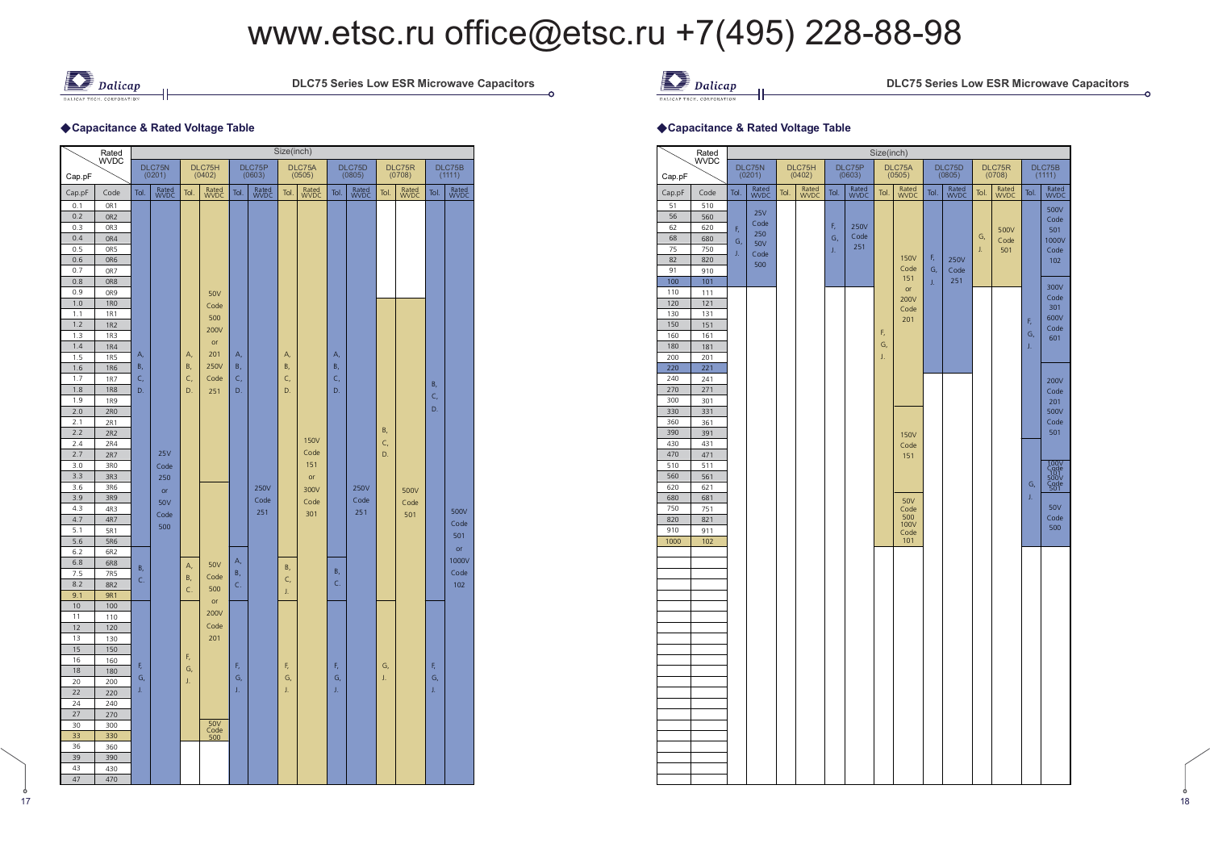$\frac{1}{2}$ 



)

-6

**DLC75 Series Low ESR Microwave** 

### ◆ Capacitance & Rated Voltage Table

|            | Rated           |                                      |               |      |                                      |            |               | Size(inch) |                  |                  |               |                  |               |            |               |
|------------|-----------------|--------------------------------------|---------------|------|--------------------------------------|------------|---------------|------------|------------------|------------------|---------------|------------------|---------------|------------|---------------|
|            | <b>WVDC</b>     | DLC75N<br>DLC75H<br>(0201)<br>(0402) |               |      | DLC75P<br>DLC75A<br>(0603)<br>(0505) |            |               |            | DLC75D<br>(0805) | DLC75R<br>(0708) |               | DLC75B<br>(1111) |               |            |               |
| Cap.pF     |                 |                                      |               |      |                                      |            |               |            |                  |                  |               |                  |               |            |               |
| Cap.pF     | Code            | Tol.                                 | Rated<br>WVDC | Tol. | Rated<br>WVDC                        | Tol.       | Rated<br>WVDC | Tol.       | Rated<br>WVDC    | Tol.             | Rated<br>WVDC | Tol.             | Rated<br>WVDC | Tol.       | Rated<br>WVDC |
| 0.1        | OR1             |                                      |               |      |                                      |            |               |            |                  |                  |               |                  |               |            |               |
| 0.2<br>0.3 | OR <sub>2</sub> |                                      |               |      |                                      |            |               |            |                  |                  |               |                  |               |            |               |
| 0.4        | OR3             |                                      |               |      |                                      |            |               |            |                  |                  |               |                  |               |            |               |
| 0.5        | OR4<br>OR5      |                                      |               |      |                                      |            |               |            |                  |                  |               |                  |               |            |               |
| 0.6        | OR6             |                                      |               |      |                                      |            |               |            |                  |                  |               |                  |               |            |               |
| 0.7        | OR7             |                                      |               |      |                                      |            |               |            |                  |                  |               |                  |               |            |               |
| 0.8        | OR <sub>8</sub> |                                      |               |      |                                      |            |               |            |                  |                  |               |                  |               |            |               |
| 0.9        | OR9             |                                      |               |      | 50V                                  |            |               |            |                  |                  |               |                  |               |            |               |
| 1.0        | <b>1RO</b>      |                                      |               |      | Code                                 |            |               |            |                  |                  |               |                  |               |            |               |
| 1.1        | 1R1             |                                      |               |      | 500                                  |            |               |            |                  |                  |               |                  |               |            |               |
| 1.2        | <b>1R2</b>      |                                      |               |      | 200V                                 |            |               |            |                  |                  |               |                  |               |            |               |
| 1.3        | <b>1R3</b>      |                                      |               |      |                                      |            |               |            |                  |                  |               |                  |               |            |               |
| 1.4        | <b>1R4</b>      |                                      |               |      | or                                   |            |               |            |                  |                  |               |                  |               |            |               |
| 1.5        | <b>1R5</b>      | А,                                   |               | А,   | 201                                  | А,         |               | А,         |                  | А,               |               |                  |               |            |               |
| 1.6        | <b>1R6</b>      | B,                                   |               | B,   | <b>250V</b>                          | <b>B</b> , |               | B,         |                  | B,               |               |                  |               |            |               |
| 1.7        | <b>1R7</b>      | C,                                   |               | C,   | Code                                 | C,         |               | C,         |                  | C,               |               |                  |               | <b>B</b> , |               |
| 1.8        | <b>1R8</b>      | D.                                   |               | D.   | 251                                  | D.         |               | D.         |                  | D.               |               |                  |               | C,         |               |
| 1.9        | <b>1R9</b>      |                                      |               |      |                                      |            |               |            |                  |                  |               |                  |               | D.         |               |
| 2.0        | 2R0             |                                      |               |      |                                      |            |               |            |                  |                  |               |                  |               |            |               |
| 2.1        | 2R1             |                                      |               |      |                                      |            |               |            |                  |                  |               | B,               |               |            |               |
| 2.2        | 2R2             |                                      |               |      |                                      |            |               |            | <b>150V</b>      |                  |               | C,               |               |            |               |
| 2.4        | 2R4             |                                      | 25V           |      |                                      |            |               |            | Code             |                  |               | D.               |               |            |               |
| 2.7<br>3.0 | 2R7<br>3RO      |                                      | Code          |      |                                      |            |               |            | 151              |                  |               |                  |               |            |               |
| 3.3        | 3R3             |                                      |               |      |                                      |            |               |            |                  |                  |               |                  |               |            |               |
| 3.6        | 3R6             |                                      | 250           |      |                                      |            | <b>250V</b>   |            | or               |                  | 250V          |                  |               |            |               |
| 3.9        | 3R9             |                                      | or            |      |                                      |            |               |            | 300V             |                  |               |                  | 500V          |            |               |
| 4.3        | 4R3             |                                      | 50V           |      |                                      |            | Code          |            | Code             |                  | Code          |                  | Code          |            |               |
| 4.7        | 4R7             |                                      | Code          |      |                                      |            | 251           |            | 301              |                  | 251           |                  | 501           |            | 500V          |
| 5.1        | 5R1             |                                      | 500           |      |                                      |            |               |            |                  |                  |               |                  |               |            | Code          |
| 5.6        | <b>5R6</b>      |                                      |               |      |                                      |            |               |            |                  |                  |               |                  |               |            | 501           |
| 6.2        | 6R <sub>2</sub> |                                      |               |      |                                      |            |               |            |                  |                  |               |                  |               |            | or            |
| 6.8        | 6R8             |                                      |               | А,   | 50V                                  | А,         |               | B,         |                  |                  |               |                  |               |            | 1000V         |
| 7.5        | 7R5             | Β,                                   |               | Β,   | Code                                 | <b>B</b> , |               |            |                  | В,               |               |                  |               |            | Code          |
| 8.2        | 8R2             | C.                                   |               | C.   | 500                                  | C.         |               | C,         |                  | C.               |               |                  |               |            | 102           |
| 9.1        | <b>9R1</b>      |                                      |               |      | or                                   |            |               | J.         |                  |                  |               |                  |               |            |               |
| 10         | 100             |                                      |               |      | 200V                                 |            |               |            |                  |                  |               |                  |               |            |               |
| 11         | 110             |                                      |               |      |                                      |            |               |            |                  |                  |               |                  |               |            |               |
| 12         | 120             |                                      |               |      | Code                                 |            |               |            |                  |                  |               |                  |               |            |               |
| 13         | 130             |                                      |               |      | 201                                  |            |               |            |                  |                  |               |                  |               |            |               |
| 15<br>16   | 150             |                                      |               | F,   |                                      |            |               |            |                  |                  |               |                  |               |            |               |
| 18         | 160<br>180      | F,                                   |               | G,   |                                      | F,         |               | F,         |                  | F,               |               | G,               |               | F,         |               |
| 20         | 200             | G,                                   |               | J.   |                                      | G,         |               | G,         |                  | G,               |               | J.               |               | G,         |               |
| 22         | 220             | J.                                   |               |      |                                      | J,         |               | J.         |                  | J.               |               |                  |               | J.         |               |
| 24         | 240             |                                      |               |      |                                      |            |               |            |                  |                  |               |                  |               |            |               |
| 27         | 270             |                                      |               |      |                                      |            |               |            |                  |                  |               |                  |               |            |               |
| 30         | 300             |                                      |               |      | 50V                                  |            |               |            |                  |                  |               |                  |               |            |               |
| 33         | 330             |                                      |               |      | Code<br>500                          |            |               |            |                  |                  |               |                  |               |            |               |
| 36         | 360             |                                      |               |      |                                      |            |               |            |                  |                  |               |                  |               |            |               |
| 39         | 390             |                                      |               |      |                                      |            |               |            |                  |                  |               |                  |               |            |               |
| 43         | 430             |                                      |               |      |                                      |            |               |            |                  |                  |               |                  |               |            |               |
| 47         | 470             |                                      |               |      |                                      |            |               |            |                  |                  |               |                  |               |            |               |



ries Low ESR Microwave Capacitors

ċ

#### ◆Capacitance & Rated Voltage Table

|            | Rated       |      |                  |      |                  |      |                  | Size(inch) |                  |      |                  |      |                  |      |                      |
|------------|-------------|------|------------------|------|------------------|------|------------------|------------|------------------|------|------------------|------|------------------|------|----------------------|
| Cap.pF     | <b>WVDC</b> |      | DLC75N<br>(0201) |      | DLC75H<br>(0402) |      | DLC75P<br>(0603) |            | DLC75A<br>(0505) |      | DLC75D<br>(0805) |      | DLC75R<br>(0708) |      | DLC75B<br>(1111)     |
| Cap.pF     | Code        | Tol. | Rated<br>WVDC    | Tol. | Rated<br>WVDC    | Tol. | Rated<br>WVDC    | Tol.       | Rated<br>WVDC    | Tol. | Rated<br>WVDC    | Tol. | Rated<br>WVDC    | Tol. | Rated<br>WVDC        |
| 51         | 510         |      |                  |      |                  |      |                  |            |                  |      |                  |      |                  |      | 500V                 |
| 56         | 560         |      | <b>25V</b>       |      |                  |      |                  |            |                  |      |                  |      |                  |      | Code                 |
| 62         | 620         | F,   | Code<br>250      |      |                  | F,   | 250V             |            |                  |      |                  |      | 500V             |      | 501                  |
| 68<br>75   | 680         | G,   | <b>50V</b>       |      |                  | G,   | Code<br>251      |            |                  |      |                  | G,   | Code             |      | 1000V                |
| 82         | 750<br>820  | J.   | Code             |      |                  | J.   |                  |            | <b>150V</b>      | F,   | <b>250V</b>      | J.   | 501              |      | Code<br>102          |
| 91         | 910         |      | 500              |      |                  |      |                  |            | Code             | G,   | Code             |      |                  |      |                      |
| 100        | 101         |      |                  |      |                  |      |                  |            | 151              | J.   | 251              |      |                  |      |                      |
| 110        | 111         |      |                  |      |                  |      |                  |            | or<br>200V       |      |                  |      |                  |      | 300V<br>Code         |
| 120        | 121         |      |                  |      |                  |      |                  |            | Code             |      |                  |      |                  |      | 301                  |
| 130        | 131         |      |                  |      |                  |      |                  |            | 201              |      |                  |      |                  | F,   | 600V                 |
| 150<br>160 | 151<br>161  |      |                  |      |                  |      |                  | F,         |                  |      |                  |      |                  | G,   | Code                 |
| 180        | 181         |      |                  |      |                  |      |                  | G,         |                  |      |                  |      |                  | J.   | 601                  |
| 200        | 201         |      |                  |      |                  |      |                  | J.         |                  |      |                  |      |                  |      |                      |
| 220        | 221         |      |                  |      |                  |      |                  |            |                  |      |                  |      |                  |      |                      |
| 240        | 241         |      |                  |      |                  |      |                  |            |                  |      |                  |      |                  |      | 200V                 |
| 270<br>300 | 271<br>301  |      |                  |      |                  |      |                  |            |                  |      |                  |      |                  |      | Code                 |
| 330        | 331         |      |                  |      |                  |      |                  |            |                  |      |                  |      |                  |      | 201<br>500V          |
| 360        | 361         |      |                  |      |                  |      |                  |            |                  |      |                  |      |                  |      | Code                 |
| 390        | 391         |      |                  |      |                  |      |                  |            | <b>150V</b>      |      |                  |      |                  |      | 501                  |
| 430        | 431         |      |                  |      |                  |      |                  |            | Code             |      |                  |      |                  |      |                      |
| 470        | 471         |      |                  |      |                  |      |                  |            | 151              |      |                  |      |                  |      |                      |
| 510<br>560 | 511<br>561  |      |                  |      |                  |      |                  |            |                  |      |                  |      |                  |      | 100V<br>Code<br>500V |
| 620        | 621         |      |                  |      |                  |      |                  |            |                  |      |                  |      |                  | G,   | -99e<br>501          |
| 680        | 681         |      |                  |      |                  |      |                  |            | <b>50V</b>       |      |                  |      |                  | J.   |                      |
| 750        | 751         |      |                  |      |                  |      |                  |            | Code             |      |                  |      |                  |      | 50V                  |
| 820        | 821         |      |                  |      |                  |      |                  |            | 500<br>100V      |      |                  |      |                  |      | Code                 |
| 910        | 911         |      |                  |      |                  |      |                  |            | Code             |      |                  |      |                  |      | 500                  |
| 1000       | 102         |      |                  |      |                  |      |                  |            | 101              |      |                  |      |                  |      |                      |
|            |             |      |                  |      |                  |      |                  |            |                  |      |                  |      |                  |      |                      |
|            |             |      |                  |      |                  |      |                  |            |                  |      |                  |      |                  |      |                      |
|            |             |      |                  |      |                  |      |                  |            |                  |      |                  |      |                  |      |                      |
|            |             |      |                  |      |                  |      |                  |            |                  |      |                  |      |                  |      |                      |
|            |             |      |                  |      |                  |      |                  |            |                  |      |                  |      |                  |      |                      |
|            |             |      |                  |      |                  |      |                  |            |                  |      |                  |      |                  |      |                      |
|            |             |      |                  |      |                  |      |                  |            |                  |      |                  |      |                  |      |                      |
|            |             |      |                  |      |                  |      |                  |            |                  |      |                  |      |                  |      |                      |
|            |             |      |                  |      |                  |      |                  |            |                  |      |                  |      |                  |      |                      |
|            |             |      |                  |      |                  |      |                  |            |                  |      |                  |      |                  |      |                      |
|            |             |      |                  |      |                  |      |                  |            |                  |      |                  |      |                  |      |                      |
|            |             |      |                  |      |                  |      |                  |            |                  |      |                  |      |                  |      |                      |
|            |             |      |                  |      |                  |      |                  |            |                  |      |                  |      |                  |      |                      |
|            |             |      |                  |      |                  |      |                  |            |                  |      |                  |      |                  |      |                      |
|            |             |      |                  |      |                  |      |                  |            |                  |      |                  |      |                  |      |                      |
|            |             |      |                  |      |                  |      |                  |            |                  |      |                  |      |                  |      |                      |
|            |             |      |                  |      |                  |      |                  |            |                  |      |                  |      |                  |      |                      |
|            |             |      |                  |      |                  |      |                  |            |                  |      |                  |      |                  |      |                      |
|            |             |      |                  |      |                  |      |                  |            |                  |      |                  |      |                  |      |                      |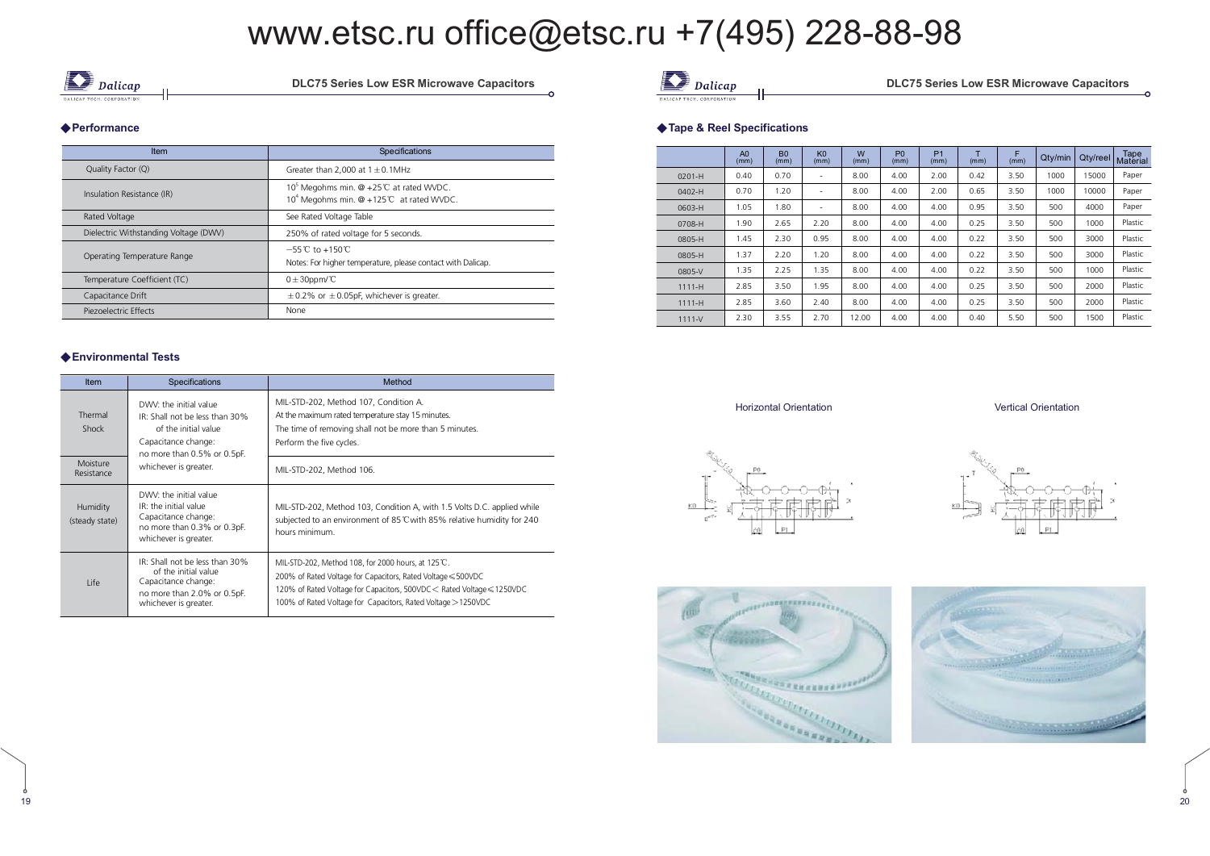$\frac{9}{20}$ 



**DLC75 Series Low ESR Microwave** 

#### ◆ Performance

| Item                                  | Specifications                                                                                             |
|---------------------------------------|------------------------------------------------------------------------------------------------------------|
| Quality Factor (Q)                    | Greater than 2.000 at $1 \pm 0.1$ MHz                                                                      |
| Insulation Resistance (IR)            | 10 <sup>5</sup> Megohms min. @ +25℃ at rated WVDC.<br>10 <sup>4</sup> Megohms min. @ +125°C at rated WVDC. |
| Rated Voltage                         | See Rated Voltage Table                                                                                    |
| Dielectric Withstanding Voltage (DWV) | 250% of rated voltage for 5 seconds.                                                                       |
| Operating Temperature Range           | $-55^{\circ}$ C to $+150^{\circ}$ C<br>Notes: For higher temperature, please contact with Dalicap.         |
| Temperature Coefficient (TC)          | $0 \pm 30$ ppm/°C                                                                                          |
| Capacitance Drift                     | $\pm$ 0.2% or $\pm$ 0.05pF, whichever is greater.                                                          |
| Piezoelectric Effects                 | None                                                                                                       |

#### $\blacklozenge$  Environmental Tests

)=

| <b>Item</b>                | <b>Specifications</b>                                                                                                                  | Method                                                                                                                                                                                                                                                         |  |  |  |  |  |
|----------------------------|----------------------------------------------------------------------------------------------------------------------------------------|----------------------------------------------------------------------------------------------------------------------------------------------------------------------------------------------------------------------------------------------------------------|--|--|--|--|--|
| Thermal<br>Shock           | DWV: the initial value<br>IR: Shall not be less than 30%<br>of the initial value<br>Capacitance change:<br>no more than 0.5% or 0.5pF. | MIL-STD-202, Method 107, Condition A.<br>At the maximum rated temperature stay 15 minutes.<br>The time of removing shall not be more than 5 minutes.<br>Perform the five cycles.                                                                               |  |  |  |  |  |
| Moisture<br>Resistance     | whichever is greater.                                                                                                                  | MIL-STD-202, Method 106.                                                                                                                                                                                                                                       |  |  |  |  |  |
| Humidity<br>(steady state) | DWV: the initial value<br>IR: the initial value<br>Capacitance change:<br>no more than 0.3% or 0.3pF.<br>whichever is greater.         | MIL-STD-202, Method 103, Condition A, with 1.5 Volts D.C. applied while<br>subjected to an environment of 85 °C with 85% relative humidity for 240<br>hours minimum.                                                                                           |  |  |  |  |  |
| I ife                      | IR: Shall not be less than 30%<br>of the initial value<br>Capacitance change:<br>no more than 2.0% or 0.5pF.<br>whichever is greater.  | MIL-STD-202, Method 108, for 2000 hours, at 125 °C.<br>200% of Rated Voltage for Capacitors, Rated Voltage ≤ 500VDC<br>120% of Rated Voltage for Capacitors, 500VDC < Rated Voltage ≤ 1250VDC<br>100% of Rated Voltage for Capacitors, Rated Voltage > 1250VDC |  |  |  |  |  |



ries Low ESR Microwave Capacitors

#### ◆ Tape & Reel Specifications

|            | A <sub>0</sub><br>(mm) | <b>B0</b><br>(mm) | K <sub>0</sub><br>(mm) | W<br>(mm) | P <sub>0</sub><br>(mm) | P <sub>1</sub><br>(mm) | T<br>(mm) | F<br>(mm) | Qty/min | Qty/reel | Tape<br>Material |
|------------|------------------------|-------------------|------------------------|-----------|------------------------|------------------------|-----------|-----------|---------|----------|------------------|
| 0201-H     | 0.40                   | 0.70              | ٠                      | 8.00      | 4.00                   | 2.00                   | 0.42      | 3.50      | 1000    | 15000    | Paper            |
| 0402-H     | 0.70                   | 1.20              | ٠                      | 8.00      | 4.00                   | 2.00                   | 0.65      | 3.50      | 1000    | 10000    | Paper            |
| 0603-H     | 1.05                   | 1.80              | ٠                      | 8.00      | 4.00                   | 4.00                   | 0.95      | 3.50      | 500     | 4000     | Paper            |
| 0708-H     | 1.90                   | 2.65              | 2.20                   | 8.00      | 4.00                   | 4.00                   | 0.25      | 3.50      | 500     | 1000     | Plastic          |
| 0805-H     | 1.45                   | 2.30              | 0.95                   | 8.00      | 4.00                   | 4.00                   | 0.22      | 3.50      | 500     | 3000     | Plastic          |
| 0805-H     | 1.37                   | 2.20              | 1.20                   | 8.00      | 4.00                   | 4.00                   | 0.22      | 3.50      | 500     | 3000     | Plastic          |
| 0805-V     | 1.35                   | 2.25              | 1.35                   | 8.00      | 4.00                   | 4.00                   | 0.22      | 3.50      | 500     | 1000     | Plastic          |
| $1111 - H$ | 2.85                   | 3.50              | 1.95                   | 8.00      | 4.00                   | 4.00                   | 0.25      | 3.50      | 500     | 2000     | Plastic          |
| $1111 - H$ | 2.85                   | 3.60              | 2.40                   | 8.00      | 4.00                   | 4.00                   | 0.25      | 3.50      | 500     | 2000     | Plastic          |
| $1111-V$   | 2.30                   | 3.55              | 2.70                   | 12.00     | 4.00                   | 4.00                   | 0.40      | 5.50      | 500     | 1500     | Plastic          |

Horizontal Orientation

n Vertical Orientation







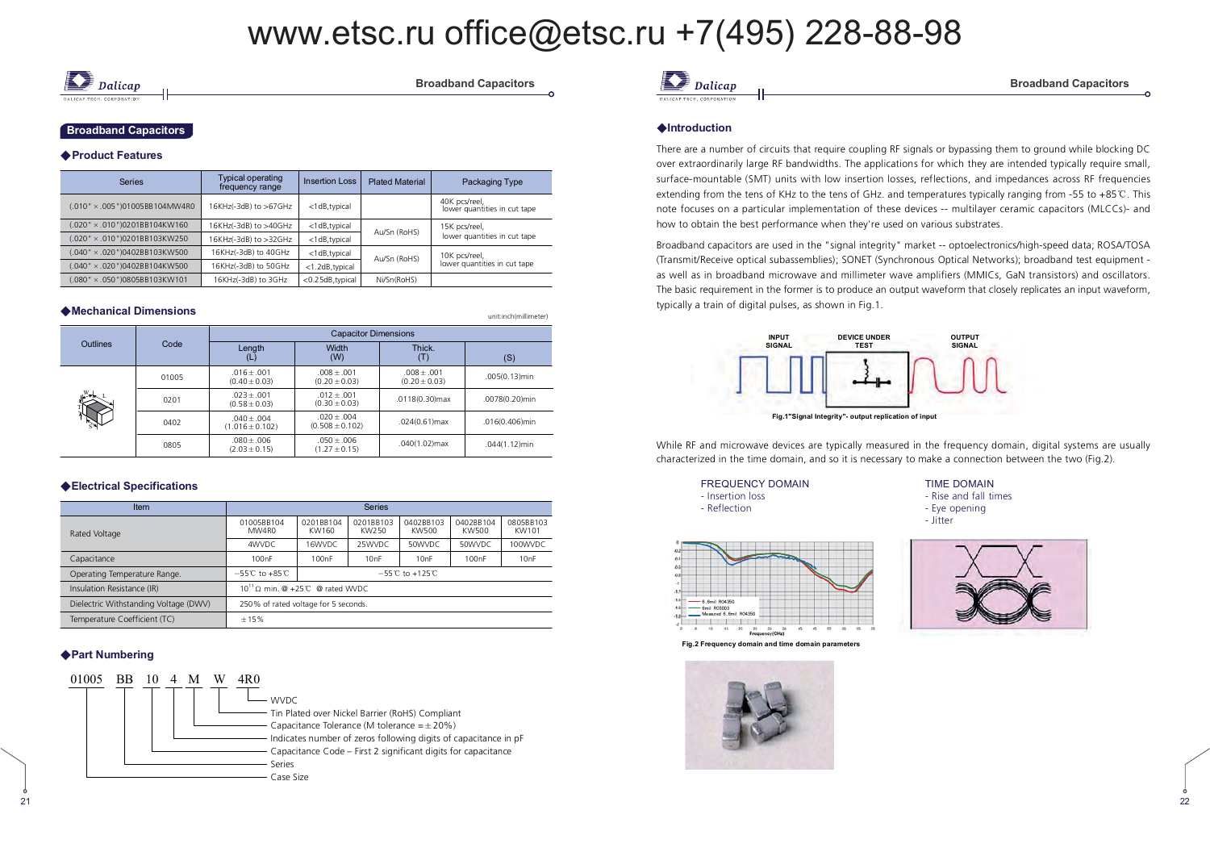Dalican

### **18** Broadband Capacitors

#### ◆ Product Features

| <b>Series</b>                         | Typical operating<br><b>Insertion Loss</b><br>frequency range |                  | <b>Plated Material</b> | Packaging Type                                |
|---------------------------------------|---------------------------------------------------------------|------------------|------------------------|-----------------------------------------------|
| $(.010" \times .005")01005BB104MW4R0$ | 16KHz(-3dB) to >67GHz                                         | <1dB,typical     |                        | 40K pcs/reel,<br>lower quantities in cut tape |
| 020" × .010")0201BB104KW160           | 16KHz(-3dB) to >40GHz                                         | <1dB,typical     |                        | 15K pcs/reel,                                 |
| 020" × .010")0201BB103KW250           | 16KHz(-3dB) to >32GHz                                         | <1dB,typical     | Au/Sn (RoHS)           | lower quantities in cut tape                  |
| 040" × .020")0402BB103KW500           | 16KHz(-3dB) to 40GHz                                          | <1dB,typical     | Au/Sn (RoHS)           | 10K pcs/reel,                                 |
| 040" × .020")0402BB104KW500           | 16KHz(-3dB) to 50GHz                                          | <1.2dB, typical  |                        | lower quantities in cut tape                  |
| $(.080" \times .050")0805B8103KW101$  | 16KHz(-3dB) to 3GHz                                           | <0.25dB, typical | Ni/Sn(RoHS)            |                                               |

| ◆Mechanical Dimensions |       |                                      |                                      |                                    | unit:inch(millimeter) |  |  |  |  |  |
|------------------------|-------|--------------------------------------|--------------------------------------|------------------------------------|-----------------------|--|--|--|--|--|
|                        |       | <b>Capacitor Dimensions</b>          |                                      |                                    |                       |  |  |  |  |  |
| <b>Outlines</b>        | Code  | Lenath<br>(L)                        | Width<br>(W)                         | Thick.<br>(T)                      | (S)                   |  |  |  |  |  |
|                        | 01005 | $.016 + .001$<br>$(0.40 \pm 0.03)$   | $.008 + .001$<br>$(0.20 \pm 0.03)$   | $.008 + .001$<br>$(0.20 \pm 0.03)$ | .005(0.13)min         |  |  |  |  |  |
|                        | 0201  | $.023 + .001$<br>$(0.58 \pm 0.03)$   | $.012 + .001$<br>$(0.30 \pm 0.03)$   | .0118(0.30)max                     | .0078(0.20)min        |  |  |  |  |  |
|                        | 0402  | $.040 + .004$<br>$(1.016 \pm 0.102)$ | $.020 + .004$<br>$(0.508 \pm 0.102)$ | $.024(0.61)$ max                   | .016(0.406)min        |  |  |  |  |  |
|                        | 0805  | $.080 + .006$<br>$(2.03 \pm 0.15)$   | $.050 + .006$<br>$(1.27 \pm 0.15)$   | $.040(1.02)$ max                   | .044(1.12)min         |  |  |  |  |  |

#### ◆Electrical Specifications

| Item                                  | <b>Series</b>                                                              |                    |                    |                    |                    |                    |  |  |  |  |
|---------------------------------------|----------------------------------------------------------------------------|--------------------|--------------------|--------------------|--------------------|--------------------|--|--|--|--|
| Rated Voltage                         | 01005BB104<br>MW4R0                                                        | 0201BB104<br>KW160 | 0201BB103<br>KW250 | 0402BB103<br>KW500 | 0402BB104<br>KW500 | 0805BB103<br>KW101 |  |  |  |  |
|                                       | 4WVDC                                                                      | 16WVDC             | 25WVDC             | 50WVDC             | 50WVDC             | 100WVDC            |  |  |  |  |
| Capacitance                           | 100nF                                                                      | 100 <sub>n</sub> F | 10nF               | 10nF               | 100nF              | 10nF               |  |  |  |  |
| Operating Temperature Range.          | $-55^{\circ}$ C to $+85^{\circ}$ C<br>$-55^{\circ}$ C to +125 $^{\circ}$ C |                    |                    |                    |                    |                    |  |  |  |  |
| Insulation Resistance (IR)            | $10^{11}$ Q min. @ +25°C @ rated WVDC                                      |                    |                    |                    |                    |                    |  |  |  |  |
| Dielectric Withstanding Voltage (DWV) | 250% of rated voltage for 5 seconds.                                       |                    |                    |                    |                    |                    |  |  |  |  |
| Temperature Coefficient (TC)          | $+15%$                                                                     |                    |                    |                    |                    |                    |  |  |  |  |

### ◆ Part Numbering

,)





#### **◆Introduction**

There are a number of circuits that require coupling RF signals or bypassing them to ground while blocking DC over extraordinarily large RF bandwidths. The applications for which they are intended typically require small, surface-mountable (SMT) units with low insertion losses, reflections, and impedances across RF frequencies extending from the tens of KHz to the tens of GHz. and temperatures typically ranging from -55 to +85°C. This note focuses on a particular implementation of these devices -- multilayer ceramic capacitors (MLCCs)- and how to obtain the best performance when they're used on various substrates.

Broadband capacitors are used in the "signal integrity" market -- optoelectronics/high-speed data; ROSA/TOSA (Transmit/Receive optical subassemblies); SONET (Synchronous Optical Networks); broadband test equipment as well as in broadband microwave and millimeter wave amplifiers (MMICs, GaN transistors) and oscillators. The basic requirement in the former is to produce an output waveform that closely replicates an input waveform, typically a train of digital pulses, as shown in Fig.1.



While RF and microwave devices are typically measured in the frequency domain, digital systems are usually characterized in the time domain, and so it is necessary to make a connection between the two (Fig.2).

> FREQUENCY DOMAIN - Insertion loss - Reflection

- Rise and fall times - Eye opening - Jitter

**TIME DOMAIN** 



**Fig.2 Frequency domain and time domain parameters** 



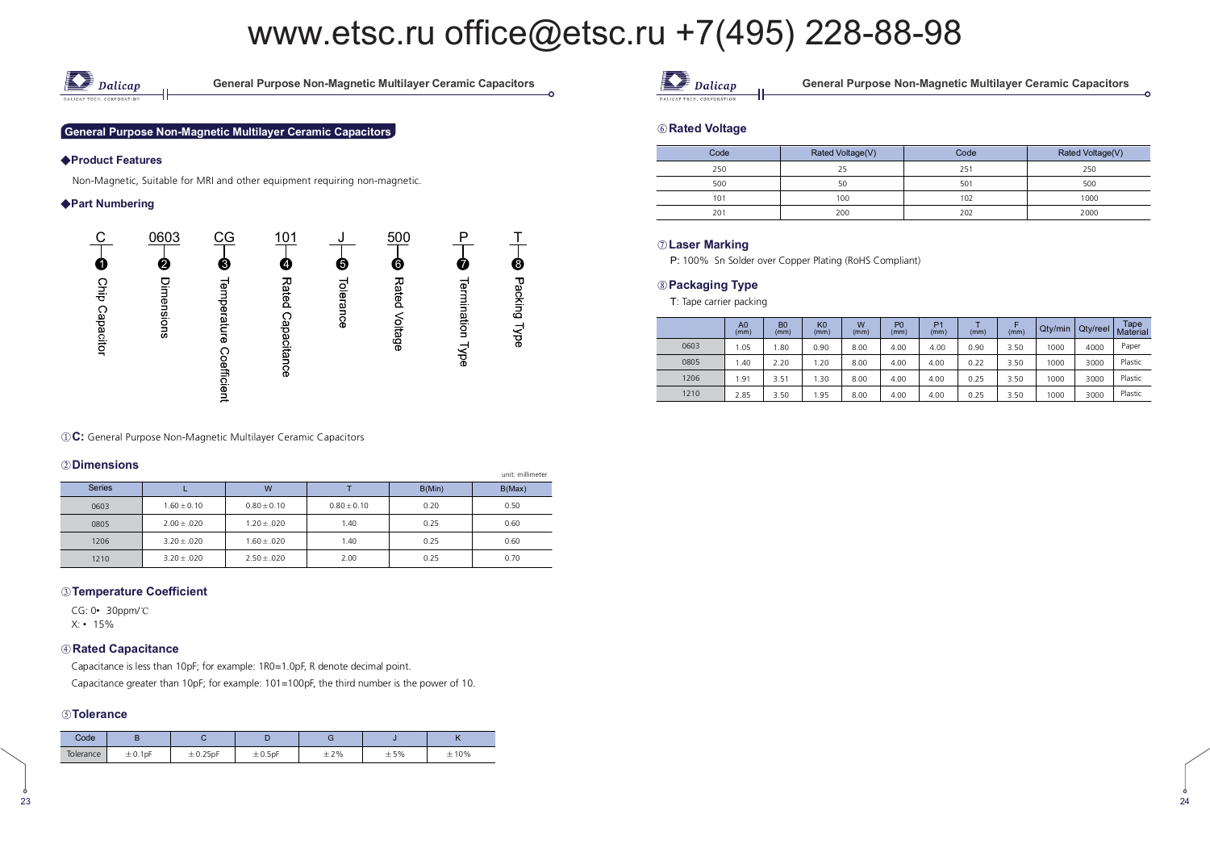

**8 .-. 6 . .. 8** 

#### **General Purpose Non-Magnetic Multilayer Ceramic Capacitors**

#### ◆Product Features

Non-Magnetic, Suitable for MRI and other equipment requiring non-magnetic.

#### ◆ Part Numbering



**(1) C:** General Purpose Non-Magnetic Multilayer Ceramic Capacitors

#### 2 Dimensions

|               |                 |                 |                 |        | unit: millimeter |
|---------------|-----------------|-----------------|-----------------|--------|------------------|
| <b>Series</b> |                 | W               |                 | B(Min) | B(Max)           |
| 0603          | $1.60 \pm 0.10$ | $0.80 \pm 0.10$ | $0.80 \pm 0.10$ | 0.20   | 0.50             |
| 0805          | $2.00 \pm .020$ | $1.20 \pm .020$ | 1.40            | 0.25   | 0.60             |
| 1206          | $3.20 \pm .020$ | $1.60 \pm .020$ | 1.40            | 0.25   | 0.60             |
| 1210          | $3.20 \pm .020$ | $2.50 \pm .020$ | 2.00            | 0.25   | 0.70             |

#### **.. 00**

CG: 0• 30ppm/°C X: • 15%

#### 

Capacitance is less than 10pF; for example: 1R0=1.0pF, R denote decimal point. Capacitance greater than 10pF; for example: 101=100pF, the third number is the power of 10.

#### **.**

| Code      |         |      |              |     |     | . . |
|-----------|---------|------|--------------|-----|-----|-----|
| lolerance | ± 0.1pF | 25nF | $\pm 0.5$ pF | ±2% | ±5% | 10% |



neral Purpose Non-Magnetic Multilayer Ceramic Capacitors

#### 

| Code | Rated Voltage(V) | Code | Rated Voltage(V) |  |  |
|------|------------------|------|------------------|--|--|
| 250  | 25               | 25   | 250              |  |  |
| 500  | 50               | 501  | 500              |  |  |
| 101  | 100              | 102  | 1000             |  |  |
| 201  | 200              | 202  | 2000             |  |  |

### $\oslash$  Laser Marking

100% Sn Solder over Copper Plating (RoHS Compliant)

#### **-**

T: Tape carrier packing

|      | A <sub>0</sub><br>(mm) | B <sub>0</sub><br>(mm) | K <sub>0</sub><br>(mm) | W<br>(mm) | P <sub>0</sub><br>(mm) | P <sub>1</sub><br>(mm) | (mm) | (mm) | Qty/min | Qty/reel | Tape<br>Material |
|------|------------------------|------------------------|------------------------|-----------|------------------------|------------------------|------|------|---------|----------|------------------|
| 0603 | 1.05                   | .80                    | 0.90                   | 8.00      | 4.00                   | 4.00                   | 0.90 | 3.50 | 1000    | 4000     | Paper            |
| 0805 | .40                    | 2.20                   | .20                    | 8.00      | 4.00                   | 4.00                   | 0.22 | 3.50 | 1000    | 3000     | Plastic          |
| 1206 | . 91                   | 3.51                   | .30                    | 8.00      | 4.00                   | 4.00                   | 0.25 | 3.50 | 1000    | 3000     | Plastic          |
| 1210 | 2.85                   | 3.50                   | .95                    | 8.00      | 4.00                   | 4.00                   | 0.25 | 3.50 | 1000    | 3000     | Plastic          |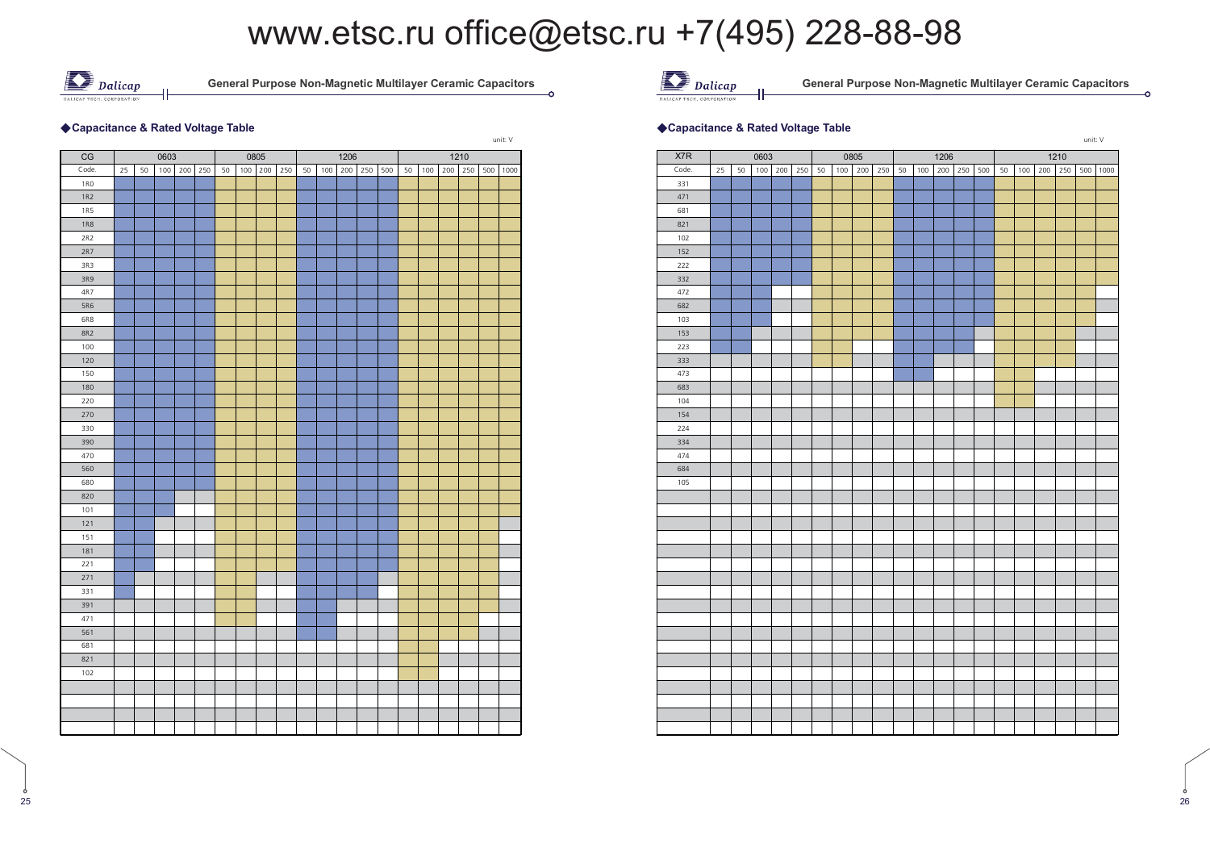

 **.-. 6 . .. 8** 

#### ◆ Capacitance & Rated Voltage Table

|            |    |    |      |     |     |    |     |      |     |    |     |      |     |     |    |     |     |      |     | unit: V |
|------------|----|----|------|-----|-----|----|-----|------|-----|----|-----|------|-----|-----|----|-----|-----|------|-----|---------|
| CG         |    |    | 0603 |     |     |    |     | 0805 |     |    |     | 1206 |     |     |    |     |     | 1210 |     |         |
| Code.      | 25 | 50 | 100  | 200 | 250 | 50 | 100 | 200  | 250 | 50 | 100 | 200  | 250 | 500 | 50 | 100 | 200 | 250  | 500 | 1000    |
| <b>1RO</b> |    |    |      |     |     |    |     |      |     |    |     |      |     |     |    |     |     |      |     |         |
| 1R2        |    |    |      |     |     |    |     |      |     |    |     |      |     |     |    |     |     |      |     |         |
| <b>1R5</b> |    |    |      |     |     |    |     |      |     |    |     |      |     |     |    |     |     |      |     |         |
| <b>1R8</b> |    |    |      |     |     |    |     |      |     |    |     |      |     |     |    |     |     |      |     |         |
| 2R2        |    |    |      |     |     |    |     |      |     |    |     |      |     |     |    |     |     |      |     |         |
| 2R7        |    |    |      |     |     |    |     |      |     |    |     |      |     |     |    |     |     |      |     |         |
| 3R3        |    |    |      |     |     |    |     |      |     |    |     |      |     |     |    |     |     |      |     |         |
| 3R9        |    |    |      |     |     |    |     |      |     |    |     |      |     |     |    |     |     |      |     |         |
| 4R7        |    |    |      |     |     |    |     |      |     |    |     |      |     |     |    |     |     |      |     |         |
| <b>5R6</b> |    |    |      |     |     |    |     |      |     |    |     |      |     |     |    |     |     |      |     |         |
| 6R8        |    |    |      |     |     |    |     |      |     |    |     |      |     |     |    |     |     |      |     |         |
| <b>8R2</b> |    |    |      |     |     |    |     |      |     |    |     |      |     |     |    |     |     |      |     |         |
| 100        |    |    |      |     |     |    |     |      |     |    |     |      |     |     |    |     |     |      |     |         |
| 120        |    |    |      |     |     |    |     |      |     |    |     |      |     |     |    |     |     |      |     |         |
| 150        |    |    |      |     |     |    |     |      |     |    |     |      |     |     |    |     |     |      |     |         |
| 180        |    |    |      |     |     |    |     |      |     |    |     |      |     |     |    |     |     |      |     |         |
| 220        |    |    |      |     |     |    |     |      |     |    |     |      |     |     |    |     |     |      |     |         |
| 270        |    |    |      |     |     |    |     |      |     |    |     |      |     |     |    |     |     |      |     |         |
| 330        |    |    |      |     |     |    |     |      |     |    |     |      |     |     |    |     |     |      |     |         |
| 390        |    |    |      |     |     |    |     |      |     |    |     |      |     |     |    |     |     |      |     |         |
| 470        |    |    |      |     |     |    |     |      |     |    |     |      |     |     |    |     |     |      |     |         |
| 560        |    |    |      |     |     |    |     |      |     |    |     |      |     |     |    |     |     |      |     |         |
| 680        |    |    |      |     |     |    |     |      |     |    |     |      |     |     |    |     |     |      |     |         |
| 820        |    |    |      |     |     |    |     |      |     |    |     |      |     |     |    |     |     |      |     |         |
| 101        |    |    |      |     |     |    |     |      |     |    |     |      |     |     |    |     |     |      |     |         |
| 121        |    |    |      |     |     |    |     |      |     |    |     |      |     |     |    |     |     |      |     |         |
| 151        |    |    |      |     |     |    |     |      |     |    |     |      |     |     |    |     |     |      |     |         |
| 181        |    |    |      |     |     |    |     |      |     |    |     |      |     |     |    |     |     |      |     |         |
| 221        |    |    |      |     |     |    |     |      |     |    |     |      |     |     |    |     |     |      |     |         |
| 271        |    |    |      |     |     |    |     |      |     |    |     |      |     |     |    |     |     |      |     |         |
| 331        |    |    |      |     |     |    |     |      |     |    |     |      |     |     |    |     |     |      |     |         |
| 391        |    |    |      |     |     |    |     |      |     |    |     |      |     |     |    |     |     |      |     |         |
| 471        |    |    |      |     |     |    |     |      |     |    |     |      |     |     |    |     |     |      |     |         |
| 561        |    |    |      |     |     |    |     |      |     |    |     |      |     |     |    |     |     |      |     |         |
| 681        |    |    |      |     |     |    |     |      |     |    |     |      |     |     |    |     |     |      |     |         |
| 821        |    |    |      |     |     |    |     |      |     |    |     |      |     |     |    |     |     |      |     |         |
| 102        |    |    |      |     |     |    |     |      |     |    |     |      |     |     |    |     |     |      |     |         |
|            |    |    |      |     |     |    |     |      |     |    |     |      |     |     |    |     |     |      |     |         |
|            |    |    |      |     |     |    |     |      |     |    |     |      |     |     |    |     |     |      |     |         |
|            |    |    |      |     |     |    |     |      |     |    |     |      |     |     |    |     |     |      |     |         |
|            |    |    |      |     |     |    |     |      |     |    |     |      |     |     |    |     |     |      |     |         |



neral Purpose Non-Magnetic Multilayer Ceramic Capacitors

#### $\bullet$  -  $\bullet$  -  $\bullet$  -  $\bullet$  -  $\bullet$  -  $\bullet$  -  $\bullet$  -  $\bullet$  -  $\bullet$  -  $\bullet$  -  $\bullet$  -  $\bullet$  -  $\bullet$  -  $\bullet$  -  $\bullet$  -  $\bullet$  -  $\bullet$  -  $\bullet$  -  $\bullet$  -  $\bullet$  -  $\bullet$  -  $\bullet$  -  $\bullet$  -  $\bullet$  -  $\bullet$  -  $\bullet$  -  $\bullet$  -  $\bullet$  -  $\bullet$  -  $\bullet$  -  $\bullet$  -  $\bullet$ **Capacitance & Rated Voltage Table**



ċ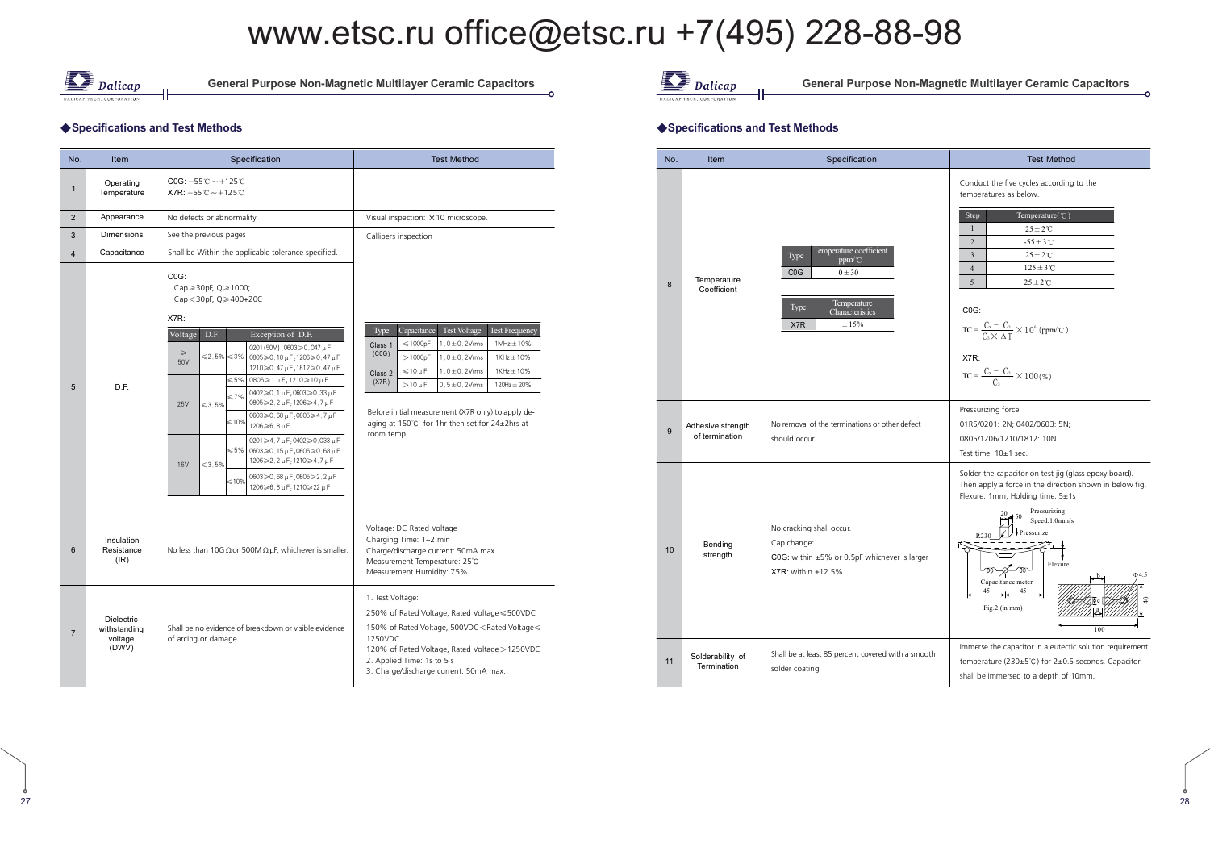

**8 .-. 6 . .. 8** 

#### ◆ Specifications and Test Methods

| No.                     | Item                                                  | Specification                                                                                                                                                                                                                                                                                                                                                                                                                                                                                                                                                                                                                                                                                                                                                                                                                                                                                                                       | <b>Test Method</b>                                                                                                                                                                                                                                                                                                                                                                                                                                                                  |  |  |  |  |
|-------------------------|-------------------------------------------------------|-------------------------------------------------------------------------------------------------------------------------------------------------------------------------------------------------------------------------------------------------------------------------------------------------------------------------------------------------------------------------------------------------------------------------------------------------------------------------------------------------------------------------------------------------------------------------------------------------------------------------------------------------------------------------------------------------------------------------------------------------------------------------------------------------------------------------------------------------------------------------------------------------------------------------------------|-------------------------------------------------------------------------------------------------------------------------------------------------------------------------------------------------------------------------------------------------------------------------------------------------------------------------------------------------------------------------------------------------------------------------------------------------------------------------------------|--|--|--|--|
| $\mathbf{1}$            | Operating<br>Temperature                              | $COG: -55^{\circ}C \sim +125^{\circ}C$<br>$X7R: -55C \sim +125C$                                                                                                                                                                                                                                                                                                                                                                                                                                                                                                                                                                                                                                                                                                                                                                                                                                                                    |                                                                                                                                                                                                                                                                                                                                                                                                                                                                                     |  |  |  |  |
| $\overline{2}$          | Appearance                                            | No defects or abnormality                                                                                                                                                                                                                                                                                                                                                                                                                                                                                                                                                                                                                                                                                                                                                                                                                                                                                                           | Visual inspection: × 10 microscope.                                                                                                                                                                                                                                                                                                                                                                                                                                                 |  |  |  |  |
| 3                       | <b>Dimensions</b>                                     | See the previous pages                                                                                                                                                                                                                                                                                                                                                                                                                                                                                                                                                                                                                                                                                                                                                                                                                                                                                                              | Callipers inspection                                                                                                                                                                                                                                                                                                                                                                                                                                                                |  |  |  |  |
| $\overline{\mathbf{4}}$ | Capacitance                                           | Shall be Within the applicable tolerance specified.                                                                                                                                                                                                                                                                                                                                                                                                                                                                                                                                                                                                                                                                                                                                                                                                                                                                                 |                                                                                                                                                                                                                                                                                                                                                                                                                                                                                     |  |  |  |  |
| 5                       | D.F.                                                  | COG:<br>$Cap \geqslant 30pF, Q \geqslant 1000;$<br>Cap < 30pF, $Q \ge 400+20C$<br>X7R:<br>D.F.<br>Exception of D.F.<br>Voltage<br>0201 (50V) : 0603≥0, 047 µ F<br>$\geqslant$<br>$\leq 2.5\% \leq 3\%$<br>$0805 \ge 0.18 \,\mu\text{F}$ ; 1206 ≥ 0.47 $\mu\text{F}$<br>50V<br>1210≥0.47µF;1812≥0.47µF<br>$0805 \ge 1 \mu F$ : 1210 ≥ 10 µ F<br>≤5%<br>$0402 \ge 0.1 \,\mu\text{F}$ : $0603 \ge 0.33 \,\mu\text{F}$<br>$\leq 7\%$<br>$0805 \ge 2.2 \mu F$ ; 1206 ≥4.7 $\mu F$<br>$\leq 3.5\%$<br>25V<br>$0603 \ge 0.68 \,\mu\text{F}$ : 0805 $\ge 4.7 \,\mu\text{F}$<br>$\leq 10\%$<br>$1206 \ge 6.8 \,\mu\text{F}$<br>$0201 \ge 4.7 \,\mu\text{F}$ : 0402 $\ge 0.033 \,\mu\text{F}$<br>$\leqslant$ 5%<br>$0603 \ge 0.15 \,\mu\text{F}$ : 0805 $\ge 0.68 \,\mu\text{F}$<br>1206≥2.2µF;1210≥4.7µF<br>$\leq 3.5\%$<br><b>16V</b><br>$0603 \ge 0.68 \,\mu\text{F}$ :0805 $\ge 2.2 \,\mu\text{F}$<br>$\leq 10\%$<br>1206≥6.8µF:1210≥22µF | Capacitance<br><b>Test Voltage</b><br><b>Test Frequency</b><br><b>Type</b><br>$\leqslant$ 1000pF<br>$1.0 \pm 0.2$ Vrms<br>$1$ MHz $\pm$ 10%<br>Class 1<br>(C0G)<br>>1000pF<br>$1.0 \pm 0.2$ Vms<br>$1$ KHz $\pm$ 10%<br>$\leqslant$ 10 µ F<br>$1.0 \pm 0.2$ Vms<br>$1$ KHz $\pm$ 10%<br>Class 2<br>(X7R)<br>$>10 \mu F$<br>$0.5 \pm 0.2$ Vms<br>$120Hz + 20%$<br>Before initial measurement (X7R only) to apply de-<br>aging at 150°C for 1hr then set for 24±2hrs at<br>room temp. |  |  |  |  |
| 6                       | Insulation<br>Resistance<br>$(\mathsf{IR})$           | No less than 10G $\Omega$ or 500M $\Omega$ µF, whichever is smaller.                                                                                                                                                                                                                                                                                                                                                                                                                                                                                                                                                                                                                                                                                                                                                                                                                                                                | Voltage: DC Rated Voltage<br>Charging Time: 1~2 min<br>Charge/discharge current: 50mA max.<br>Measurement Temperature: 25°C<br>Measurement Humidity: 75%                                                                                                                                                                                                                                                                                                                            |  |  |  |  |
| $\overline{7}$          | <b>Dielectric</b><br>withstanding<br>voltage<br>(DWV) | Shall be no evidence of breakdown or visible evidence<br>of arcing or damage.                                                                                                                                                                                                                                                                                                                                                                                                                                                                                                                                                                                                                                                                                                                                                                                                                                                       | 1. Test Voltage:<br>250% of Rated Voltage, Rated Voltage ≤ 500VDC<br>150% of Rated Voltage, 500VDC <rated voltage="" ≤<br="">1250VDC<br/>120% of Rated Voltage, Rated Voltage &gt; 1250VDC<br/>2. Applied Time: 1s to 5 s<br/>3. Charge/discharge current: 50mA max.</rated>                                                                                                                                                                                                        |  |  |  |  |



neral Purpose Non-Magnetic Multilayer Ceramic Capacitors

#### $\sim$  -  $\sim$  -  $\sim$  -  $\sim$  -  $\sim$  -  $\sim$  -  $\sim$  -  $\sim$  -  $\sim$  -  $\sim$  -  $\sim$  -  $\sim$  -  $\sim$  -  $\sim$  -  $\sim$  -  $\sim$  -  $\sim$  -  $\sim$  -  $\sim$  -  $\sim$  -  $\sim$  -  $\sim$  -  $\sim$  -  $\sim$  -  $\sim$  -  $\sim$  -  $\sim$  -  $\sim$  -  $\sim$  -  $\sim$  -  $\sim$  -  $\sim$ Specifications and Test Methods

| No. | Item                                | Specification                                                                                                                        | <b>Test Method</b>                                                                                                                                                                                                                                                                                                                                                                                                                                      |
|-----|-------------------------------------|--------------------------------------------------------------------------------------------------------------------------------------|---------------------------------------------------------------------------------------------------------------------------------------------------------------------------------------------------------------------------------------------------------------------------------------------------------------------------------------------------------------------------------------------------------------------------------------------------------|
| 8   | Temperature<br>Coefficient          | Temperature coefficient<br>Type<br>ppm/°C<br>CO <sub>G</sub><br>$0 \pm 30$<br>Temperature<br>Type<br>Characteristics<br>± 15%<br>X7R | Conduct the five cycles according to the<br>temperatures as below.<br>Temperature(°C)<br>Step<br>$\mathbf{1}$<br>$25\pm2\,\mathrm{C}$<br>$\overline{2}$<br>$-55 \pm 3$ °C<br>$25 \pm 2^{\circ}$ C<br>$\overline{\mathbf{3}}$<br>$125 \pm 3$ °C<br>$\overline{4}$<br>5<br>$25 \pm 2^{\circ}$ C<br>COG:<br>$TC = \frac{C_x - C_3}{C_0 \times \Lambda T} \times 10^6$ (ppm/°C)<br>X7R:<br>$\label{TC} \text{TC} = \frac{C_x - C_3}{C_3} \times 100\,(\% )$ |
| 9   | Adhesive strength<br>of termination | No removal of the terminations or other defect<br>should occur.                                                                      | Pressurizing force:<br>01R5/0201: 2N; 0402/0603: 5N;<br>0805/1206/1210/1812: 10N<br>Test time: 10±1 sec.                                                                                                                                                                                                                                                                                                                                                |
| 10  | Bending<br>strength                 | No cracking shall occur.<br>Cap change:<br>C0G: within ±5% or 0.5pF whichever is larger<br>$X7R$ : within $±12.5%$                   | Solder the capacitor on test jig (glass epoxy board).<br>Then apply a force in the direction shown in below fig.<br>Flexure: 1mm; Holding time: 5±1s<br>Pressurizing<br>Speed: 1.0mm/s<br>ressurize<br>R <sub>23</sub><br>Flexure<br>ᡐᡡ<br>D4.5<br>Capacitance meter<br>45<br>45<br>Fig.2 (in mm)<br>100                                                                                                                                                |
| 11  | Solderability of<br>Termination     | Shall be at least 85 percent covered with a smooth<br>solder coating.                                                                | Immerse the capacitor in a eutectic solution requirement<br>temperature (230±5°C) for 2±0.5 seconds. Capacitor<br>shall be immersed to a depth of 10mm.                                                                                                                                                                                                                                                                                                 |

ċ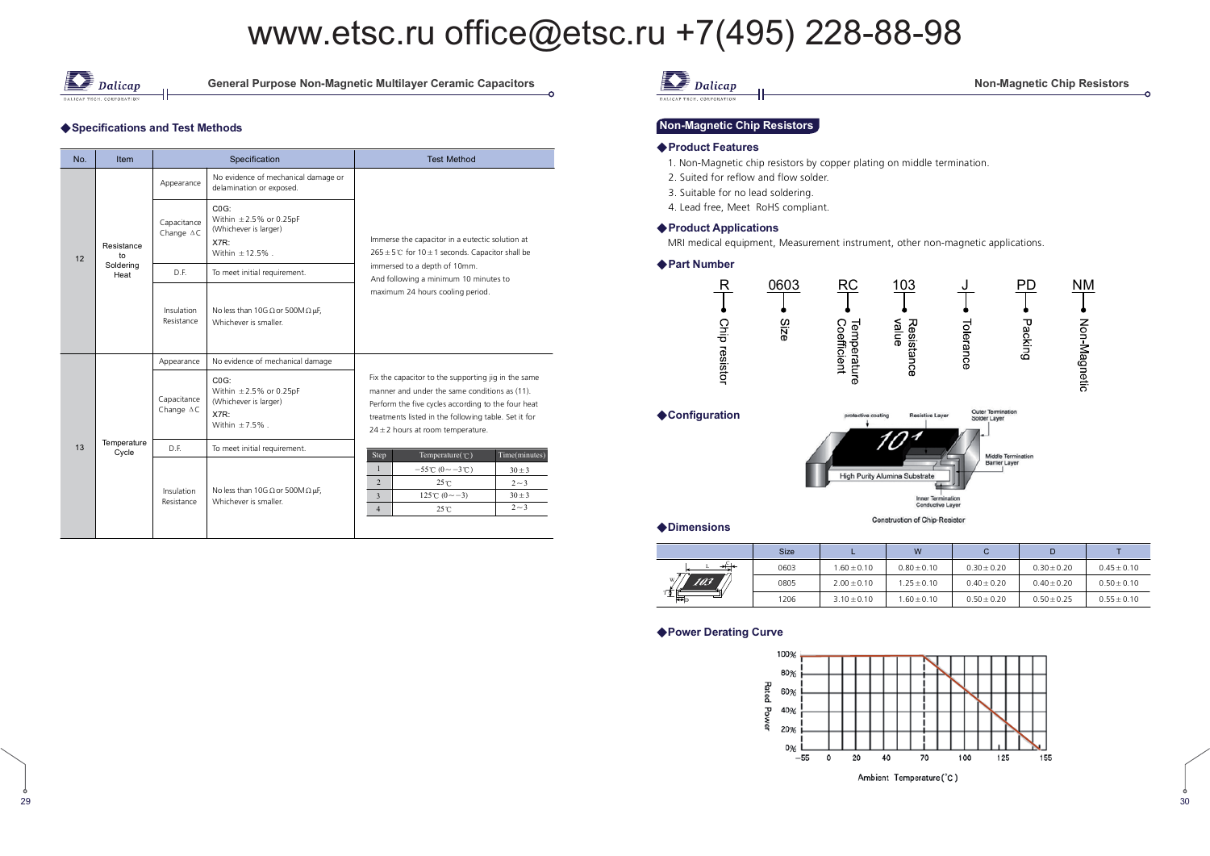

29

**General Purpose Non-Magnetic Multilayer Ceramic Capacitors** 

#### ◆ Specifications and Test Methods

| No. | <b>Item</b>          |                                  | Specification                                                                                           | <b>Test Method</b>                                                                                                                                                                                                                                          |  |  |  |  |  |  |
|-----|----------------------|----------------------------------|---------------------------------------------------------------------------------------------------------|-------------------------------------------------------------------------------------------------------------------------------------------------------------------------------------------------------------------------------------------------------------|--|--|--|--|--|--|
|     |                      | Appearance                       | No evidence of mechanical damage or<br>delamination or exposed.                                         |                                                                                                                                                                                                                                                             |  |  |  |  |  |  |
| 12  | Resistance<br>to     | Capacitance<br>Change $\Delta C$ | CO <sub>G</sub><br>Within $\pm 2.5\%$ or 0.25pF<br>(Whichever is larger)<br>X7R:<br>Within $\pm$ 12.5%. | Immerse the capacitor in a eutectic solution at<br>$265 \pm 5^{\circ}$ for 10 $\pm$ 1 seconds. Capacitor shall be                                                                                                                                           |  |  |  |  |  |  |
|     | Soldering<br>Heat    | D.F.                             | To meet initial requirement.                                                                            | immersed to a depth of 10mm.<br>And following a minimum 10 minutes to                                                                                                                                                                                       |  |  |  |  |  |  |
|     |                      | Insulation<br>Resistance         | No less than 10G $\Omega$ or 500M $\Omega$ µF,<br>Whichever is smaller.                                 | maximum 24 hours cooling period.                                                                                                                                                                                                                            |  |  |  |  |  |  |
|     |                      | Appearance                       | No evidence of mechanical damage                                                                        |                                                                                                                                                                                                                                                             |  |  |  |  |  |  |
|     |                      | Capacitance<br>Change $\Delta C$ | CO <sub>G</sub><br>Within $\pm 2.5\%$ or 0.25pF<br>(Whichever is larger)<br>X7R:<br>Within $\pm$ 7.5%.  | Fix the capacitor to the supporting jig in the same<br>manner and under the same conditions as (11).<br>Perform the five cycles according to the four heat<br>treatments listed in the following table. Set it for<br>$24 \pm 2$ hours at room temperature. |  |  |  |  |  |  |
| 13  | Temperature<br>Cycle | D.F.                             | To meet initial requirement.                                                                            | Time(minutes)<br>Step<br>Temperature( $\mathcal{C}$ )                                                                                                                                                                                                       |  |  |  |  |  |  |
|     |                      | Insulation<br>Resistance         | No less than 10G $\Omega$ or 500M $\Omega$ µF,<br>Whichever is smaller.                                 | $\mathbf{1}$<br>$-55^{\circ}$ C $(0 \sim -3^{\circ}$ C $)$<br>$30 \pm 3$<br>$\overline{2}$<br>$25^{\circ}$ C<br>$2 - 3$<br>125°C $(0 \sim -3)$<br>$30 \pm 3$<br>$\overline{3}$<br>$2 - 3$<br>$\overline{4}$<br>25°C                                         |  |  |  |  |  |  |

### $\sum$  Dalicap

#### **Non-Magnetic Chip Resistors**

#### Non-Magnetic Chip Resistors

#### ◆ Product Features

- 1. Non-Magnetic chip resistors by copper plating on middle termination.
- 2. Suited for reflow and flow solder.
- 3. Suitable for no lead soldering.
- 4. Lead free, Meet RoHS compliant.

#### ◆ Product Applications

MRI medical equipment, Measurement instrument, other non-magnetic applications.

#### ◆ Part Number





◆Dimensions

**Construction of Chip-Resistor** 

|            | <b>Size</b> |                 | W               |                 |                 |                 |
|------------|-------------|-----------------|-----------------|-----------------|-----------------|-----------------|
|            | 0603        | $1.60 \pm 0.10$ | $0.80 \pm 0.10$ | $0.30 \pm 0.20$ | $0.30 \pm 0.20$ | $0.45 \pm 0.10$ |
| W,<br>TO3T | 0805        | $2.00 \pm 0.10$ | $1.25 \pm 0.10$ | $0.40 \pm 0.20$ | $0.40 \pm 0.20$ | $0.50 + 0.10$   |
| H          | 1206        | $3.10 \pm 0.10$ | $.60 \pm 0.10$  | $0.50 \pm 0.20$ | $0.50 \pm 0.25$ | $0.55 + 0.10$   |

#### $\triangle$  Power Derating Curve



 $\frac{9}{10}$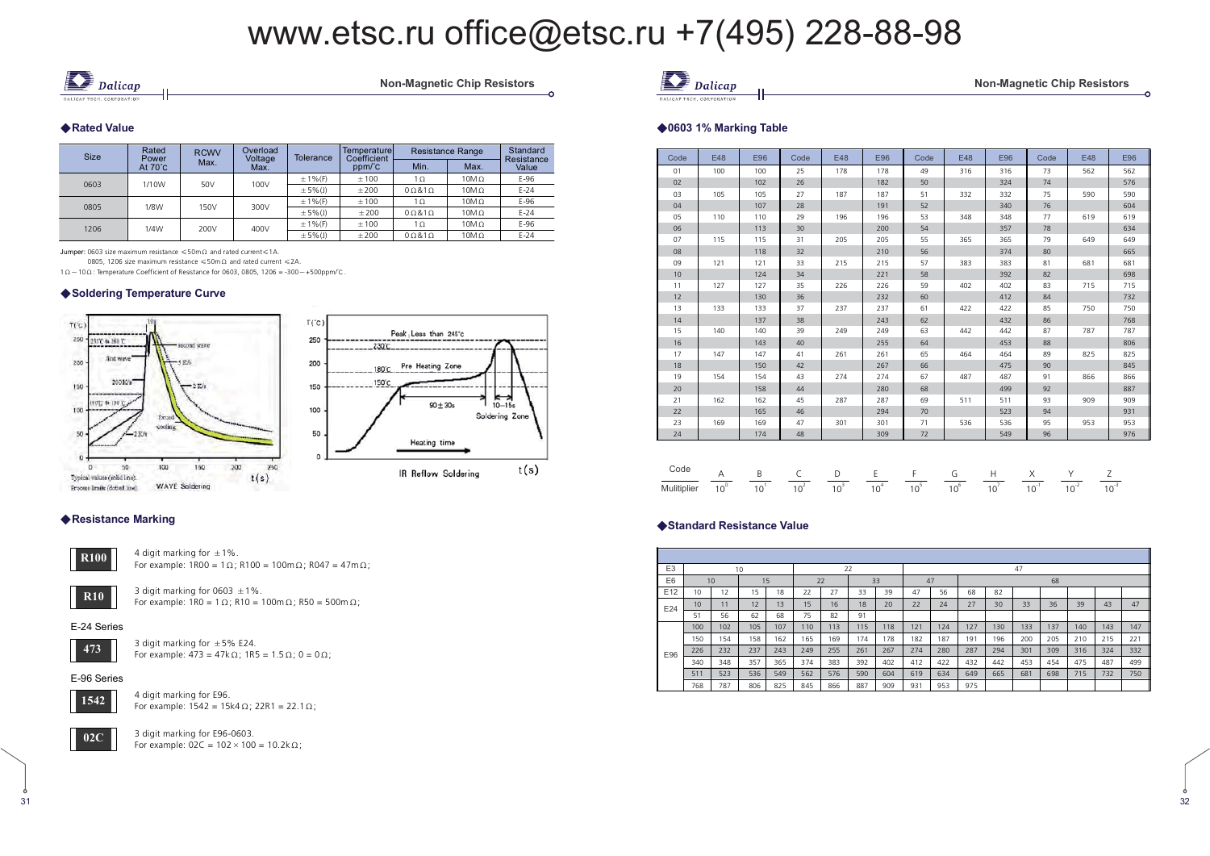

Non-Magnetic Chip Resistors

#### ◆ Rated Value

| <b>Size</b> | Rated<br>Power    | <b>RCWV</b><br>Max. | Overload<br>Voltage<br>Max. | <b>Tolerance</b> | Temperaturel<br>Coefficient | <b>Resistance Range</b> | Standard<br>Resistance |        |
|-------------|-------------------|---------------------|-----------------------------|------------------|-----------------------------|-------------------------|------------------------|--------|
|             | At $70^{\circ}$ C |                     |                             |                  | ppm/°C                      | Min.                    | Max.                   | Value  |
|             | 1/10W             | 50V                 | 100V                        | $± 1%$ (F)       | ±100                        | $1\Omega$               | $10M\Omega$            | $E-96$ |
| 0603        |                   |                     |                             | $\pm$ 5% (J)     | ±200                        | $0\Omega$ &1 $\Omega$   | $10M\Omega$            | $E-24$ |
| 0805        | 1/8W              | 150V                | 300V                        | $± 1%$ (F)       | ±100                        | $1\Omega$               | $10M\Omega$            | $E-96$ |
|             |                   |                     |                             | $\pm$ 5% (J)     | ±200                        | $0\Omega$ &1 $\Omega$   | $10M\Omega$            | $E-24$ |
| 1206        | 1/4W              | 200V                | 400V                        | $± 1%$ (F)       | ±100                        | $1\Omega$               | $10M\Omega$            | $E-96$ |
|             |                   |                     |                             | $\pm$ 5% (J)     | ±200                        | $0\Omega 81\Omega$      | $10M\Omega$            | $E-24$ |

 $\frac{1}{2}$  lumner: 0603 size maximum resistance  $\leq 50$ m $\Omega$  and rated current $\leq 1$ 

0805, 1206 size maximum resistance  $\leq 50$ m $\Omega$  and rated current  $\leq 2A$ .

 $\Omega$   $\sim$  10  $\Omega$  : Temperature Coefficient of Resistance for 0603, 0805, 1206 = -300  $\sim$  +500ppm/°C .

#### ◆ Soldering Temperature Curve





#### ◆ Resistance Marking



4 digit marking for  $\pm$  1%. For example:  $1R00 = 1 \Omega$ ; R100 =  $100 \text{ m } \Omega$ ; R047 =  $47 \text{ m } \Omega$ ;



3 digit marking for 0603  $\pm$  1%. For example:  $1R0 = 1 \Omega$ ; R10 = 100m $\Omega$ ; R50 = 500m $\Omega$ ;

#### E-24 Series



3 digit marking for  $\pm$  5% E24. For example:  $473 = 47k\Omega$ ;  $1R5 = 1.5\Omega$ ;  $0 = 0\Omega$ ;

#### E-96 Series



4 digit marking for E96. For example:  $1542 = 15k4 \Omega$ ;  $22R1 = 22.1 \Omega$ ;



3 digit marking for E96-0603. For example:  $02C = 102 \times 100 = 10.2k\Omega$ ;

| Code | E48 | E96 | Code | E48 | E96 | Code | E48 | E96 | Code | E48 | E96 |
|------|-----|-----|------|-----|-----|------|-----|-----|------|-----|-----|
| 01   | 100 | 100 | 25   | 178 | 178 | 49   | 316 | 316 | 73   | 562 | 562 |
| 02   |     | 102 | 26   |     | 182 | 50   |     | 324 | 74   |     | 576 |
| 03   | 105 | 105 | 27   | 187 | 187 | 51   | 332 | 332 | 75   | 590 | 590 |
| 04   |     | 107 | 28   |     | 191 | 52   |     | 340 | 76   |     | 604 |
| 05   | 110 | 110 | 29   | 196 | 196 | 53   | 348 | 348 | 77   | 619 | 619 |
| 06   |     | 113 | 30   |     | 200 | 54   |     | 357 | 78   |     | 634 |
| 07   | 115 | 115 | 31   | 205 | 205 | 55   | 365 | 365 | 79   | 649 | 649 |
| 08   |     | 118 | 32   |     | 210 | 56   |     | 374 | 80   |     | 665 |
| 09   | 121 | 121 | 33   | 215 | 215 | 57   | 383 | 383 | 81   | 681 | 681 |
| 10   |     | 124 | 34   |     | 221 | 58   |     | 392 | 82   |     | 698 |
| 11   | 127 | 127 | 35   | 226 | 226 | 59   | 402 | 402 | 83   | 715 | 715 |
| 12   |     | 130 | 36   |     | 232 | 60   |     | 412 | 84   |     | 732 |
| 13   | 133 | 133 | 37   | 237 | 237 | 61   | 422 | 422 | 85   | 750 | 750 |
| 14   |     | 137 | 38   |     | 243 | 62   |     | 432 | 86   |     | 768 |
| 15   | 140 | 140 | 39   | 249 | 249 | 63   | 442 | 442 | 87   | 787 | 787 |
| 16   |     | 143 | 40   |     | 255 | 64   |     | 453 | 88   |     | 806 |
| 17   | 147 | 147 | 41   | 261 | 261 | 65   | 464 | 464 | 89   | 825 | 825 |
| 18   |     | 150 | 42   |     | 267 | 66   |     | 475 | 90   |     | 845 |
| 19   | 154 | 154 | 43   | 274 | 274 | 67   | 487 | 487 | 91   | 866 | 866 |
| 20   |     | 158 | 44   |     | 280 | 68   |     | 499 | 92   |     | 887 |
| 21   | 162 | 162 | 45   | 287 | 287 | 69   | 511 | 511 | 93   | 909 | 909 |
| 22   |     | 165 | 46   |     | 294 | 70   |     | 523 | 94   |     | 931 |
| 23   | 169 | 169 | 47   | 301 | 301 | 71   | 536 | 536 | 95   | 953 | 953 |
| 24   |     | 174 | 48   |     | 309 | 72   |     | 549 | 96   |     | 976 |

tic Chip Resistors

#### Code **Mulitiplier** A $\overline{10^{\circ}}$  $\frac{B}{10^{1}}$  $rac{C}{10^2}$  $\frac{D}{10^3}$  $\frac{E}{10^4}$  $\frac{F}{10^5}$  $\frac{G}{10^6}$  $\frac{H}{10^7}$  $\frac{X}{10^{-1}}$  $\frac{Y}{10^{2}}$  $\frac{Z}{10^{-3}}$

#### $\blacklozenge$ Standard Resistance Value

◆0603 1% Marking Table

**b** Dalicap

| E <sub>3</sub> | 10               |     |     |     |     | 22<br>47 |     |     |     |     |     |     |     |     |     |     |     |
|----------------|------------------|-----|-----|-----|-----|----------|-----|-----|-----|-----|-----|-----|-----|-----|-----|-----|-----|
| E <sub>6</sub> |                  | 10  | 15  |     |     | 22       |     | 33  | 47  |     |     |     |     | 68  |     |     |     |
| E12            | 10               | 12  | 15  | 18  | 22  | 27       | 33  | 39  | 47  | 56  | 68  | 82  |     |     |     |     |     |
| E24            | 10               | 11  | 12  | 13  | 15  | 16       | 18  | 20  | 22  | 24  | 27  | 30  | 33  | 36  | 39  | 43  | 47  |
|                | 51               | 56  | 62  | 68  | 75  | 82       | 91  |     |     |     |     |     |     |     |     |     |     |
|                | 100 <sub>1</sub> | 102 | 105 | 107 | 110 | 113      | 115 | 118 | 121 | 124 | 127 | 130 | 133 | 137 | 140 | 143 | 147 |
|                | 150              | 154 | 158 | 162 | 165 | 169      | 174 | 178 | 182 | 187 | 191 | 196 | 200 | 205 | 210 | 215 | 221 |
| E96            | 226              | 232 | 237 | 243 | 249 | 255      | 261 | 267 | 274 | 280 | 287 | 294 | 301 | 309 | 316 | 324 | 332 |
|                | 340              | 348 | 357 | 365 | 374 | 383      | 392 | 402 | 412 | 422 | 432 | 442 | 453 | 454 | 475 | 487 | 499 |
|                | 511              | 523 | 536 | 549 | 562 | 576      | 590 | 604 | 619 | 634 | 649 | 665 | 681 | 698 | 715 | 732 | 750 |
|                | 768              | 787 | 806 | 825 | 845 | 866      | 887 | 909 | 931 | 953 | 975 |     |     |     |     |     |     |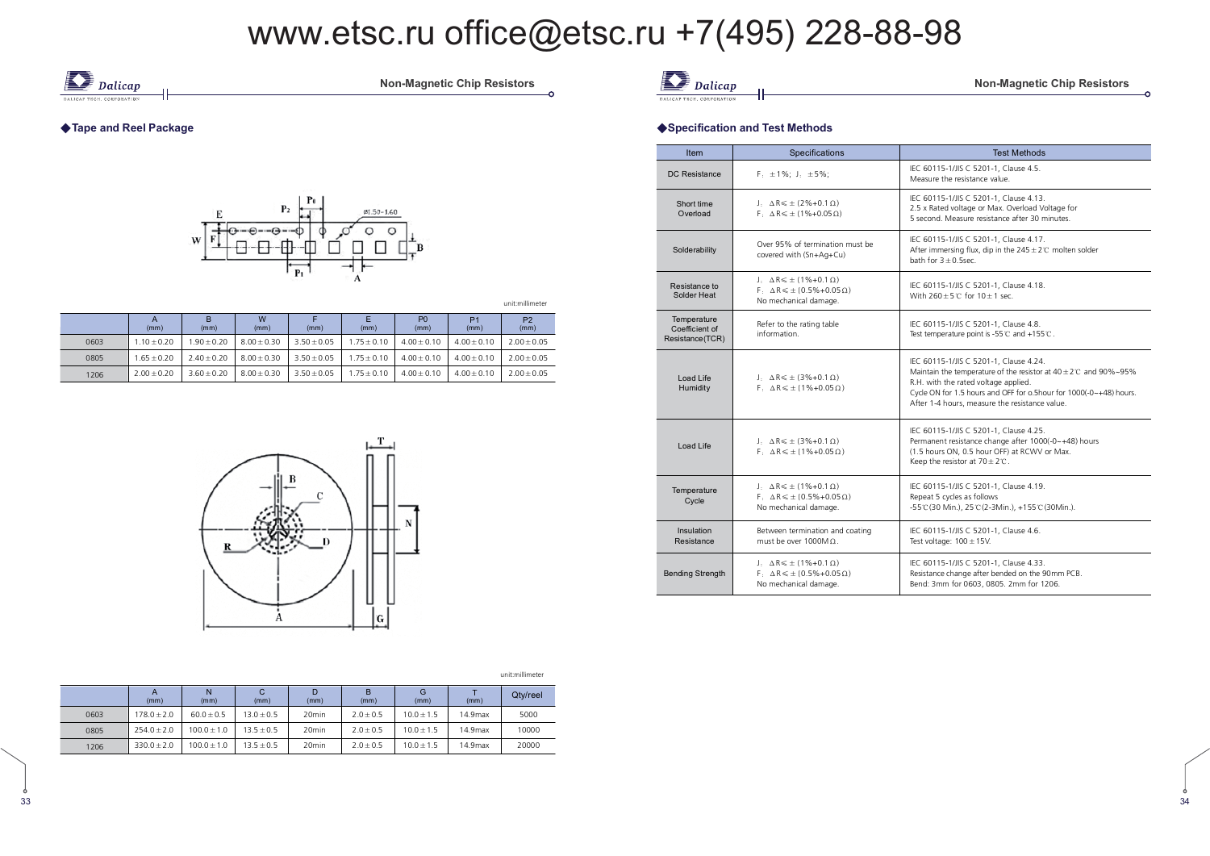

Non-Magnetic Chip Resistors

### ◆ Tape and Reel Package



unit:millimeter

|      | (mm)            | в<br>(mm)       | W<br>(mm)       | (mm)            | (mm)            | P <sub>0</sub><br>(mm) | P <sub>1</sub><br>(mm) | P <sub>2</sub><br>(mm) |
|------|-----------------|-----------------|-----------------|-----------------|-----------------|------------------------|------------------------|------------------------|
| 0603 | $1.10 \pm 0.20$ | $-90 + 0.20$    | $8.00 \pm 0.30$ | $3.50 \pm 0.05$ | $1.75 \pm 0.10$ | $4.00 \pm 0.10$        | $4.00 + 0.10$          | $2.00 + 0.05$          |
| 0805 | $1.65 + 0.20$   | $7.40 + 0.20$   | $8.00 \pm 0.30$ | $3.50 \pm 0.05$ | $1.75 + 0.10$   | $4.00 + 0.10$          | $4.00 + 0.10$          | $2.00 + 0.05$          |
| 1206 | $7.00 + 0.20$   | $3.60 \pm 0.20$ | $8.00 \pm 0.30$ | $3.50 \pm 0.05$ | $1.75 \pm 0.10$ | $4.00 + 0.10$          | $4.00 + 0.10$          | $2.00 \pm 0.05$        |



|                                | Dalicap |
|--------------------------------|---------|
| <b>JICAP TECH, CORPORATION</b> |         |

**6 ! .**

ć

#### $\bullet$  -  $\bullet$  -  $\bullet$  -  $\bullet$  -  $\bullet$  -  $\bullet$  -  $\bullet$  -  $\bullet$  -  $\bullet$  -  $\bullet$  -  $\bullet$  -  $\bullet$  -  $\bullet$  -  $\bullet$  -  $\bullet$  -  $\bullet$  -  $\bullet$  -  $\bullet$  -  $\bullet$  -  $\bullet$  -  $\bullet$  -  $\bullet$  -  $\bullet$  -  $\bullet$  -  $\bullet$  -  $\bullet$  -  $\bullet$  -  $\bullet$  -  $\bullet$  -  $\bullet$  -  $\bullet$  -  $\bullet$ Specification and Test Methods

| <b>Item</b>                                      | Specifications                                                                                                         | <b>Test Methods</b>                                                                                                                                                                                                                                                             |  |  |  |  |
|--------------------------------------------------|------------------------------------------------------------------------------------------------------------------------|---------------------------------------------------------------------------------------------------------------------------------------------------------------------------------------------------------------------------------------------------------------------------------|--|--|--|--|
| DC Resistance                                    | $F_1 \pm 1\%$ ; J <sub>: <math>\pm 5\%</math></sub> ;                                                                  | IEC 60115-1/JIS C 5201-1, Clause 4.5.<br>Measure the resistance value.                                                                                                                                                                                                          |  |  |  |  |
| Short time<br>Overload                           | $J \cdot \Delta R \leq \pm (2\% + 0.1 \Omega)$<br>$F \cdot \Delta R \leq \pm (1\% + 0.05 \Omega)$                      | IEC 60115-1/JIS C 5201-1. Clause 4.13.<br>2.5 x Rated voltage or Max. Overload Voltage for<br>5 second. Measure resistance after 30 minutes.                                                                                                                                    |  |  |  |  |
| Solderability                                    | Over 95% of termination must be<br>covered with (Sn+Aa+Cu)                                                             | IEC 60115-1/JIS C 5201-1, Clause 4.17.<br>After immersing flux, dip in the $245 \pm 2$ °C molten solder<br>bath for $3 + 0.5$ sec.                                                                                                                                              |  |  |  |  |
| Resistance to<br>Solder Heat                     | $J \cdot \Delta R \leq \pm (1\% + 0.1 \Omega)$<br>$F: \Delta R \leq \pm (0.5\% + 0.05\Omega)$<br>No mechanical damage. | IEC 60115-1/JIS C 5201-1, Clause 4.18.<br>With $260 + 5$ °C for $10 + 1$ sec.                                                                                                                                                                                                   |  |  |  |  |
| Temperature<br>Coefficient of<br>Resistance(TCR) | Refer to the rating table<br>information.                                                                              | IEC 60115-1/JIS C 5201-1, Clause 4.8.<br>Test temperature point is -55℃ and +155℃.                                                                                                                                                                                              |  |  |  |  |
| Load Life<br>Humidity                            | J: $\Delta R \le \pm (3\% + 0.1 \Omega)$<br>$F: \Delta R \leq \pm (1\% + 0.05 \Omega)$                                 | IEC 60115-1/JIS C 5201-1, Clause 4.24.<br>Maintain the temperature of the resistor at $40 \pm 2$ °C and 90%~95%<br>R.H. with the rated voltage applied.<br>Cycle ON for 1.5 hours and OFF for o.5hour for 1000(-0~+48) hours.<br>After 1-4 hours, measure the resistance value. |  |  |  |  |
| Load Life                                        | J. $\Delta R \le \pm (3\% + 0.1 \Omega)$<br>$F: \Delta R \leq \pm (1\% + 0.05 \Omega)$                                 | IEC 60115-1/JIS C 5201-1, Clause 4.25.<br>Permanent resistance change after 1000(-0~+48) hours<br>(1.5 hours ON, 0.5 hour OFF) at RCWV or Max.<br>Keep the resistor at $70 \pm 2^{\circ}$ .                                                                                     |  |  |  |  |
| Temperature<br>Cycle                             | $J_1 \Delta R \leq \pm (1\% + 0.1 \Omega)$<br>$F: \Delta R \leq \pm (0.5\% + 0.05\Omega)$<br>No mechanical damage.     | IEC 60115-1/JIS C 5201-1, Clause 4.19.<br>Repeat 5 cycles as follows<br>-55°C (30 Min.), 25°C (2-3Min.), +155°C (30Min.).                                                                                                                                                       |  |  |  |  |
| Insulation<br>Resistance                         | Between termination and coating<br>must be over $1000M\Omega$ .                                                        | IEC 60115-1/JIS C 5201-1, Clause 4.6.<br>Test voltage: $100 \pm 15$ V.                                                                                                                                                                                                          |  |  |  |  |
| <b>Bending Strength</b>                          | $J. \Delta R \leq \pm (1\% + 0.1 \Omega)$<br>$F \cdot \Delta R \leq \pm (0.5\% + 0.05\Omega)$<br>No mechanical damage. | IEC 60115-1/JIS C 5201-1, Clause 4.33.<br>Resistance change after bended on the 90mm PCB.<br>Bend: 3mm for 0603, 0805. 2mm for 1206.                                                                                                                                            |  |  |  |  |

#### unit:millimeter

|      | (mm)            | (mm)           | С<br>(mm)      | (mm)              | в<br>(mm)     | G<br>(mm)    | (mm)    | Qtv/reel |
|------|-----------------|----------------|----------------|-------------------|---------------|--------------|---------|----------|
| 0603 | $178.0 \pm 2.0$ | $60.0 \pm 0.5$ | $13.0 \pm 0.5$ | 20 <sub>min</sub> | $2.0 \pm 0.5$ | $10.0 + 1.5$ | 14.9max | 5000     |
| 0805 | $254.0 \pm 2.0$ | $100.0 + 1.0$  | $13.5 \pm 0.5$ | 20 <sub>min</sub> | $2.0 \pm 0.5$ | $10.0 + 1.5$ | 14.9max | 10000    |
| 1206 | $330.0 \pm 2.0$ | $100.0 + 1.0$  | $13.5 \pm 0.5$ | 20 <sub>min</sub> | $2.0 \pm 0.5$ | $10.0 + 1.5$ | 14.9max | 20000    |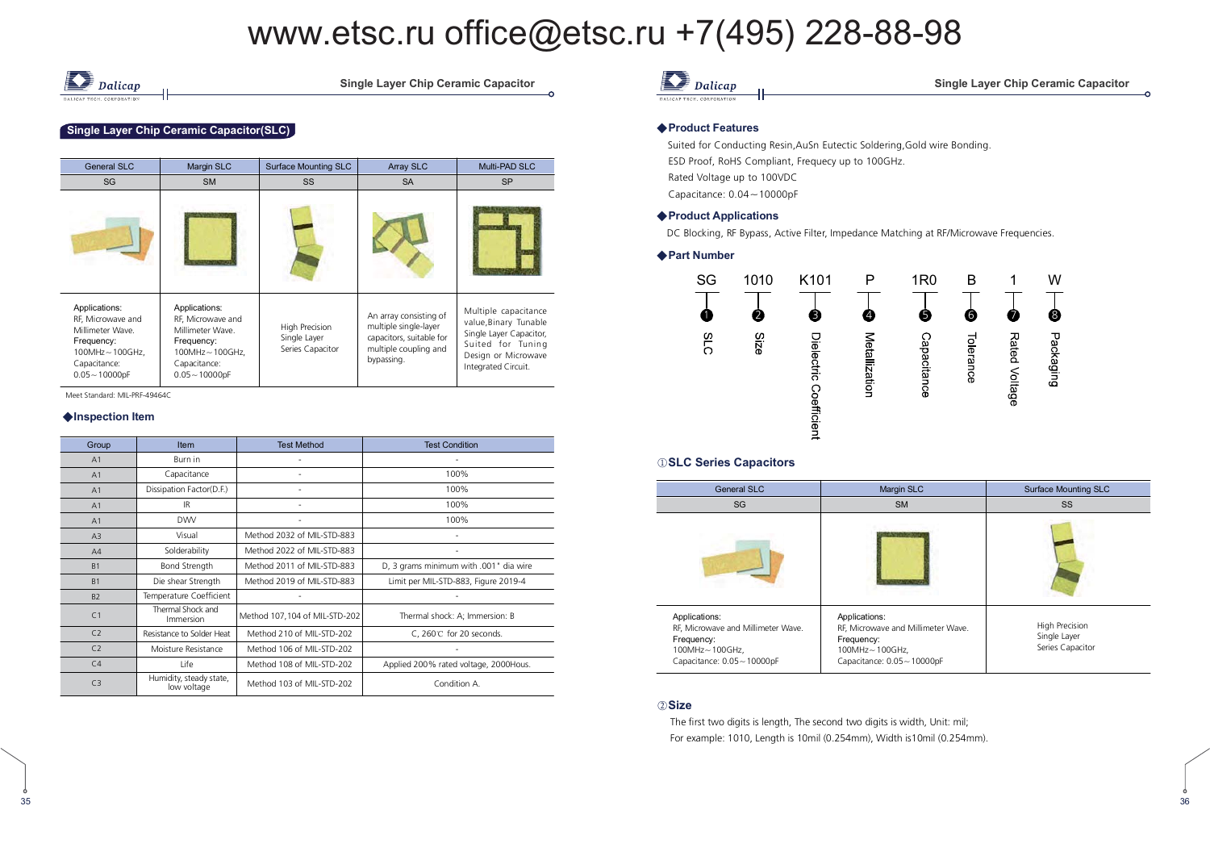

Single Layer Chip Ceramic Capacitor

#### Single Layer Chip Ceramic Capacitor(SLC)

| General SLC                                                                                                                     | Margin SLC                                                                                                                 | <b>Surface Mounting SLC</b>                        | Array SLC                                                                                                          | Multi-PAD SLC                                                                                                                               |
|---------------------------------------------------------------------------------------------------------------------------------|----------------------------------------------------------------------------------------------------------------------------|----------------------------------------------------|--------------------------------------------------------------------------------------------------------------------|---------------------------------------------------------------------------------------------------------------------------------------------|
| SG                                                                                                                              | <b>SM</b>                                                                                                                  | <b>SS</b>                                          | <b>SA</b>                                                                                                          | <b>SP</b>                                                                                                                                   |
|                                                                                                                                 |                                                                                                                            |                                                    |                                                                                                                    |                                                                                                                                             |
| Applications:<br>RF, Microwave and<br>Millimeter Wave.<br>Frequency:<br>$100MHz - 100GHz$ .<br>Capacitance:<br>$0.05 - 10000pF$ | Applications:<br>RF, Microwave and<br>Millimeter Wave.<br>Frequency:<br>100MHz~100GHz,<br>Capacitance:<br>$0.05 - 10000pF$ | High Precision<br>Single Layer<br>Series Capacitor | An array consisting of<br>multiple single-layer<br>capacitors, suitable for<br>multiple coupling and<br>bypassing. | Multiple capacitance<br>value, Binary Tunable<br>Single Layer Capacitor,<br>Suited for Tuning<br>Design or Microwave<br>Integrated Circuit. |

Meet Standard: MIL-PRF-49464C

#### ◆Inspection Item

35

| Group          | Item                                   | <b>Test Method</b>            | <b>Test Condition</b>                  |
|----------------|----------------------------------------|-------------------------------|----------------------------------------|
| A1             | Burn in                                |                               |                                        |
| A <sub>1</sub> | Capacitance                            |                               | 100%                                   |
| A <sub>1</sub> | Dissipation Factor(D.F.)               |                               | 100%                                   |
| A <sub>1</sub> | IR.                                    |                               | 100%                                   |
| A <sub>1</sub> | <b>DWV</b>                             |                               | 100%                                   |
| A3             | Visual                                 | Method 2032 of MIL-STD-883    |                                        |
| A4             | Solderability                          | Method 2022 of MIL-STD-883    |                                        |
| B <sub>1</sub> | Bond Strength                          | Method 2011 of MIL-STD-883    | D, 3 grams minimum with .001" dia wire |
| B <sub>1</sub> | Die shear Strength                     | Method 2019 of MIL-STD-883    | Limit per MIL-STD-883, Figure 2019-4   |
| B <sub>2</sub> | Temperature Coefficient                |                               |                                        |
| C <sub>1</sub> | Thermal Shock and<br>Immersion         | Method 107,104 of MIL-STD-202 | Thermal shock: A; Immersion: B         |
| C <sub>2</sub> | Resistance to Solder Heat              | Method 210 of MIL-STD-202     | C, 260℃ for 20 seconds.                |
| C <sub>2</sub> | Moisture Resistance                    | Method 106 of MIL-STD-202     |                                        |
| C <sub>4</sub> | Life                                   | Method 108 of MIL-STD-202     | Applied 200% rated voltage, 2000Hous.  |
| C <sub>3</sub> | Humidity, steady state,<br>low voltage | Method 103 of MIL-STD-202     | Condition A.                           |

### **D** Dalicap

#### ingle Layer Chip Ceramic Capacitor

6

#### ◆ Product Features

 Suited for Conducting Resin,AuSn Eutectic Soldering,Gold wire Bonding. ESD Proof, RoHS Compliant, Frequecy up to 100GHz. Rated Voltage up to 100VDC Capacitance: 0.04-10000pF

#### ◆ Product Applications

DC Blocking, RF Bypass, Active Filter, Impedance Matching at RF/Microwave Frequencies.

#### ◆ Part Number



#### **- 
-**

| <b>General SLC</b>                                                                                               | <b>Margin SLC</b>                                                                                                | <b>Surface Mounting SLC</b>                        |
|------------------------------------------------------------------------------------------------------------------|------------------------------------------------------------------------------------------------------------------|----------------------------------------------------|
| SG                                                                                                               | <b>SM</b>                                                                                                        | <b>SS</b>                                          |
|                                                                                                                  |                                                                                                                  |                                                    |
| Applications:<br>RF, Microwave and Millimeter Wave.<br>Frequency:<br>100MHz~100GHz,<br>Capacitance: 0.05~10000pF | Applications:<br>RF, Microwave and Millimeter Wave.<br>Frequency:<br>100MHz~100GHz,<br>Capacitance: 0.05~10000pF | High Precision<br>Single Layer<br>Series Capacitor |

#### 2**Size**

 $\frac{1}{3}$ 

 The first two digits is length, The second two digits is width, Unit: mil; For example: 1010, Length is 10mil (0.254mm), Width is10mil (0.254mm).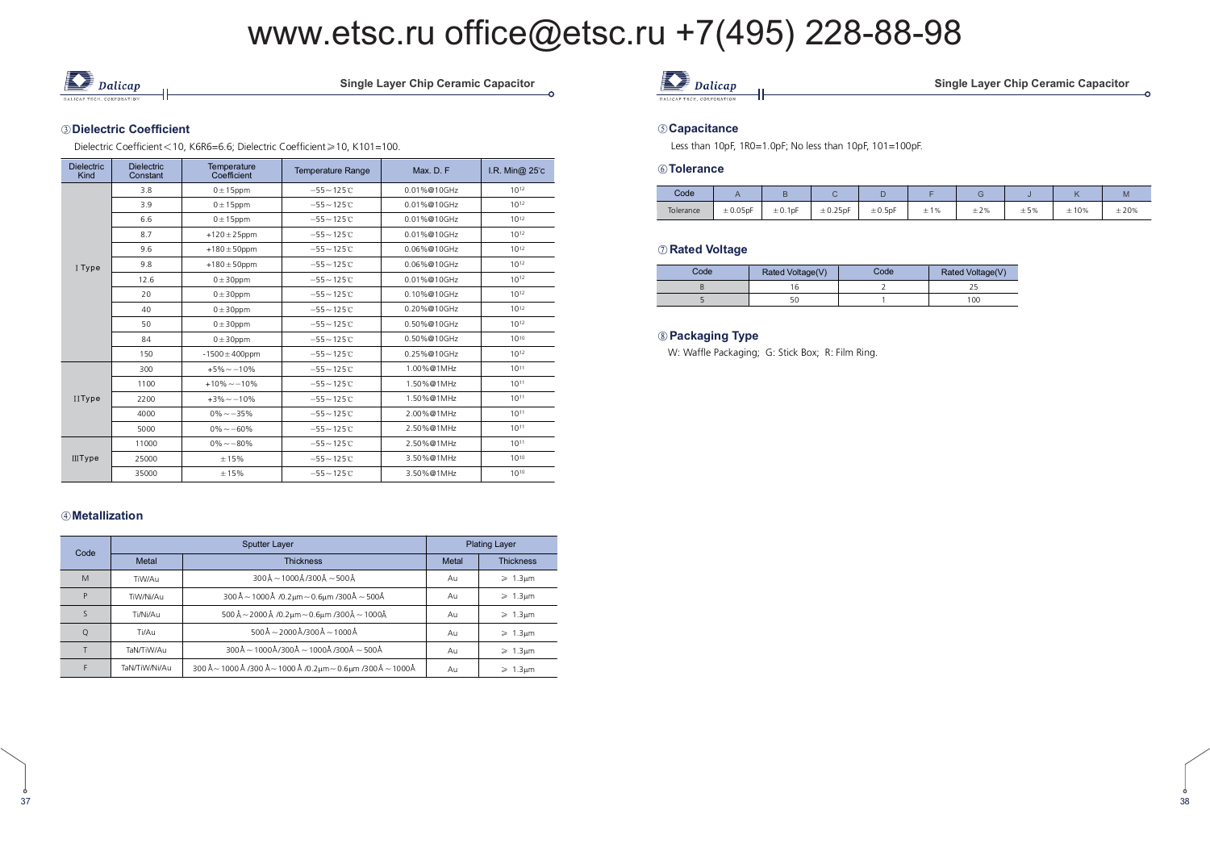$\frac{1}{2}$ 



Single Layer Chip Ceramic Capacitor

#### ③Dielectric Coefficient

Dielectric Coefficient < 10, K6R6=6.6; Dielectric Coefficient≥10, K101=100.

| <b>Dielectric</b><br>Kind | <b>Dielectric</b><br>Constant | Temperature<br>Coefficient | <b>Temperature Range</b> | Max. D. F.  | I.R. Min@ 25°c |  |
|---------------------------|-------------------------------|----------------------------|--------------------------|-------------|----------------|--|
|                           | 3.8                           | $0 \pm 15$ ppm             | $-55 - 125C$             | 0.01%@10GHz | $10^{12}$      |  |
|                           | 3.9                           | $0 \pm 15$ ppm             | $-55 - 125C$             | 0.01%@10GHz | $10^{12}$      |  |
|                           | 6.6                           | $0 \pm 15$ ppm             | $-55 - 125C$             | 0.01%@10GHz | $10^{12}$      |  |
|                           | 8.7                           | $+120 \pm 25$ ppm          | $-55 - 125C$             | 0.01%@10GHz | $10^{12}$      |  |
|                           | 9.6                           | $+180 \pm 50$ ppm          | $-55 - 125C$             | 0.06%@10GHz | $10^{12}$      |  |
| I Type                    | 9.8                           | $+180 \pm 50$ ppm          | $-55 - 125C$             | 0.06%@10GHz | $10^{12}$      |  |
|                           | 12.6                          | $0 \pm 30$ ppm             | $-55 - 125C$             | 0.01%@10GHz | $10^{12}$      |  |
|                           | 20                            | $0 \pm 30$ ppm             | $-55 - 125C$             | 0.10%@10GHz | $10^{12}$      |  |
|                           | 40                            | $0 \pm 30$ ppm             | $-55 - 125C$             | 0.20%@10GHz | $10^{12}$      |  |
|                           | 50                            | $0 \pm 30$ ppm             | $-55 - 125C$             | 0.50%@10GHz | $10^{12}$      |  |
|                           | 84                            | $0 \pm 30$ ppm             | $-55 - 125C$             | 0.50%@10GHz | $10^{10}$      |  |
|                           | 150                           | $-1500 \pm 400$ ppm        | $-55 - 125C$             | 0.25%@10GHz | $10^{12}$      |  |
|                           | 300                           | $+5\% -10\%$               | $-55 - 125C$             | 1.00%@1MHz  | $10^{11}$      |  |
|                           | 1100                          | $+10\% - 10\%$             | $-55 - 125C$             | 1.50%@1MHz  | $10^{11}$      |  |
| IIType                    | 2200                          | $+3\% - -10\%$             | $-55 - 125C$             | 1.50%@1MHz  | $10^{11}$      |  |
|                           | 4000                          | $0\% - 35\%$               | $-55 - 125C$             | 2.00%@1MHz  | $10^{11}$      |  |
|                           | 5000                          | $0\% - 60\%$               | $-55 - 125C$             | 2.50%@1MHz  | $10^{11}$      |  |
|                           | 11000                         | $0\% - 80\%$               | $-55 - 125C$             | 2.50%@1MHz  | $10^{11}$      |  |
| <b>IIIType</b>            | 25000                         | ±15%                       | $-55 - 125C$             | 3.50%@1MHz  | $10^{10}$      |  |
|                           | 35000                         | ±15%                       | $-55 - 125C$             | 3.50%@1MHz  | $10^{10}$      |  |

#### 

37

| Code |               | <b>Sputter Layer</b>                                                                                       | <b>Plating Layer</b> |                         |  |
|------|---------------|------------------------------------------------------------------------------------------------------------|----------------------|-------------------------|--|
|      | Metal         | <b>Thickness</b>                                                                                           | Metal                | <b>Thickness</b>        |  |
| M    | TiW/Au        | $300\text{\AA} - 1000\text{\AA}$ /300 $\text{\AA} - 500\text{\AA}$                                         | Au                   | $\geq 1.3 \mu m$        |  |
| P    | TiW/Ni/Au     | $300\text{\AA}$ ~ 1000 Å /0.2μm ~ 0.6μm /300 Å ~ 500 Å                                                     | Au                   | $\geq 1.3 \mu m$        |  |
|      | Ti/Ni/Au      | 500 Å $-$ 2000 Å /0.2 $\mu$ m $-$ 0.6 $\mu$ m /300Å $-$ 1000Å                                              |                      | $\geq 1.3 \mu m$        |  |
| O    | Ti/Au         | $500\text{\AA} - 2000\text{\AA}$ /300 Å $-1000\text{\AA}$                                                  | Au                   | $\geq 1.3 \mu m$        |  |
|      | TaN/TiW/Au    | $300\text{\AA} \sim 1000\text{\AA} / 300\text{\AA} \sim 1000\text{\AA} / 300\text{\AA} \sim 500\text{\AA}$ | Au                   | $\geq 1.3 \mu m$        |  |
|      | TaN/TiW/Ni/Au | 300 Å ~ 1000 Å /300 Å ~ 1000 Å /0.2μm ~ 0.6μm /300 Å ~ 1000 Å                                              | Au                   | $\geqslant$ 1.3 $\mu$ m |  |

### *Dalicap*

ingle Layer Chip Ceramic Capacitor

ċ

0

#### 

Less than 10pF, 1R0=1.0pF; No less than 10pF, 101=100pF.

#### 

| Code      |               |              |               |              |     |           |     |      | <b>IVI</b> |
|-----------|---------------|--------------|---------------|--------------|-----|-----------|-----|------|------------|
| Tolerance | $\pm 0.05$ pF | $\pm 0.1$ pF | $\pm 0.25$ pF | $\pm 0.5$ pF | ±1% | $\pm 2\%$ | ±5% | ±10% | ±20%       |

#### $\oslash$  Rated Voltage

| Code | Rated Voltage(V) | Code | Rated Voltage(V) |
|------|------------------|------|------------------|
|      |                  |      |                  |
|      |                  |      | 100              |

#### 

W: Waffle Packaging; G: Stick Box; R: Film Ring.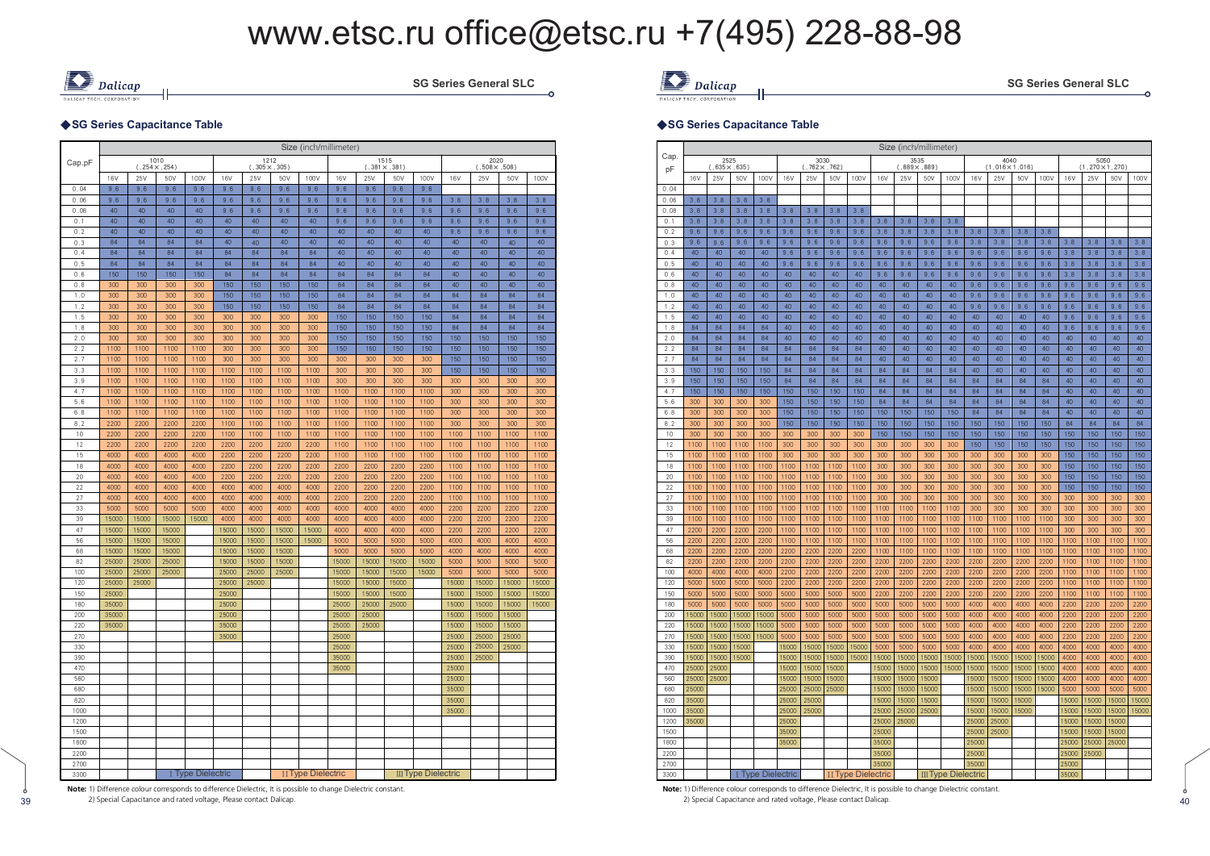

**SG Series General SLC** 

#### ◆SG Series Capacitance Table

|              |                |                |                              |                   |                |                              |                | Size (inch/millimeter)    |                |              |                              |                            |                |                              |                |              |
|--------------|----------------|----------------|------------------------------|-------------------|----------------|------------------------------|----------------|---------------------------|----------------|--------------|------------------------------|----------------------------|----------------|------------------------------|----------------|--------------|
| Cap.pF       |                |                | 1010<br>$(.254 \times .254)$ |                   |                | 1212<br>$(.305 \times .305)$ |                |                           |                |              | 1515<br>$(.381 \times .381)$ |                            |                | 2020<br>$(.508 \times .508)$ |                |              |
|              | 16V            | 25V            | 50V                          | 100V              | 16V            | 25V                          | 50V            | 100V                      | <b>16V</b>     | 25V          | 50V                          | 100V                       | 16V            | 25V                          | 50V            | 100V         |
| 0.04         | 9.6            | 9.6            | 9.6                          | 9.6               | 9.6            | 9.6                          | 9.6            | 9.6                       | 9.6            | 9.6          | 9.6                          | 9.6                        |                |                              |                |              |
| 0.06         | 9.6            | 9.6            | 9.6                          | 9.6               | 9.6            | 9.6                          | 9.6            | 9.6                       | 9.6            | 9,6          | 9.6                          | 9.6                        | 3.8            | 3.8                          | 3.8            | 3.8          |
| 0.08         | 40             | 40             | 40                           | 40                | 9.6            | 9.6                          | 9.6            | 9,6                       | 9.6            | 9.6          | 9.6                          | 9.6                        | 9,6            | 9.6                          | 9.6            | 9.6          |
| 0,1<br>0.2   | 40<br>40       | 40<br>40       | 40<br>40                     | 40<br>40          | 40<br>40       | 40<br>40                     | 40<br>40       | 40<br>40                  | 9.6<br>40      | 9.6<br>40    | 9.6<br>40                    | 9.6<br>40                  | 9,6<br>9.6     | 9.6<br>9.6                   | 9.6<br>9.6     | 9.6<br>9.6   |
| 0.3          | 84             | 84             | 84                           | 84                | 40             | 40                           | 40             | 40                        | 40             | 40           | 40                           | 40                         | 40             | 40                           | 40             | 40           |
| 0.4          | 84             | 84             | 84                           | 84                | 84             | 84                           | 84             | 84                        | 40             | 40           | 40                           | 40                         | 40             | 40                           | 40             | 40           |
| 0.5          | 84             | 84             | 84                           | 84                | 84             | 84                           | 84             | 84                        | 40             | 40           | 40                           | 40                         | 40             | 40                           | 40             | 40           |
| 0.6          | 150            | 150            | 150                          | 150               | 84             | 84                           | 84             | 84                        | 84             | 84           | 84                           | 84                         | 40             | 40                           | 40             | 40           |
| 0.8          | 300            | 300            | 300                          | 300               | 150            | 150                          | 150            | 150                       | 84             | 84           | 84                           | 84                         | 40             | 40                           | 40             | 40           |
| 1.0          | 300            | 300            | 300                          | 300               | 150            | 150                          | 150            | 150                       | 84             | 84           | 84                           | 84                         | 84             | 84                           | 84             | 84           |
| 1.2          | 300            | 300            | 300                          | 300               | 150            | 150                          | 150            | 150                       | 84             | 84           | 84                           | 84                         | 84             | 84                           | 84             | 84           |
| 1.5<br>1.8   | 300<br>300     | 300<br>300     | 300<br>300                   | 300<br>300        | 300<br>300     | 300<br>300                   | 300<br>300     | 300<br>300                | 150<br>150     | 150<br>150   | 150<br>150                   | 150<br>150                 | 84<br>84       | 84<br>84                     | 84<br>84       | 84<br>84     |
| 2.0          | 300            | 300            | 300                          | 300               | 300            | 300                          | 300            | 300                       | 150            | 150          | 150                          | 150                        | 150            | 150                          | 150            | 150          |
| 2.2          | 1100           | 1100           | 1100                         | 1100              | 300            | 300                          | 300            | 300                       | 150            | 150          | 150                          | 150                        | 150            | 150                          | 150            | 150          |
| 2.7          | 1100           | 1100           | 1100                         | 1100              | 300            | 300                          | 300            | 300                       | 300            | 300          | 300                          | 300                        | 150            | 150                          | 150            | 150          |
| 3.3          | 1100           | 1100           | 1100                         | 1100              | 1100           | 1100                         | 1100           | 1100                      | 300            | 300          | 300                          | 300                        | 150            | 150                          | 150            | 150          |
| 3.9          | 1100           | 1100           | 1100                         | 1100              | 1100           | 1100                         | 1100           | 1100                      | 300            | 300          | 300                          | 300                        | 300            | 300                          | 300            | 300          |
| 4.7          | 1100           | 1100           | 1100                         | 1100              | 1100           | 1100                         | 1100           | 1100                      | 1100           | 1100         | 1100                         | 1100                       | 300            | 300                          | 300            | 300          |
| 5.6          | 1100           | 1100           | 1100                         | 1100              | 1100           | 1100                         | 1100           | 1100                      | 1100           | 1100         | 1100                         | 1100                       | 300            | 300                          | 300            | 300          |
| 6.8          | 1100           | 1100           | 1100                         | 1100              | 1100           | 1100                         | 1100           | 1100                      | 1100           | 1100         | 1100                         | 1100                       | 300            | 300                          | 300            | 300          |
| 8.2<br>10    | 2200<br>2200   | 2200<br>2200   | 2200<br>2200                 | 2200<br>2200      | 1100<br>1100   | 1100<br>1100                 | 1100<br>1100   | 1100<br>1100              | 1100<br>1100   | 1100<br>1100 | 1100<br>1100                 | 1100<br>1100               | 300<br>1100    | 300<br>1100                  | 300<br>1100    | 300<br>1100  |
| 12           | 2200           | 2200           | 2200                         | 2200              | 2200           | 2200                         | 2200           | 2200                      | 1100           | 1100         | 1100                         | 1100                       | 1100           | 1100                         | 1100           | 1100         |
| 15           | 4000           | 4000           | 4000                         | 4000              | 2200           | 2200                         | 2200           | 2200                      | 1100           | 1100         | 1100                         | 1100                       | 1100           | 1100                         | 1100           | 1100         |
| 18           | 4000           | 4000           | 4000                         | 4000              | 2200           | 2200                         | 2200           | 2200                      | 2200           | 2200         | 2200                         | 2200                       | 1100           | 1100                         | 1100           | 1100         |
| 20           | 4000           | 4000           | 4000                         | 4000              | 2200           | 2200                         | 2200           | 2200                      | 2200           | 2200         | 2200                         | 2200                       | 1100           | 1100                         | 1100           | 1100         |
| 22           | 4000           | 4000           | 4000                         | 4000              | 4000           | 4000                         | 4000           | 4000                      | 2200           | 2200         | 2200                         | 2200                       | 1100           | 1100                         | 1100           | 1100         |
| 27           | 4000           | 4000           | 4000                         | 4000              | 4000           | 4000                         | 4000           | 4000                      | 2200           | 2200         | 2200                         | 2200                       | 1100           | 1100                         | 1100           | 1100         |
| 33           | 5000           | 5000           | 5000                         | 5000              | 4000           | 4000                         | 4000           | 4000                      | 4000           | 4000         | 4000                         | 4000                       | 2200           | 2200                         | 2200           | 2200         |
| 39           | 15000          | 15000          | 15000                        | 15000             | 4000           | 4000                         | 4000           | 4000                      | 4000           | 4000         | 4000                         | 4000                       | 2200           | 2200                         | 2200           | 2200         |
| 47<br>56     | 15000<br>15000 | 15000<br>15000 | 15000<br>15000               |                   | 15000<br>15000 | 15000<br>15000               | 15000<br>15000 | 15000<br>15000            | 4000<br>5000   | 4000<br>5000 | 4000<br>5000                 | 4000<br>5000               | 2200<br>4000   | 2200<br>4000                 | 2200<br>4000   | 2200<br>4000 |
| 68           | 15000          | 15000          | 15000                        |                   | 15000          | 15000                        | 15000          |                           | 5000           | 5000         | 5000                         | 5000                       | 4000           | 4000                         | 4000           | 4000         |
| 82           | 25000          | 25000          | 25000                        |                   | 15000          | 15000                        | 15000          |                           | 15000          | 15000        | 15000                        | 15000                      | 5000           | 5000                         | 5000           | 5000         |
| 100          | 25000          | 25000          | 25000                        |                   | 25000          | 25000                        | 25000          |                           | 15000          | 15000        | 15000                        | 15000                      | 5000           | 5000                         | 5000           | 5000         |
| 120          | 25000          | 25000          |                              |                   | 25000          | 25000                        |                |                           | 15000          | 15000        | 15000                        |                            | 15000          | 15000                        | 15000          | 15000        |
| 150          | 25000          |                |                              |                   | 25000          |                              |                |                           | 15000          | 15000        | 15000                        |                            | 15000          | 15000                        | 15000          | 15000        |
| 180          | 35000          |                |                              |                   | 25000          |                              |                |                           | 25000          | 25000        | 25000                        |                            | 15000          | 15000                        | 15000          | 15000        |
| 200          | 35000          |                |                              |                   | 25000          |                              |                |                           | 25000          | 25000        |                              |                            | 15000          | 15000                        | 15000          |              |
| 220<br>270   | 35000          |                |                              |                   | 35000<br>35000 |                              |                |                           | 25000<br>25000 | 25000        |                              |                            | 15000<br>25000 | 15000<br>25000               | 15000<br>25000 |              |
| 330          |                |                |                              |                   |                |                              |                |                           | 25000          |              |                              |                            | 25000          | 25000                        | 25000          |              |
| 390          |                |                |                              |                   |                |                              |                |                           | 35000          |              |                              |                            | 25000          | 25000                        |                |              |
| 470          |                |                |                              |                   |                |                              |                |                           | 35000          |              |                              |                            | 25000          |                              |                |              |
| 560          |                |                |                              |                   |                |                              |                |                           |                |              |                              |                            | 25000          |                              |                |              |
| 680          |                |                |                              |                   |                |                              |                |                           |                |              |                              |                            | 35000          |                              |                |              |
| 820          |                |                |                              |                   |                |                              |                |                           |                |              |                              |                            | 35000          |                              |                |              |
| 1000         |                |                |                              |                   |                |                              |                |                           |                |              |                              |                            | 35000          |                              |                |              |
| 1200         |                |                |                              |                   |                |                              |                |                           |                |              |                              |                            |                |                              |                |              |
| 1500         |                |                |                              |                   |                |                              |                |                           |                |              |                              |                            |                |                              |                |              |
| 1800<br>2200 |                |                |                              |                   |                |                              |                |                           |                |              |                              |                            |                |                              |                |              |
| 2700         |                |                |                              |                   |                |                              |                |                           |                |              |                              |                            |                |                              |                |              |
| 3300         |                |                |                              | I Type Dielectric |                |                              |                | <b>II Type Dielectric</b> |                |              |                              | <b>III Type Dielectric</b> |                |                              |                |              |

c



ć

#### ◆SG Series Capacitance Table

|             |                |                              |               |                   |                |                              |              |                           |                | Size (inch/millimeter)         |                |                            |                |                                |                     |              |                 |                                |                |                |
|-------------|----------------|------------------------------|---------------|-------------------|----------------|------------------------------|--------------|---------------------------|----------------|--------------------------------|----------------|----------------------------|----------------|--------------------------------|---------------------|--------------|-----------------|--------------------------------|----------------|----------------|
| Cap.        |                | 2525<br>$(.635 \times .635)$ |               |                   |                | 3030<br>$(.762 \times .762)$ |              |                           |                | 3535<br>$(0.889 \times 0.889)$ |                |                            |                | 4040<br>$(1.016 \times 1.016)$ |                     |              |                 | 5050<br>$(1.270 \times 1.270)$ |                |                |
| pF          | 16V            | 25V                          | 50V           | 100V              | 16V            | 25V                          | 50V          | 100V                      | 16V            | 25V                            | 50V            | 100V                       | 16V            | 25V                            | 50V                 | 100V         | 16 <sub>V</sub> | 25V                            | 50V            | 100V           |
| 0.04        |                |                              |               |                   |                |                              |              |                           |                |                                |                |                            |                |                                |                     |              |                 |                                |                |                |
| 0.06        | 3.8            | 3.8                          | 3.8           | 3.8               |                |                              |              |                           |                |                                |                |                            |                |                                |                     |              |                 |                                |                |                |
| 0.08        | 3.8            | 3.8                          | 3.8           | 3.8               | 3,8            | 3.8                          | 3.8          | 3.8                       |                |                                |                |                            |                |                                |                     |              |                 |                                |                |                |
| 0, 1        | 3.8            | 3.8                          | 3.8           | 3.8               | 3,8            | 3.8                          | 3.8          | 3.8                       | 3.8            | 3,8                            | 3.8            | 3.8                        |                |                                |                     |              |                 |                                |                |                |
| 0.2<br>0.3  | 9.6<br>9.6     | 9.6<br>9.6                   | 9.6<br>9.6    | 9.6<br>9.6        | 9,6<br>9,6     | 9.6<br>9.6                   | 9.6<br>9.6   | 9.6<br>9.6                | 3,8<br>9,6     | 3, 8<br>9.6                    | 3.8<br>9.6     | 3.8<br>9,6                 | 3.8<br>3.8     | 3.8<br>3.8                     | 3.8<br>3.8          | 3.8<br>3.8   | 3.8             | 3.8                            | 3.8            | 3.8            |
| 0.4         | 40             | 40                           | 40            | 40                | 9.6            | 9.6                          | 9.6          | 9.6                       | 9,6            | 9,6                            | 9.6            | 9.6                        | 9.6            | 9.6                            | 9.6                 | 9.6          | 3.8             | 3.8                            | 3.8            | 3.8            |
| 0.5         | 40             | 40                           | 40            | 40                | 9,6            | 9.6                          | 9.6          | 9.6                       | 9.6            | 9.6                            | 9.6            | 9,6                        | 9.6            | 9.6                            | 9.6                 | 9.6          | 3.8             | 3.8                            | 3.8            | 3.8            |
| 0.6         | 40             | 40                           | 40            | 40                | 40             | 40                           | 40           | 40                        | 9.6            | 9.6                            | 9.6            | 9.6                        | 9.6            | 9.6                            | 9.6                 | 9.6          | 3.8             | 3.8                            | 3.8            | 3.8            |
| 0.8         | 40             | 40                           | 40            | 40                | 40             | 40                           | 40           | 40                        | 40             | 40                             | 40             | 40                         | 9.6            | 9.6                            | 9.6                 | 9.6          | 9.6             | 9.6                            | 9.6            | 9.6            |
| 1.0         | 40             | 40                           | 40            | 40                | 40             | 40                           | 40           | 40                        | 40             | 40                             | 40             | 40                         | 9.6            | 9.6                            | 9.6                 | 9.6          | 9.6             | 9.6                            | 9.6            | 9.6            |
| 1.2         | 40             | 40                           | 40            | 40                | 40             | 40                           | 40           | 40                        | 40             | 40                             | 40             | 40                         | 9.6            | 9.6                            | 9.6                 | 9.6          | 9.6             | 9.6                            | 9.6            | 9.6            |
| 1.5         | 40<br>84       | 40<br>84                     | 40<br>84      | 40<br>84          | 40<br>40       | 40<br>40                     | 40<br>40     | 40<br>40                  | 40<br>40       | 40<br>40                       | 40<br>40       | 40<br>40                   | 40<br>40       | 40<br>40                       | 40<br>40            | 40<br>40     | 9.6             | 9.6                            | 9.6            | 9.6            |
| 1.8<br>2.0  | 84             | 84                           | 84            | 84                | 40             | 40                           | 40           | 40                        | 40             | 40                             | 40             | 40                         | 40             | 40                             | 40                  | 40           | 9.6<br>40       | 9.6<br>40                      | 9.6<br>40      | 9.6<br>40      |
| 2.2         | 84             | 84                           | 84            | 84                | 84             | 84                           | 84           | 84                        | 40             | 40                             | 40             | 40                         | 40             | 40                             | 40                  | 40           | 40              | 40                             | 40             | 40             |
| 2.7         | 84             | 84                           | 84            | 84                | 84             | 84                           | 84           | 84                        | 40             | 40                             | 40             | 40                         | 40             | 40                             | 40                  | 40           | 40              | 40                             | 40             | 40             |
| 3.3         | 150            | 150                          | 150           | 150               | 84             | 84                           | 84           | 84                        | 84             | 84                             | 84             | 84                         | 40             | 40                             | 40                  | 40           | 40              | 40                             | 40             | 40             |
| 3.9         | 150            | 150                          | 150           | 150               | 84             | 84                           | 84           | 84                        | 84             | 84                             | 84             | 84                         | 84             | 84                             | 84                  | 84           | 40              | 40                             | 40             | 40             |
| 4.7         | 150            | 150                          | 150           | 150               | 150            | 150                          | 150          | 150                       | 84             | 84                             | 84             | 84                         | 84             | 84                             | 84                  | 84           | 40              | 40                             | 40             | 40             |
| 5.6         | 300            | 300                          | 300           | 300               | 150            | 150                          | 150          | 150                       | 84             | 84                             | 84             | 84                         | 84             | 84                             | 84                  | 84           | 40              | 40                             | 40             | 40             |
| 6.8<br>8.2  | 300<br>300     | 300<br>300                   | 300<br>300    | 300<br>300        | 150<br>150     | 150<br>150                   | 150<br>150   | 150<br>150                | 150<br>150     | 150<br>150                     | 150<br>150     | 150<br>150                 | 84<br>150      | 84<br>150                      | 84<br>150           | 84<br>150    | 40<br>84        | 40<br>84                       | 40<br>84       | 40<br>84       |
| 10          | 300            | 300                          | 300           | 300               | 300            | 300                          | 300          | 300                       | 150            | 150                            | 150            | 150                        | 150            | 150                            | 150                 | 150          | 150             | 150                            | 150            | 150            |
| 12          | 1100           | 1100                         | 1100          | 1100              | 300            | 300                          | 300          | 300                       | 300            | 300                            | 300            | 300                        | 150            | 150                            | 150                 | 150          | 150             | 150                            | 150            | 150            |
| 15          | 1100           | 1100                         | 1100          | 1100              | 300            | 300                          | 300          | 300                       | 300            | 300                            | 300            | 300                        | 300            | 300                            | 300                 | 300          | 150             | 150                            | 150            | 150            |
| 18          | 1100           | 1100                         | 1100          | 1100              | 1100           | 1100                         | 1100         | 1100                      | 300            | 300                            | 300            | 300                        | 300            | 300                            | 300                 | 300          | 150             | 150                            | 150            | 150            |
| 20          | 1100           | 1100                         | 1100          | 1100              | 1100           | 1100                         | 1100         | 1100                      | 300            | 300                            | 300            | 300                        | 300            | 300                            | 300                 | 300          | 150             | 150                            | 150            | 150            |
| 22          | 1100           | 1100                         | 1100          | 1100              | 1100           | 1100                         | 1100         | 1100                      | 300            | 300                            | 300            | 300                        | 300            | 300                            | 300                 | 300          | 150             | 150                            | 150            | 150            |
| 27          | 1100           | 1100                         | 1100          | 1100              | 1100           | 1100                         | 1100         | 1100                      | 300            | 300                            | 300            | 300                        | 300            | 300                            | 300                 | 300          | 300             | 300                            | 300            | 300            |
| 33<br>39    | 1100<br>1100   | 1100<br>1100                 | 1100<br>1100  | 1100<br>1100      | 1100<br>1100   | 1100<br>1100                 | 1100<br>1100 | 1100<br>1100              | 1100<br>1100   | 1100<br>1100                   | 1100<br>1100   | 1100<br>1100               | 300<br>1100    | 300<br>1100                    | 300<br>1100         | 300<br>1100  | 300<br>300      | 300<br>300                     | 300            | 300            |
| 47          | 2200           | 2200                         | 2200          | 2200              | 1100           | 1100                         | 1100         | 1100                      | 1100           | 1100                           | 1100           | 1100                       | 1100           | 1100                           | 1100                | 1100         | 300             | 300                            | 300<br>300     | 300<br>300     |
| 56          | 2200           | 2200                         | 2200          | 2200              | 1100           | 1100                         | 1100         | 1100                      | 1100           | 1100                           | 1100           | 1100                       | 1100           | 1100                           | 1100                | 1100         | 1100            | 1100                           | 1100           | 1100           |
| 68          | 2200           | 2200                         | 2200          | 2200              | 2200           | 2200                         | 2200         | 2200                      | 1100           | 1100                           | 1100           | 1100                       | 1100           | 1100                           | 1100                | 1100         | 1100            | 1100                           | 1100           | 1100           |
| 82          | 2200           | 2200                         | 2200          | 2200              | 2200           | 2200                         | 2200         | 2200                      | 2200           | 2200                           | 2200           | 2200                       | 2200           | 2200                           | 2200                | 2200         | 1100            | 1100                           | 1100           | 1100           |
| 100         | 4000           | 4000                         | 4000          | 4000              | 2200           | 2200                         | 2200         | 2200                      | 2200           | 2200                           | 2200           | 2200                       | 2200           | 2200                           | 2200                | 2200         | 1100            | 1100                           | 1100           | 1100           |
| 120         | 5000           | 5000                         | 5000          | 5000              | 2200           | 2200                         | 2200         | 2200                      | 2200           | 2200                           | 2200           | 2200                       | 2200           | 2200                           | 2200                | 2200         | 1100            | 1100                           | 1100           | 1100           |
| 150         | 5000           | 5000                         | 5000          | 5000              | 5000           | 5000                         | 5000         | 5000                      | 2200           | 2200                           | 2200           | 2200                       | 2200           | 2200                           | 2200                | 2200         | 1100            | 1100                           | 1100           | 1100           |
| 180<br>200  | 5000<br>15000  | 5000<br>15000                | 5000<br>15000 | 5000<br>15000     | 5000<br>5000   | 5000<br>5000                 | 5000<br>5000 | 5000<br>5000              | 5000<br>5000   | 5000<br>5000                   | 5000<br>5000   | 5000<br>5000               | 4000<br>4000   | 4000<br>4000                   | <b>4000</b><br>4000 | 4000<br>4000 | 2200<br>2200    | 2200<br>2200                   | 2200<br>2200   | 2200<br>2200   |
| 220         | 15000          | 15000                        | 15000         | 15000             | 5000           | 5000                         | 5000         | 5000                      | 5000           | 5000                           | 5000           | 5000                       | 4000           | 4000                           | 4000                | 4000         | 2200            | 2200                           | 2200           | 2200           |
| 270         | 15000          | 15000                        | 15000         | 15000             | 5000           | 5000                         | 5000         | 5000                      | 5000           | 5000                           | 5000           | 5000                       | 4000           | 4000                           | 4000                | 4000         | 2200            | 2200                           | 2200           | 2200           |
| 330         | 15000          | 15000                        | 15000         |                   | 15000          | 15000                        | 15000        | 15000                     | 5000           | 5000                           | 5000           | 5000                       | 4000           | 4000                           | 4000                | 4000         | 4000            | 4000                           | 4000           | 4000           |
| 390         | 15000          | 15000                        | 15000         |                   | 15000          | 15000                        | 15000        | 15000                     | 15000          | 15000                          | 15000          | 15000                      | 15000          | 15000                          | 15000               | 15000        | 4000            | 4000                           | 4000           | 4000           |
| 470         | 25000          | 25000                        |               |                   | 15000          | 15000                        | 15000        |                           | 15000          | 15000                          | 15000          | 15000                      | 15000          | 15000                          | 15000               | 15000        | 4000            | 4000                           | 4000           | 4000           |
| 560         | 25000          | 25000                        |               |                   | 15000          | 15000                        | 15000        |                           | 15000          | 15000                          | 15000          |                            | 15000          | 15000                          | 15000               | 15000        | 4000            | 4000                           | 4000           | 4000           |
| 680         | 25000          |                              |               |                   | 25000          | 25000                        | 25000        |                           | 15000          | 15000                          | 15000          |                            | 15000          | 15000                          | 15000               | 15000        | 5000            | 5000                           | 5000           | 5000           |
| 820<br>1000 | 35000<br>35000 |                              |               |                   | 25000<br>25000 | 25000<br>25000               |              |                           | 15000<br>25000 | 15000<br>25000                 | 15000<br>25000 |                            | 15000<br>15000 | 15000<br>15000                 | 15000<br>15000      |              | 15000<br>15000  | 15000<br>15000                 | 15000<br>15000 | 15000<br>15000 |
| 1200        | 35000          |                              |               |                   | 25000          |                              |              |                           | 25000          | 25000                          |                |                            | 25000          | <b>25000</b>                   |                     |              | 15000           | 15000                          | 15000          |                |
| 1500        |                |                              |               |                   | 35000          |                              |              |                           | 25000          |                                |                |                            | 25000          | 25000                          |                     |              | 15000           | 15000                          | 15000          |                |
| 1800        |                |                              |               |                   | 35000          |                              |              |                           | 35000          |                                |                |                            | 25000          |                                |                     |              | 25000           | 25000                          | 25000          |                |
| 2200        |                |                              |               |                   |                |                              |              |                           | 35000          |                                |                |                            | 25000          |                                |                     |              | 25000           | 25000                          |                |                |
| 2700        |                |                              |               |                   |                |                              |              |                           | 35000          |                                |                |                            | 35000          |                                |                     |              | 25000           |                                |                |                |
| 3300        |                |                              |               | I Type Dielectric |                |                              |              | <b>II Type Dielectric</b> |                |                                |                | <b>III Type Dielectric</b> |                |                                |                     |              | 35000           |                                |                |                |

g 2) Special Capacitance and rated voltage, Please contact Dalicap. 40 and rated voltage, Please contact Dalicap. And rated voltage, Please contact Dalicap. 40 and rated voltage, Please contact Dalicap. 40 and rated voltag **Note:** 1) Difference colour corresponds to difference Dielectric, It is possible to change Dielectric constant. 2) Special Capacitance and rated voltage, Please contact Dalicap.

**Note:** 1) Difference colour corresponds to difference Dielectric, It is possible to change Dielectric constant.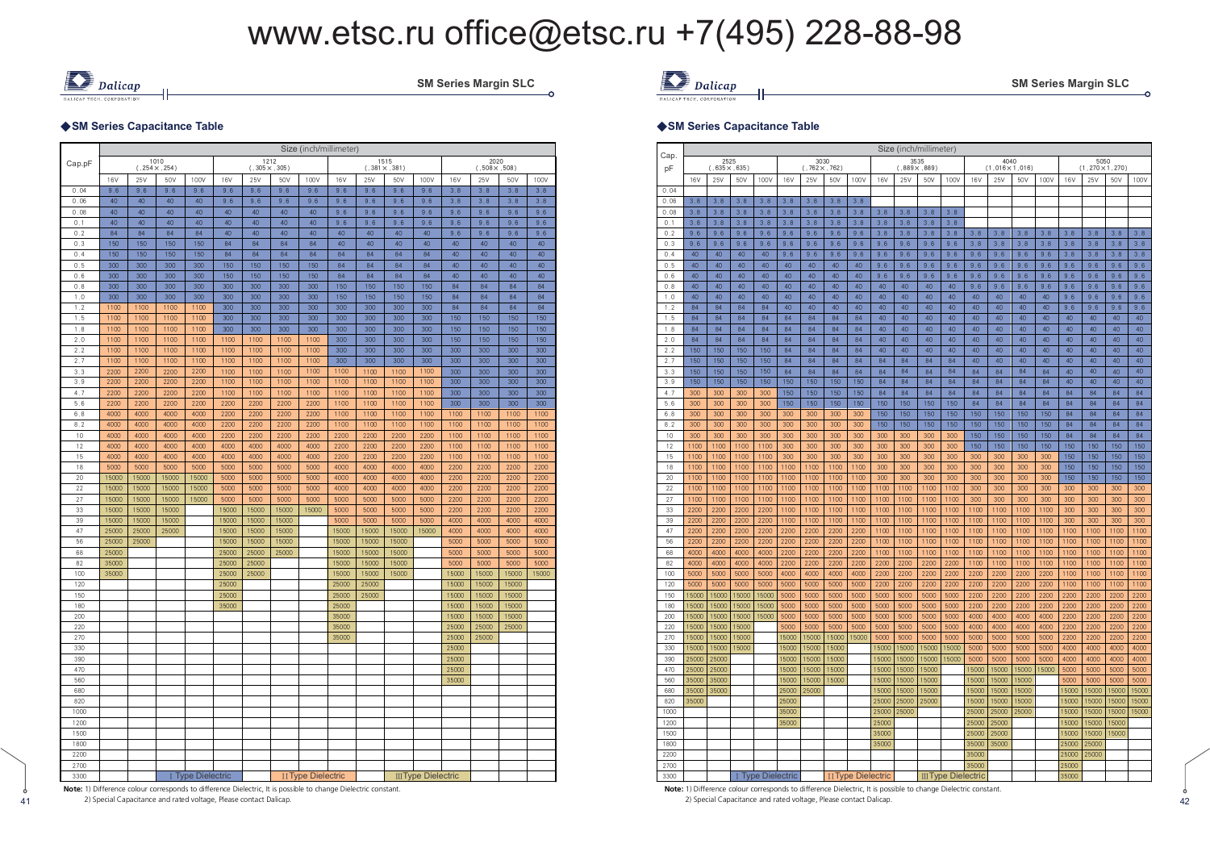

SM Series Margin SLC

#### ◆SM Series Capacitance Table

|            |              |              |                              |                   |              |                              |              | Size (inch/millimeter)    |                |              |                              |                            |                |                              |                |              |
|------------|--------------|--------------|------------------------------|-------------------|--------------|------------------------------|--------------|---------------------------|----------------|--------------|------------------------------|----------------------------|----------------|------------------------------|----------------|--------------|
| Cap.pF     |              |              | 1010<br>$(.254 \times .254)$ |                   |              | 1212<br>$(.305 \times .305)$ |              |                           |                |              | 1515<br>$(.381 \times .381)$ |                            |                | 2020<br>$(.508 \times .508)$ |                |              |
|            | 16V          | 25V          | 50V                          | 100V              | 16V          | 25V                          | 50V          | 100V                      | 16V            | 25V          | 50V                          | 100V                       | 16V            | 25V                          | 50V            | 100V         |
| 0.04       | 9.6          | 9.6          | 9.6                          | 9.6               | 9.6          | 9.6                          | 9.6          | 9.6                       | 9.6            | 9.6          | 9.6                          | 9.6                        | 3.8            | 3, 8                         | 3,8            | 3.8          |
| 0.06       | 40           | 40           | 40                           | 40                | 9.6          | 9,6                          | 9.6          | 9.6                       | 9.6            | 9.6          | 9.6                          | 9,6                        | 3.8            | 3.8                          | 3.8            | 3,8          |
| 0.08       | 40           | 40           | 40                           | 40                | 40           | 40                           | 40           | 40                        | 9.6            | 9.6          | 9.6                          | 9.6                        | 9.6            | 9.6                          | 9.6            | 9.6          |
| 0.1        | 40           | 40           | 40                           | 40                | 40           | 40                           | 40           | 40                        | 9.6            | 9.6          | 9.6                          | 9.6                        | 9.6            | 9.6                          | 9.6            | 9.6          |
| 0.2        | 84           | 84           | 84                           | 84                | 40           | 40                           | 40           | 40                        | 40             | 40           | 40                           | 40                         | 9.6            | 9,6                          | 9.6            | 9.6          |
| 0.3<br>0.4 | 150<br>150   | 150<br>150   | 150<br>150                   | 150<br>150        | 84<br>84     | 84<br>84                     | 84<br>84     | 84<br>84                  | 40<br>84       | 40<br>84     | 40<br>84                     | 40<br>84                   | 40<br>40       | 40<br>40                     | 40<br>40       | 40<br>40     |
| 0.5        | 300          | 300          | 300                          | 300               | 150          | 150                          | 150          | 150                       | 84             | 84           | 84                           | 84                         | 40             | 40                           | 40             | 40           |
| 0.6        | 300          | 300          | 300                          | 300               | 150          | 150                          | 150          | 150                       | 84             | 84           | 84                           | 84                         | 40             | 40                           | 40             | 40           |
| 0.8        | 300          | 300          | 300                          | 300               | 300          | 300                          | 300          | 300                       | 150            | 150          | 150                          | 150                        | 84             | 84                           | 84             | 84           |
| 1.0        | 300          | 300          | 300                          | 300               | 300          | 300                          | 300          | 300                       | 150            | 150          | 150                          | 150                        | 84             | 84                           | 84             | 84           |
| 1.2        | 1100         | 1100         | 1100                         | 1100              | 300          | 300                          | 300          | 300                       | 300            | 300          | 300                          | 300                        | 84             | 84                           | 84             | 84           |
| 1.5        | 1100         | 1100         | 1100                         | 1100              | 300          | 300                          | 300          | 300                       | 300            | 300          | 300                          | 300                        | 150            | 150                          | 150            | 150          |
| 1.8        | 1100         | 1100         | 1100                         | 1100              | 300          | 300                          | 300          | 300                       | 300            | 300          | 300                          | 300                        | 150            | 150                          | 150            | 150          |
| 2.0        | 1100         | 1100         | 1100                         | 1100              | 1100         | 1100                         | 1100         | 1100                      | 300            | 300          | 300                          | 300                        | 150            | 150                          | 150            | 150          |
| 2.2        | 1100         | 1100         | 1100                         | 1100              | 1100         | 1100                         | 1100         | 1100                      | 300            | 300          | 300                          | 300                        | 300            | 300                          | 300            | 300          |
| 2.7        | 1100         | 1100         | 1100                         | 1100              | 1100         | 1100                         | 1100         | 1100                      | 300            | 300          | 300                          | 300                        | 300            | 300                          | 300            | 300          |
| 3.3        | 2200         | 2200         | 2200                         | 2200              | 1100         | 1100                         | 1100         | 1100                      | 1100           | 1100         | 1100                         | 1100                       | 300            | 300                          | 300            | 300          |
| 3.9        | 2200         | 2200         | 2200                         | 2200              | 1100         | 1100                         | 1100         | 1100                      | 1100           | 1100         | 1100                         | 1100                       | 300            | 300                          | 300            | 300          |
| 4.7        | 2200         | 2200         | 2200                         | 2200              | 1100         | 1100                         | 1100         | 1100                      | 1100           | 1100         | 1100                         | 1100                       | 300            | 300                          | 300            | 300          |
| 5.6        | 2200         | 2200         | 2200                         | 2200              | 2200         | 2200                         | 2200         | 2200                      | 1100           | 1100         | 1100                         | 1100                       | 300            | 300                          | 300            | 300          |
| 6.8        | 4000         | 4000         | 4000                         | 4000              | 2200         | 2200                         | 2200         | 2200                      | 1100           | 1100         | 1100                         | 1100                       | 1100           | 1100                         | 1100           | 1100         |
| 8.2<br>10  | 4000<br>4000 | 4000<br>4000 | 4000<br>4000                 | 4000<br>4000      | 2200<br>2200 | 2200<br>2200                 | 2200<br>2200 | 2200<br>2200              | 1100<br>2200   | 1100<br>2200 | 1100<br>2200                 | 1100<br>2200               | 1100<br>1100   | 1100<br>1100                 | 1100<br>1100   | 1100<br>1100 |
| 12         | 4000         | 4000         | 4000                         | 4000              | 4000         | 4000                         | 4000         | 4000                      | 2200           | 2200         | 2200                         | 2200                       | 1100           | 1100                         | 1100           | 1100         |
| 15         | 4000         | 4000         | 4000                         | 4000              | 4000         | 4000                         | 4000         | 4000                      | 2200           | 2200         | 2200                         | 2200                       | 1100           | 1100                         | 1100           | 1100         |
| 18         | 5000         | 5000         | 5000                         | 5000              | 5000         | 5000                         | 5000         | 5000                      | 4000           | 4000         | 4000                         | 4000                       | 2200           | 2200                         | 2200           | 2200         |
| 20         | 15000        | 15000        | 15000                        | 15000             | 5000         | 5000                         | 5000         | 5000                      | 4000           | 4000         | 4000                         | 4000                       | 2200           | 2200                         | 2200           | 2200         |
| 22         | 15000        | 15000        | 15000                        | 15000             | 5000         | 5000                         | 5000         | 5000                      | 4000           | 4000         | 4000                         | 4000                       | 2200           | 2200                         | 2200           | 2200         |
| 27         | 15000        | 15000        | 15000                        | 15000             | 5000         | 5000                         | 5000         | 5000                      | 5000           | 5000         | 5000                         | 5000                       | 2200           | 2200                         | 2200           | 2200         |
| 33         | 15000        | 15000        | 15000                        |                   | 15000        | 15000                        | 15000        | 15000                     | 5000           | 5000         | 5000                         | 5000                       | 2200           | 2200                         | 2200           | 2200         |
| 39         | 15000        | 15000        | 15000                        |                   | 15000        | 15000                        | 15000        |                           | 5000           | 5000         | 5000                         | 5000                       | 4000           | 4000                         | 4000           | 4000         |
| 47         | 25000        | 25000        | 25000                        |                   | 15000        | 15000                        | 15000        |                           | 15000          | 15000        | 15000                        | 15000                      | 4000           | 4000                         | 4000           | 4000         |
| 56         | 25000        | 25000        |                              |                   | 15000        | 15000                        | 15000        |                           | 15000          | 15000        | 15000                        |                            | 5000           | 5000                         | 5000           | 5000         |
| 68         | 25000        |              |                              |                   | 25000        | 25000                        | 25000        |                           | 15000          | 15000        | 15000                        |                            | 5000           | 5000                         | 5000           | 5000         |
| 82         | 35000        |              |                              |                   | 25000        | 25000                        |              |                           | 15000          | 15000        | 15000                        |                            | 5000           | 5000                         | 5000           | 5000         |
| 100        | 35000        |              |                              |                   | 25000        | 25000                        |              |                           | 15000          | 15000        | 15000                        |                            | 15000          | 15000                        | 15000          | 15000        |
| 120        |              |              |                              |                   | 25000        |                              |              |                           | 25000          | 25000        |                              |                            | 15000          | 15000                        | 15000          |              |
| 150        |              |              |                              |                   | 25000        |                              |              |                           | 25000          | 25000        |                              |                            | 15000          | 15000                        | 15000          |              |
| 180<br>200 |              |              |                              |                   | 35000        |                              |              |                           | 25000<br>35000 |              |                              |                            | 15000<br>15000 | 15000<br>15000               | 15000<br>15000 |              |
| 220        |              |              |                              |                   |              |                              |              |                           | 35000          |              |                              |                            | 25000          | 25000                        | 25000          |              |
| 270        |              |              |                              |                   |              |                              |              |                           | 35000          |              |                              |                            | 25000          | 25000                        |                |              |
| 330        |              |              |                              |                   |              |                              |              |                           |                |              |                              |                            | 25000          |                              |                |              |
| 390        |              |              |                              |                   |              |                              |              |                           |                |              |                              |                            | 25000          |                              |                |              |
| 470        |              |              |                              |                   |              |                              |              |                           |                |              |                              |                            | 25000          |                              |                |              |
| 560        |              |              |                              |                   |              |                              |              |                           |                |              |                              |                            | 35000          |                              |                |              |
| 680        |              |              |                              |                   |              |                              |              |                           |                |              |                              |                            |                |                              |                |              |
| 820        |              |              |                              |                   |              |                              |              |                           |                |              |                              |                            |                |                              |                |              |
| 1000       |              |              |                              |                   |              |                              |              |                           |                |              |                              |                            |                |                              |                |              |
| 1200       |              |              |                              |                   |              |                              |              |                           |                |              |                              |                            |                |                              |                |              |
| 1500       |              |              |                              |                   |              |                              |              |                           |                |              |                              |                            |                |                              |                |              |
| 1800       |              |              |                              |                   |              |                              |              |                           |                |              |                              |                            |                |                              |                |              |
| 2200       |              |              |                              |                   |              |                              |              |                           |                |              |                              |                            |                |                              |                |              |
| 2700       |              |              |                              |                   |              |                              |              |                           |                |              |                              |                            |                |                              |                |              |
| 3300       |              |              |                              | I Type Dielectric |              |                              |              | <b>II Type Dielectric</b> |                |              |                              | <b>III Type Dielectric</b> |                |                              |                |              |

**Note:** 1) Difference colour corresponds to difference Dielectric, It is possible to change Dielectric constant.

2) Special Capacitance and rated voltage, Please contact Dalicap.

41



#### ◆SM Series Capacitance Table

|            |              |                              |              |                        |              |                              |              |                           |              | Size (inch/millimeter)       |              |                            |              |                                |              |              |              |                                  |              |              |
|------------|--------------|------------------------------|--------------|------------------------|--------------|------------------------------|--------------|---------------------------|--------------|------------------------------|--------------|----------------------------|--------------|--------------------------------|--------------|--------------|--------------|----------------------------------|--------------|--------------|
| Cap.<br>pF |              | 2525<br>$(.635 \times .635)$ |              |                        |              | 3030<br>$(.762 \times .762)$ |              |                           |              | 3535<br>$(.889 \times .889)$ |              |                            |              | 4040<br>$(1,016 \times 1,016)$ |              |              |              | 5050<br>$(1, 270 \times 1, 270)$ |              |              |
|            | 16V          | 25V                          | 50V          | 100V                   | 16V          | 25V                          | 50V          | 100V                      | 16V          | 25V                          | 50V          | 100V                       | 16V          | 25V                            | 50V          | 100V         | 16V          | 25V                              | 50V          | 100V         |
| 0.04       |              |                              |              |                        |              |                              |              |                           |              |                              |              |                            |              |                                |              |              |              |                                  |              |              |
| 0.06       | 3.8          | 3.8                          | 3.8          | 3.8                    | 3.8          | 3.8                          | 3.8          | 3.8                       |              |                              |              |                            |              |                                |              |              |              |                                  |              |              |
| 0.08       | 3.8          | 3.8                          | 3.8          | 3.8                    | 3.8          | 3.8                          | 3.8          | 3.8                       | 3.8          | 3.8                          | 3.8          | 3.8                        |              |                                |              |              |              |                                  |              |              |
| 0.1        | 3.8          | 3.8                          | 3.8          | 3.8                    | 3.8          | 3.8                          | 3.8          | 3.8                       | 3.8          | 3.8                          | 3.8          | 3.8                        |              |                                |              |              |              |                                  |              |              |
| 0.2        | 9.6          | 9.6                          | 9.6          | 9.6                    | 9.6          | 9.6                          | 9.6          | 9.6                       | 3.8          | 3.8                          | 3.8          | 3.8                        | 3.8          | 3.8                            | 3.8          | 3.8          | 3.8          | 3.8                              | 3.8          | 3.8          |
| 0.3        | 9.6          | 9.6                          | 9.6          | 9.6                    | 9,6          | 9.6                          | 9.6          | 9.6                       | 9.6          | 9,6                          | 9.6          | 9.6                        | 3.8          | 3.8                            | 3.8          | 3.8          | 3.8          | 3.8                              | 3,8          | 3.8          |
| 0.4        | 40           | 40                           | 40           | 40                     | 9.6          | 9,6                          | 9.6          | 9,6                       | 9.6          | 9,6                          | 9.6          | 9.6                        | 9.6          | 9,6                            | 9.6          | 9.6          | 3.8          | 3.8                              | 3.8          | 3.8          |
| 0.5        | 40           | 40                           | 40           | 40                     | 40           | 40                           | 40           | 40                        | 9.6          | 9,6                          | 9.6          | 9.6                        | 9.6          | 9,6                            | 9.6          | 9.6          | 9.6          | 9.6                              | 9.6          | 9.6          |
| 0,6        | 40           | 40                           | 40           | 40                     | 40           | 40                           | 40           | 40                        | 9.6          | 9,6                          | 9.6          | 9.6                        | 9.6          | 9,6                            | 9.6          | 9.6          | 9.6          | 9,6                              | 9.6          | 9.6          |
| 0.8        | 40<br>40     | 40<br>40                     | 40<br>40     | 40<br>40               | 40<br>40     | 40<br>40                     | 40<br>40     | 40<br>40                  | 40<br>40     | 40<br>40                     | 40<br>40     | 40<br>40                   | 9.6<br>40    | 9,6<br>40                      | 9.6<br>40    | 9.6<br>40    | 9.6          | 9,6                              | 9.6<br>9.6   | 9.6<br>9.6   |
| 1.0<br>1.2 | 84           | 84                           | 84           | 84                     | 40           | 40                           | 40           | 40                        | 40           | 40                           | 40           | 40                         | 40           | 40                             | 40           | 40           | 9.6<br>9.6   | 9,6<br>9.6                       | 9.6          | 9.6          |
| 1.5        | 84           | 84                           | 84           | 84                     | 84           | 84                           | 84           | 84                        | 40           | 40                           | 40           | 40                         | 40           | 40                             | 40           | 40           | 40           | 40                               | 40           | 40           |
| 1.8        | 84           | 84                           | 84           | 84                     | 84           | 84                           | 84           | 84                        | 40           | 40                           | 40           | 40                         | 40           | 40                             | 40           | 40           | 40           | 40                               | 40           | 40           |
| 2.0        | 84           | 84                           | 84           | 84                     | 84           | 84                           | 84           | 84                        | 40           | 40                           | 40           | 40                         | 40           | 40                             | 40           | 40           | 40           | 40                               | 40           | 40           |
| 2.2        | 150          | 150                          | 150          | 150                    | 84           | 84                           | 84           | 84                        | 40           | 40                           | 40           | 40                         | 40           | 40                             | 40           | 40           | 40           | 40                               | 40           | 40           |
| 2.7        | 150          | 150                          | 150          | 150                    | 84           | 84                           | 84           | 84                        | 84           | 84                           | 84           | 84                         | 40           | 40                             | 40           | 40           | 40           | 40                               | 40           | 40           |
| 3.3        | 150          | 150                          | 150          | 150                    | 84           | 84                           | 84           | 84                        | 84           | 84                           | 84           | 84                         | 84           | 84                             | 84           | 84           | 40           | 40                               | 40           | 40           |
| 3.9        | 150          | 150                          | 150          | 150                    | 150          | 150                          | 150          | 150                       | 84           | 84                           | 84           | 84                         | 84           | 84                             | 84           | 84           | 40           | 40                               | 40           | 40           |
| 4.7        | 300          | 300                          | 300          | 300                    | 150          | 150                          | 150          | 150                       | 84           | 84                           | 84           | 84                         | 84           | 84                             | 84           | 84           | 84           | 84                               | 84           | 84           |
| 5.6        | 300          | 300                          | 300          | 300                    | 150          | 150                          | 150          | 150                       | 150          | 150                          | 150          | 150                        | 84           | 84                             | 84           | 84           | 84           | 84                               | 84           | 84           |
| 6.8        | 300          | 300                          | 300          | 300                    | 300          | 300                          | 300          | 300                       | 150          | 150                          | 150          | 150                        | 150          | 150                            | 150          | 150          | 84           | 84                               | 84           | 84           |
| 8.2        | 300          | 300                          | 300          | 300                    | 300          | 300                          | 300          | 300                       | 150          | 150                          | 150          | 150                        | 150          | 150                            | 150          | 150          | 84           | RA                               | 84           | 84           |
| 10         | 300          | 300                          | 300          | 300                    | 300          | 300                          | 300          | 300                       | 300          | 300                          | 300          | 300                        | 150          | 150                            | 150          | 150          | 84           | 84                               | 84           | 84           |
| 12         | 1100         | 1100                         | 1100         | 1100                   | 300          | 300                          | 300          | 300                       | 300          | 300                          | 300          | 300                        | 150          | 150                            | 150          | 150          | 150          | 150                              | 150          | 150          |
| 15         | 1100         | 1100                         | 1100         | 1100                   | 300          | 300                          | 300          | 300                       | 300          | 300                          | 300          | 300                        | 300          | 300                            | 300          | 300          | 150          | 150                              | 150          | 150          |
| 18         | 1100         | 1100                         | 1100         | 1100                   | 1100         | 1100                         | 1100         | 1100                      | 300          | 300                          | 300          | 300                        | 300          | 300                            | 300          | 300          | 150          | 150                              | 150          | 150          |
| 20         | 1100         | 1100                         | 1100         | 1100                   | 1100         | 1100                         | 1100         | 1100                      | 300          | 300                          | 300          | 300                        | 300          | 300                            | 300          | 300          | 150          | 150                              | 150          | 150          |
| 22         | 1100         | 1100                         | 1100         | 1100                   | 1100         | 1100                         | 1100         | 1100                      | 1100         | 1100                         | 1100         | 1100                       | 300          | 300                            | 300          | 300          | 300          | 300                              | 300          | 300          |
| 27         | 1100         | 1100                         | 1100         | 1100                   | 1100         | 1100                         | 1100         | 1100                      | 1100         | 1100                         | 1100         | 1100                       | 300          | 300                            | 300          | 300          | 300          | 300                              | 300          | 300          |
| 33         | 2200         | 2200                         | 2200         | 2200                   | 1100         | 1100                         | 1100         | 1100                      | 1100         | 1100                         | 1100         | 1100                       | 1100         | 1100                           | 1100         | 1100         | 300          | 300                              | 300          | 300          |
| 39         | 2200         | 2200                         | 2200         | 2200                   | 1100         | 1100                         | 1100         | 1100                      | 1100         | 1100                         | 1100         | 1100                       | 1100         | 1100                           | 1100         | 1100         | 300          | 300                              | 300          | 300          |
| 47         | 2200         | 2200                         | 2200         | 2200                   | 2200         | 2200                         | 2200         | 2200                      | 1100         | 1100                         | 1100         | 1100                       | 1100         | 1100                           | 1100         | 1100         | 1100         | 1100                             | 1100         | 1100         |
| 56         | 2200         | 2200                         | 2200         | 2200                   | 2200         | 2200                         | 2200         | 2200                      | 1100         | 1100                         | 1100         | 1100                       | 1100         | 1100                           | 1100         | 1100         | 1100         | 1100                             | 1100         | 1100         |
| 68<br>82   | 4000<br>4000 | 4000<br>4000                 | 4000<br>4000 | 4000<br>4000           | 2200<br>2200 | 2200<br>2200                 | 2200<br>2200 | 2200<br>2200              | 1100<br>2200 | 1100<br>2200                 | 1100<br>2200 | 1100<br>2200               | 1100<br>1100 | 1100<br>1100                   | 1100<br>1100 | 1100<br>1100 | 1100<br>1100 | 1100<br>1100                     | 1100<br>1100 | 1100<br>1100 |
| 100        | 5000         | 5000                         | 5000         | 5000                   | 4000         | 4000                         | 4000         | 4000                      | 2200         | 2200                         | 2200         | 2200                       | 2200         | 2200                           | 2200         | 2200         | 1100         | 1100                             | 1100         | 1100         |
| 120        | 5000         | 5000                         | 5000         | 5000                   | 5000         | 5000                         | 5000         | 5000                      | 2200         | 2200                         | 2200         | 2200                       | 2200         | 2200                           | 2200         | 2200         | 1100         | 1100                             | 1100         | 1100         |
| 150        | 15000        | 15000                        | 15000        | 15000                  | 5000         | 5000                         | 5000         | 5000                      | 5000         | 5000                         | 5000         | 5000                       | 2200         | 2200                           | 2200         | 2200         | 2200         | 2200                             | 2200         | 2200         |
| 180        | 15000        | 15000                        | 15000        | 15000                  | 5000         | 5000                         | 5000         | 5000                      | 5000         | 5000                         | 5000         | 5000                       | 2200         | 2200                           | 2200         | 2200         | 2200         | 2200                             | 2200         | 2200         |
| 200        | 15000        | 15000                        | 15000        | 15000                  | 5000         | 5000                         | 5000         | 5000                      | 5000         | 5000                         | 5000         | 5000                       | 4000         | 4000                           | 4000         | 4000         | 2200         | 2200                             | 2200         | 2200         |
| 220        | 15000        | 15000                        | 15000        |                        | 5000         | 5000                         | 5000         | 5000                      | 5000         | 5000                         | 5000         | 5000                       | 4000         | 4000                           | 4000         | 4000         | 2200         | 2200                             | 2200         | 2200         |
| 270        | 15000        | 15000                        | 15000        |                        | 15000        | 15000                        | 15000        | 15000                     | 5000         | 5000                         | 5000         | 5000                       | 5000         | 5000                           | 5000         | 5000         | 2200         | 2200                             | 2200         | 2200         |
| 330        | 15000        | 15000                        | 15000        |                        | 15000        | 15000                        | 15000        |                           | 15000        | 15000                        | 15000        | 15000                      | 5000         | 5000                           | 5000         | 5000         | 4000         | 4000                             | 4000         | 4000         |
| 390        | 25000        | 25000                        |              |                        | 15000        | 15000                        | 15000        |                           | 15000        | 15000                        | 15000        | 15000                      | 5000         | 5000                           | 5000         | 5000         | 4000         | 4000                             | 4000         | 4000         |
| 470        | 25000        | 25000                        |              |                        | 15000        | 15000                        | 15000        |                           | 15000        | 15000                        | 15000        |                            | 15000        | 15000                          | 15000        | 15000        | 5000         | 5000                             | 5000         | 5000         |
| 560        | 35000        | 35000                        |              |                        | 15000        | 15000                        | 15000        |                           | 15000        | 15000                        | 15000        |                            | 15000        | 15000                          | 15000        |              | 5000         | 5000                             | 5000         | 5000         |
| 680        | 35000        | 35000                        |              |                        | 25000        | 25000                        |              |                           | 15000        | 15000                        | 15000        |                            | 15000        | 15000                          | 15000        |              | 15000        | 15000                            | 15000        | 15000        |
| 820        | 35000        |                              |              |                        | 25000        |                              |              |                           | 25000        | 25000                        | 25000        |                            | 15000        | 15000                          | 15000        |              | 15000        | 15000                            | 15000        | 15000        |
| 1000       |              |                              |              |                        | 35000        |                              |              |                           | 25000        | 25000                        |              |                            | 25000        | 25000                          | 25000        |              | 15000        | 15000                            | 15000        | 15000        |
| 1200       |              |                              |              |                        | 35000        |                              |              |                           | 25000        |                              |              |                            | 25000        | 25000                          |              |              | 15000        | 15000                            | 15000        |              |
| 1500       |              |                              |              |                        |              |                              |              |                           | 35000        |                              |              |                            | 25000        | 25000                          |              |              | 15000        | 15000                            | 15000        |              |
| 1800       |              |                              |              |                        |              |                              |              |                           | 35000        |                              |              |                            | 35000        | 35000                          |              |              | 25000        | 25000                            |              |              |
| 2200       |              |                              |              |                        |              |                              |              |                           |              |                              |              |                            | 35000        |                                |              |              | 25000        | 25000                            |              |              |
| 2700       |              |                              |              |                        |              |                              |              |                           |              |                              |              |                            | 35000        |                                |              |              | 25000        |                                  |              |              |
| 3300       |              |                              |              | <b>Type Dielectric</b> |              |                              |              | <b>II Type Dielectric</b> |              |                              |              | <b>III Type Dielectric</b> |              |                                |              |              | 35000        |                                  |              |              |

1 2) Special Capacitance and rated voltage, Please contact Dalicap. And a contact Dalicap. And a contact Dalicap and rated voltage, Please contact Dalicap. And a contact Dalicap and rated voltage, Please contact Dalicap. A **Note:** 1) Difference colour corresponds to difference Dielectric, It is possible to change Dielectric constant.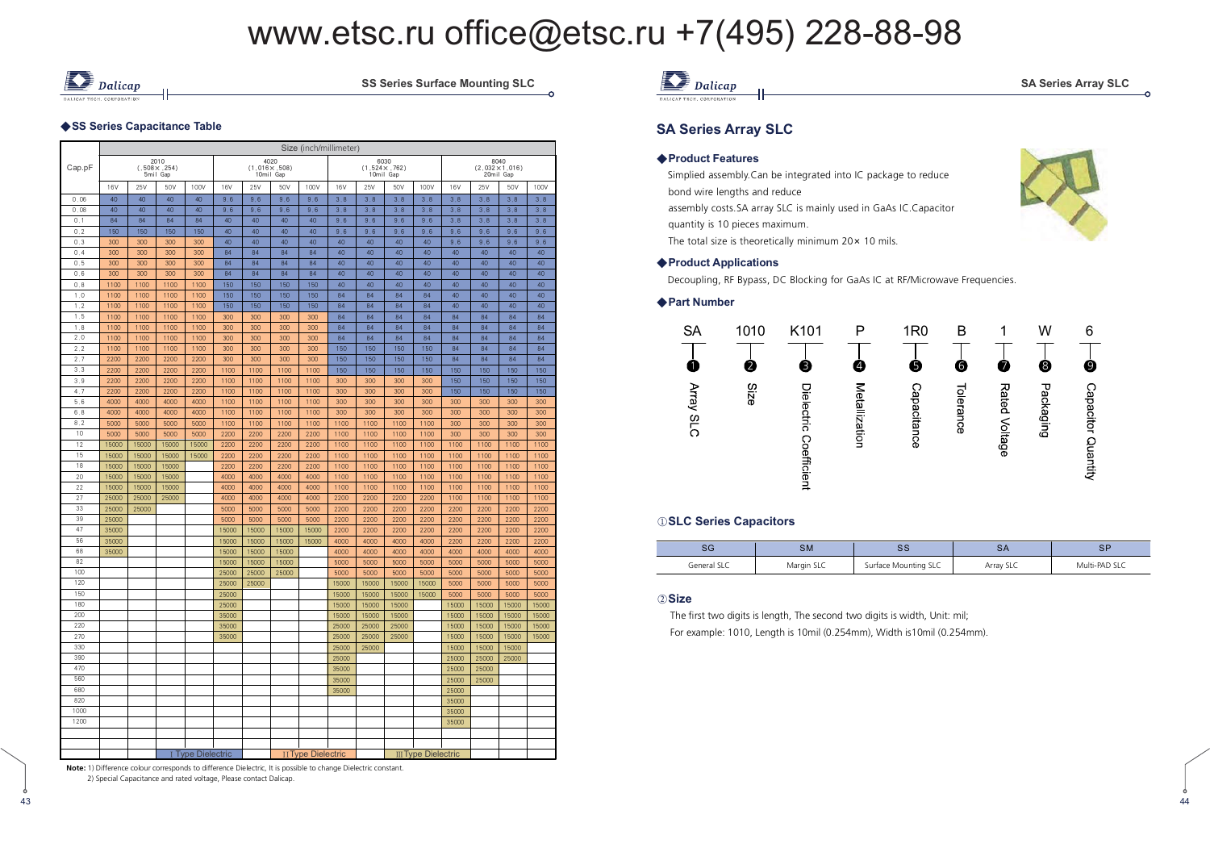

SS Series Surface Mounting SLC

#### ◆SS Series Capacitance Table

|            |              |              |                                          |                        |              |              |                                            |                           | Size (inch/millimeter) |            |                                            |                            |            |            |                                |            |
|------------|--------------|--------------|------------------------------------------|------------------------|--------------|--------------|--------------------------------------------|---------------------------|------------------------|------------|--------------------------------------------|----------------------------|------------|------------|--------------------------------|------------|
| Cap.pF     |              |              | 2010<br>$(.508 \times .254)$<br>5mil Gap |                        |              |              | 4020<br>$(1.016 \times .508)$<br>10mil Gap |                           |                        |            | 6030<br>$(1.524 \times .762)$<br>10mil Gap |                            |            | 20mil Gap  | 8040<br>$(2.032 \times 1.016)$ |            |
|            | 16V          | 25V          | 50V                                      | 100V                   | 16V          | 25V          | 50V                                        | 100V                      | 16V                    | 25V        | 50V                                        | 100V                       | 16V        | 25V        | 50V                            | 100V       |
| 0.06       | 40           | 40           | 40                                       | 40                     | 9,6          | 9,6          | 9,6                                        | 9,6                       | 3.8                    | 3.8        | 3,8                                        | 3.8                        | 3,8        | 3.8        | 3.8                            | 3.8        |
| 0.08       | 40           | 40           | 40                                       | 40                     | 9,6          | 9,6          | 9,6                                        | 9.6                       | 3.8                    | 3.8        | 3,8                                        | 3.8                        | 3.8        | 3.8        | 3.8                            | 3.8        |
| 0.1        | 84           | 84           | 84                                       | 84                     | 40           | 40           | 40                                         | 40                        | 9.6                    | 9.6        | 9,6                                        | 9,6                        | 3.8        | 3.8        | 3,8                            | 3.8        |
| 0.2        | 150          | 150          | 150                                      | 150                    | 40           | 40           | 40                                         | 40                        | 9.6                    | 9.6        | 9.6                                        | 9,6                        | 9,6        | 9.6        | 9,6                            | 9.6        |
| 0.3        | 300          | 300          | 300                                      | 300                    | 40           | 40           | 40                                         | 40                        | 40                     | 40         | 40                                         | 40                         | 9,6        | 9.6        | 9,6                            | 9.6        |
| 0.4        | 300          | 300          | 300                                      | 300                    | 84           | 84           | 84                                         | 84                        | 40                     | 40         | 40                                         | 40                         | 40         | 40         | 40                             | 40         |
| 0.5        | 300          | 300          | 300                                      | 300                    | 84           | 84           | 84                                         | 84                        | 40                     | 40         | 40                                         | 40                         | 40         | 40         | 40                             | 40         |
| 0.6        | 300          | 300          | 300                                      | 300                    | 84           | 84           | 84                                         | 84                        | 40                     | 40         | 40                                         | 40                         | 40         | 40         | 40                             | 40         |
| 0, 8       | 1100         | 1100         | 1100                                     | 1100                   | 150          | 150          | 150                                        | 150                       | 40                     | 40         | 40                                         | 40                         | 40         | 40         | 40                             | 40         |
| 1.0        | 1100         | 1100         | 1100                                     | 1100                   | 150          | 150          | 150                                        | 150                       | 84                     | 84         | 84                                         | 84                         | 40         | 40         | 40                             | 40         |
| 1.2        | 1100         | 1100         | 1100                                     | 1100                   | 150          | 150          | 150                                        | 150                       | 84                     | 84         | 84                                         | 84                         | 40         | 40         | 40                             | 40         |
| 1.5        | 1100         | 1100         | 1100                                     | 1100                   | 300          | 300          | 300                                        | 300                       | 84                     | 84         | 84                                         | 84                         | 84         | 84         | 84                             | 84         |
| 1.8        | 1100         | 1100         | 1100                                     | 1100                   | 300          | 300          | 300                                        | 300                       | 84                     | 84         | 84                                         | 84                         | 84         | 84         | 84                             | 84         |
| 2.0        | 1100         | 1100         | 1100                                     | 1100                   | 300          | 300          | 300                                        | 300                       | 84                     | 84         | 84                                         | 84                         | 84         | 84         | 84                             | 84         |
| 2.2        | 1100         | 1100         | 1100                                     | 1100                   | 300          | 300          | 300                                        | 300                       | 150                    | 150        | 150                                        | 150                        | 84         | 84         | 84                             | 84         |
| 2.7        | 2200         | 2200         | 2200                                     | 2200                   | 300          | 300          | 300                                        | 300                       | 150                    | 150        | 150                                        | 150                        | 84         | 84         | 84                             | 84         |
| 3.3        | 2200         | 2200         | 2200                                     | 2200                   | 1100         | 1100         | 1100                                       | 1100                      | 150                    | 150        | 150                                        | 150                        | 150        | 150        | 150                            | 150        |
| 3.9<br>4.7 | 2200         | 2200         | 2200                                     | 2200                   | 1100<br>1100 | 1100         | 1100                                       | 1100                      | 300                    | 300        | 300                                        | 300                        | 150<br>150 | 150<br>150 | 150<br>150                     | 150        |
| 5.6        | 2200         | 2200         | 2200                                     | 2200                   |              | 1100         | 1100                                       | 1100                      | 300                    | 300        | 300                                        | 300                        |            |            |                                | 150        |
| 6.8        | 4000<br>4000 | 4000<br>4000 | 4000<br>4000                             | 4000<br>4000           | 1100<br>1100 | 1100<br>1100 | 1100<br>1100                               | 1100<br>1100              | 300<br>300             | 300<br>300 | 300<br>300                                 | 300<br>300                 | 300<br>300 | 300<br>300 | 300<br>300                     | 300<br>300 |
| 8.2        | 5000         | 5000         | 5000                                     | 5000                   | 1100         | 1100         | 1100                                       | 1100                      | 1100                   | 1100       | 1100                                       | 1100                       | 300        | 300        | 300                            | 300        |
| 10         | 5000         | 5000         | 5000                                     | 5000                   | 2200         | 2200         | 2200                                       | 2200                      | 1100                   | 1100       | 1100                                       | 1100                       | 300        | 300        | 300                            | 300        |
| 12         | 15000        | 15000        | 15000                                    | 15000                  | 2200         | 2200         | 2200                                       | 2200                      | 1100                   | 1100       | 1100                                       | 1100                       | 1100       | 1100       | 1100                           | 1100       |
| 15         | 15000        | 15000        | 15000                                    | 15000                  | 2200         | 2200         | 2200                                       | 2200                      | 1100                   | 1100       | 1100                                       | 1100                       | 1100       | 1100       | 1100                           | 1100       |
| 18         | 15000        | 15000        | 15000                                    |                        | 2200         | 2200         | 2200                                       | 2200                      | 1100                   | 1100       | 1100                                       | 1100                       | 1100       | 1100       | 1100                           | 1100       |
| 20         | 15000        | 15000        | 15000                                    |                        | 4000         | 4000         | 4000                                       | 4000                      | 1100                   | 1100       | 1100                                       | 1100                       | 1100       | 1100       | 1100                           | 1100       |
| 22         | 15000        | 15000        | 15000                                    |                        | 4000         | 4000         | 4000                                       | 4000                      | 1100                   | 1100       | 1100                                       | 1100                       | 1100       | 1100       | 1100                           | 1100       |
| 27         | 25000        | 25000        | 25000                                    |                        | 4000         | 4000         | 4000                                       | 4000                      | 2200                   | 2200       | 2200                                       | 2200                       | 1100       | 1100       | 1100                           | 1100       |
| 33         | 25000        | 25000        |                                          |                        | 5000         | 5000         | 5000                                       | 5000                      | 2200                   | 2200       | 2200                                       | 2200                       | 2200       | 2200       | 2200                           | 2200       |
| 39         | 25000        |              |                                          |                        | 5000         | 5000         | 5000                                       | 5000                      | 2200                   | 2200       | 2200                                       | 2200                       | 2200       | 2200       | 2200                           | 2200       |
| 47         | 35000        |              |                                          |                        | 15000        | 15000        | 15000                                      | 15000                     | 2200                   | 2200       | 2200                                       | 2200                       | 2200       | 2200       | 2200                           | 2200       |
| 56         | 35000        |              |                                          |                        | 15000        | 15000        | 15000                                      | 15000                     | 4000                   | 4000       | 4000                                       | 4000                       | 2200       | 2200       | 2200                           | 2200       |
| 68         | 35000        |              |                                          |                        | 15000        | 15000        | 15000                                      |                           | 4000                   | 4000       | 4000                                       | 4000                       | 4000       | 4000       | 4000                           | 4000       |
| 82         |              |              |                                          |                        | 15000        | 15000        | 15000                                      |                           | 5000                   | 5000       | 5000                                       | 5000                       | 5000       | 5000       | 5000                           | 5000       |
| 100        |              |              |                                          |                        | 25000        | 25000        | 25000                                      |                           | 5000                   | 5000       | 5000                                       | 5000                       | 5000       | 5000       | 5000                           | 5000       |
| 120        |              |              |                                          |                        | 25000        | 25000        |                                            |                           | 15000                  | 15000      | 15000                                      | 15000                      | 5000       | 5000       | 5000                           | 5000       |
| 150        |              |              |                                          |                        | 25000        |              |                                            |                           | 15000                  | 15000      | 15000                                      | 15000                      | 5000       | 5000       | 5000                           | 5000       |
| 180        |              |              |                                          |                        | 25000        |              |                                            |                           | 15000                  | 15000      | 15000                                      |                            | 15000      | 15000      | 15000                          | 15000      |
| 200        |              |              |                                          |                        | 35000        |              |                                            |                           | 15000                  | 15000      | 15000                                      |                            | 15000      | 15000      | 15000                          | 15000      |
| 220        |              |              |                                          |                        | 35000        |              |                                            |                           | 25000                  | 25000      | 25000                                      |                            | 15000      | 15000      | 15000                          | 15000      |
| 270        |              |              |                                          |                        | 35000        |              |                                            |                           | 25000                  | 25000      | 25000                                      |                            | 15000      | 15000      | 15000                          | 15000      |
| 330        |              |              |                                          |                        |              |              |                                            |                           | 25000                  | 25000      |                                            |                            | 15000      | 15000      | 15000                          |            |
| 390        |              |              |                                          |                        |              |              |                                            |                           | 25000                  |            |                                            |                            | 25000      | 25000      | 25000                          |            |
| 470        |              |              |                                          |                        |              |              |                                            |                           | 35000                  |            |                                            |                            | 25000      | 25000      |                                |            |
| 560        |              |              |                                          |                        |              |              |                                            |                           | 35000                  |            |                                            |                            | 25000      | 25000      |                                |            |
| 680        |              |              |                                          |                        |              |              |                                            |                           | 35000                  |            |                                            |                            | 25000      |            |                                |            |
| 820        |              |              |                                          |                        |              |              |                                            |                           |                        |            |                                            |                            | 35000      |            |                                |            |
| 1000       |              |              |                                          |                        |              |              |                                            |                           |                        |            |                                            |                            | 35000      |            |                                |            |
| 1200       |              |              |                                          |                        |              |              |                                            |                           |                        |            |                                            |                            | 35000      |            |                                |            |
|            |              |              |                                          |                        |              |              |                                            |                           |                        |            |                                            |                            |            |            |                                |            |
|            |              |              |                                          |                        |              |              |                                            |                           |                        |            |                                            |                            |            |            |                                |            |
|            |              |              |                                          | <b>Type Dielectric</b> |              |              |                                            | <b>II Type Dielectric</b> |                        |            |                                            | <b>III Type Dielectric</b> |            |            |                                |            |

**Note:** 1) Difference colour corresponds to difference Dielectric, It is possible to change Dielectric constant. 2) Special Capacitance and rated voltage, Please contact Dalicap.

Dalicap

### SA Series Array SLC

#### ◆ Product Features

Simplied assembly.Can be integrated into IC package to reduce bond wire lengths and reduce

assembly costs.SA array SLC is mainly used in GaAs IC.Capacitor

quantity is 10 pieces maximum.

The total size is theoretically minimum  $20 \times 10$  mils.

#### ◆ Product Applications

Decoupling, RF Bypass, DC Blocking for GaAs IC at RF/Microwave Frequencies.

#### ◆ Part Number



#### **- 
-**

|             | sм         | oc                   |           |               |
|-------------|------------|----------------------|-----------|---------------|
| General SLC | Margin SLC | Surface Mounting SLC | Array SLC | Multi-PAD SLC |

#### ②Size

 The first two digits is length, The second two digits is width, Unit: mil; For example: 1010, Length is 10mil (0.254mm), Width is10mil (0.254mm).

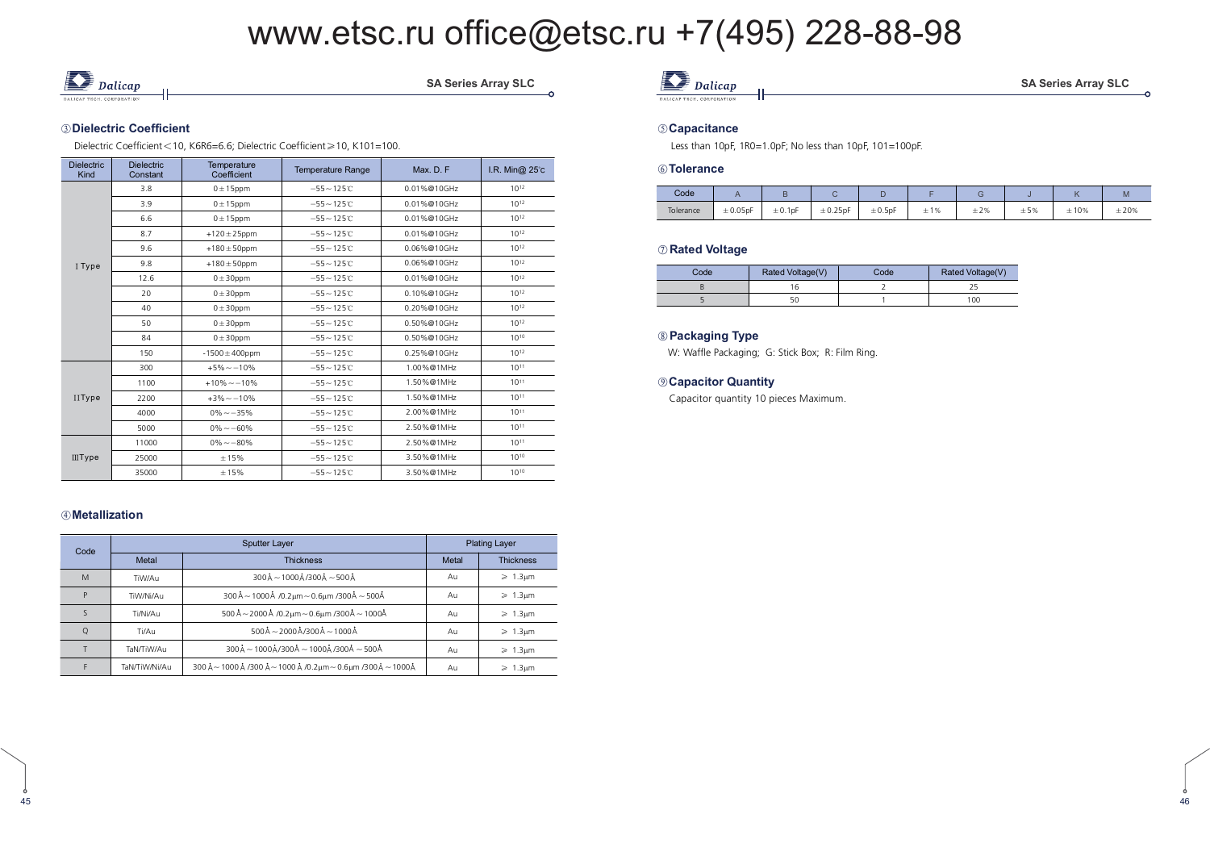

SA Series Array SLC

#### ③Dielectric Coefficient

Dielectric Coefficient < 10, K6R6=6.6; Dielectric Coefficient ≥ 10, K101=100.

| <b>Dielectric</b><br>Kind | <b>Dielectric</b><br>Constant | Temperature<br>Coefficient | <b>Temperature Range</b> | Max. D. F.  | I.R. Min@ 25°c |
|---------------------------|-------------------------------|----------------------------|--------------------------|-------------|----------------|
|                           | 3.8                           | $0 \pm 15$ ppm             | $-55 - 125C$             | 0.01%@10GHz | $10^{12}$      |
|                           | 3.9                           | $0 \pm 15$ ppm             | $-55 - 125C$             | 0.01%@10GHz | $10^{12}$      |
|                           | 6.6                           | $0 \pm 15$ ppm             | $-55 - 125C$             | 0.01%@10GHz | $10^{12}$      |
|                           | 8.7                           | $+120 \pm 25$ ppm          | $-55 - 125C$             | 0.01%@10GHz | $10^{12}$      |
|                           | 9.6                           | $+180 \pm 50$ ppm          | $-55 - 125C$             | 0.06%@10GHz | $10^{12}$      |
| I Type                    | 9.8                           | $+180 \pm 50$ ppm          | $-55 - 125C$             | 0.06%@10GHz | $10^{12}$      |
|                           | 12.6                          | $0 \pm 30$ ppm             | $-55 - 125C$             | 0.01%@10GHz | $10^{12}$      |
|                           | 20                            | $0 \pm 30$ ppm             | $-55 - 125C$             | 0.10%@10GHz | $10^{12}$      |
|                           | 40                            | $0 \pm 30$ ppm             | $-55 - 125C$             | 0.20%@10GHz | $10^{12}$      |
|                           | 50                            | $0 \pm 30$ ppm             | $-55 - 125C$             | 0.50%@10GHz | $10^{12}$      |
|                           | 84                            | $0 \pm 30$ ppm             | $-55 - 125C$             | 0.50%@10GHz | $10^{10}$      |
|                           | 150                           | $-1500 \pm 400$ ppm        | $-55 - 125C$             | 0.25%@10GHz | $10^{12}$      |
|                           | 300                           | $+5\% -10\%$               | $-55 - 125C$             | 1.00%@1MHz  | $10^{11}$      |
|                           | 1100                          | $+10\% - -10\%$            | $-55 - 125C$             | 1.50%@1MHz  | $10^{11}$      |
| <b>IIType</b>             | 2200                          | $+3\% - 10\%$              | $-55 - 125C$             | 1.50%@1MHz  | $10^{11}$      |
|                           | 4000                          | $0\% - 35\%$               | $-55 - 125C$             | 2.00%@1MHz  | $10^{11}$      |
|                           | 5000                          | $0\% - 60\%$               | $-55 - 125C$             | 2.50%@1MHz  | $10^{11}$      |
|                           | 11000                         | $0\% - 80\%$               | $-55 - 125C$             | 2.50%@1MHz  | $10^{11}$      |
| <b>IIIType</b>            | 25000                         | ±15%                       | $-55 - 125C$             | 3.50%@1MHz  | $10^{10}$      |
|                           | 35000                         | ±15%                       | $-55 - 125C$             | 3.50%@1MHz  | $10^{10}$      |

#### 

| Code |               | <b>Sputter Layer</b>                                                                                   |       | <b>Plating Layer</b>    |
|------|---------------|--------------------------------------------------------------------------------------------------------|-------|-------------------------|
|      | Metal         | <b>Thickness</b>                                                                                       | Metal | <b>Thickness</b>        |
| M    | TiW/Au        | $300\text{\AA} - 1000\text{\AA}$ /300 $\text{\AA} - 500\text{\AA}$                                     | Au    | $\geq 1.3 \mu m$        |
| D    | TiW/Ni/Au     | $300\text{\AA}$ ~ 1000 Å /0.2 µm ~ 0.6 µm /300 Å ~ 500 Å                                               | Au    | $\geq 1.3 \mu m$        |
|      | Ti/Ni/Au      | 500 Å ~ 2000 Å /0.2 $\mu$ m ~ 0.6 $\mu$ m /300Å ~ 1000Å                                                | Au    | $\geqslant$ 1.3 $\mu$ m |
|      | Ti/Au         | $500\text{\AA} - 2000\text{\AA}$ /300 Å $-1000\text{\AA}$                                              | Au    | $\geq 1.3 \mu m$        |
|      | TaN/TiW/Au    | $300\text{\AA} \sim 1000\text{\AA}/300\text{\AA} \sim 1000\text{\AA}/300\text{\AA} \sim 500\text{\AA}$ | Au    | $\geqslant$ 1.3 $\mu$ m |
|      | TaN/TiW/Ni/Au | 300 Å ~ 1000 Å /300 Å ~ 1000 Å /0.2μm ~ 0.6μm /300 Å ~ 1000 Å                                          | Au    | $\geqslant$ 1.3 $\mu$ m |

### **D** Dalicap

#### 

Less than 10pF, 1R0=1.0pF; No less than 10pF, 101=100pF.

#### 

| Code      |               |                          |               |              |                 |           |     |      | M         |
|-----------|---------------|--------------------------|---------------|--------------|-----------------|-----------|-----|------|-----------|
| Tolerance | $\pm 0.05$ pF | $± 0.1$ <sub>p</sub> $F$ | $\pm 0.25$ pF | $\pm 0.5$ pF | 1%<br><b>__</b> | $\pm 2\%$ | ±5% | ±10% | $\pm 20%$ |

#### $\oslash$  Rated Voltage

| Code | Rated Voltage(V) | Code | Rated Voltage(V) |
|------|------------------|------|------------------|
|      |                  |      |                  |
|      |                  |      | 100              |

#### 

W: Waffle Packaging; G: Stick Box; R: Film Ring.

#### $\circledR$  **Capacitor Quantity**

Capacitor quantity 10 pieces Maximum.